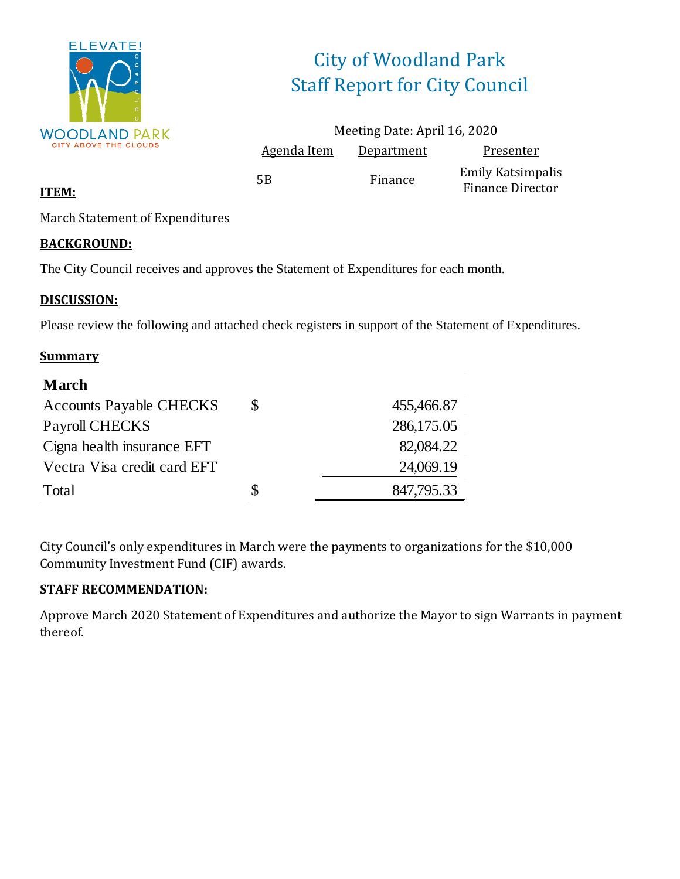

# City of Woodland Park Staff Report for City Council

|                    | Meeting Date: April 16, 2020 |                                                     |
|--------------------|------------------------------|-----------------------------------------------------|
| <b>Agenda Item</b> | Department                   | Presenter                                           |
| 5Β                 | Finance                      | <b>Emily Katsimpalis</b><br><b>Finance Director</b> |

#### **ITEM:**

March Statement of Expenditures

#### **BACKGROUND:**

The City Council receives and approves the Statement of Expenditures for each month.

#### **DISCUSSION:**

Please review the following and attached check registers in support of the Statement of Expenditures.

#### **Summary**

| <b>March</b>                   |   |            |
|--------------------------------|---|------------|
| <b>Accounts Payable CHECKS</b> | S | 455,466.87 |
| Payroll CHECKS                 |   | 286,175.05 |
| Cigna health insurance EFT     |   | 82,084.22  |
| Vectra Visa credit card EFT    |   | 24,069.19  |
| Total                          | S | 847,795.33 |

City Council's only expenditures in March were the payments to organizations for the \$10,000 Community Investment Fund (CIF) awards.

#### **STAFF RECOMMENDATION:**

Approve March 2020 Statement of Expenditures and authorize the Mayor to sign Warrants in payment thereof.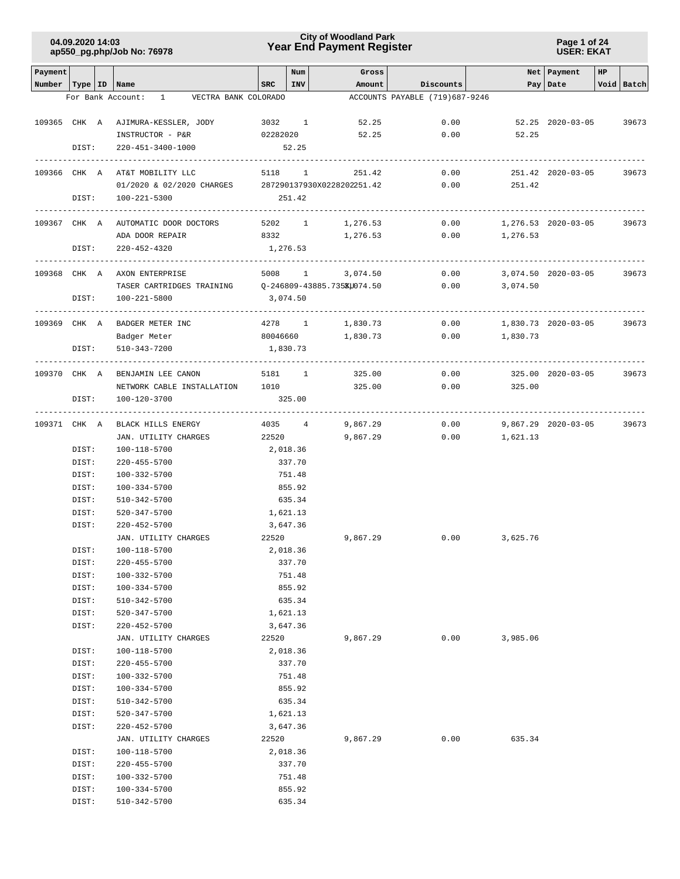#### **Page 1 of 24 USER: EKAT**

| Payment                   |                |                                                                             | SRC             | Num<br><b>INV</b> | Gross<br>Amount      |                                             |          | Net   Payment       | HP |              |
|---------------------------|----------------|-----------------------------------------------------------------------------|-----------------|-------------------|----------------------|---------------------------------------------|----------|---------------------|----|--------------|
| Number   Type   ID   Name |                | VECTRA BANK COLORADO<br>For Bank Account: 1                                 |                 |                   |                      | Discounts<br>ACCOUNTS PAYABLE (719)687-9246 |          | Pay Date            |    | Void   Batch |
|                           |                |                                                                             |                 |                   |                      |                                             |          |                     |    |              |
|                           |                | 109365 CHK A AJIMURA-KESSLER, JODY                                          | 3032 1          |                   | 52.25                | 0.00                                        |          | 52.25 2020-03-05    |    | 39673        |
|                           |                | INSTRUCTOR - P&R                                                            | 02282020        |                   | 52.25                | 0.00                                        | 52.25    |                     |    |              |
|                           | DIST:          | 220-451-3400-1000                                                           |                 | 52.25             |                      |                                             |          |                     |    |              |
|                           |                |                                                                             |                 |                   |                      |                                             |          |                     |    |              |
|                           |                | 109366 CHK A AT&T MOBILITY LLC                                              | 5118 1          |                   | 251.42               | 0.00                                        |          | 251.42 2020-03-05   |    | 39673        |
|                           |                | 01/2020 & 02/2020 CHARGES 287290137930X0228202251.42                        |                 |                   |                      | 0.00                                        | 251.42   |                     |    |              |
|                           | DIST:          | 100-221-5300                                                                |                 | 251.42            |                      |                                             |          |                     |    |              |
|                           |                |                                                                             |                 |                   |                      |                                             |          |                     |    |              |
|                           |                | 109367 CHK A AUTOMATIC DOOR DOCTORS                                         | 5202 1          |                   | 1,276.53             | 0.00                                        |          | 1,276.53 2020-03-05 |    | 39673        |
|                           |                | ADA DOOR REPAIR                                                             | 8332            |                   | 1,276.53             | 0.00                                        | 1,276.53 |                     |    |              |
|                           | DIST:          | 220-452-4320<br>-----------------------                                     | 1,276.53        |                   |                      |                                             |          |                     |    |              |
|                           |                | 109368 CHK A AXON ENTERPRISE                                                |                 |                   | 5008 1 3,074.50      | 0.00                                        |          | 3,074.50 2020-03-05 |    | 39673        |
|                           |                | TASER CARTRIDGES TRAINING $Q-246809-43885.735\text{K} \text{U} 074.50$ 0.00 |                 |                   |                      |                                             | 3,074.50 |                     |    |              |
|                           | DIST:          | 100-221-5800                                                                | 3,074.50        |                   |                      |                                             |          |                     |    |              |
|                           |                |                                                                             |                 |                   |                      |                                             |          |                     |    |              |
|                           |                | 109369 CHK A BADGER METER INC                                               | 4278 1          |                   | 1,830.73             | 0.00                                        |          | 1,830.73 2020-03-05 |    | 39673        |
|                           |                | Badger Meter                                                                | 80046660        |                   | 1,830.73             | 0.00                                        | 1,830.73 |                     |    |              |
|                           | DIST:          | 510-343-7200                                                                | 1,830.73        |                   |                      |                                             |          |                     |    |              |
|                           |                |                                                                             |                 |                   |                      |                                             |          |                     |    |              |
|                           |                | 109370 CHK A BENJAMIN LEE CANON                                             | 5181 1          |                   | 325.00               | 0.00                                        |          | 325.00 2020-03-05   |    | 39673        |
|                           |                | NETWORK CABLE INSTALLATION 1010                                             |                 |                   | 325.00               | 0.00                                        | 325.00   |                     |    |              |
|                           | DIST:          | 100-120-3700                                                                |                 | 325.00            |                      |                                             |          |                     |    |              |
|                           |                |                                                                             |                 |                   |                      | 0.00                                        |          |                     |    | 39673        |
|                           |                | 109371 CHK A BLACK HILLS ENERGY<br>JAN. UTILITY CHARGES                     | 4035 4<br>22520 |                   | 9,867.29<br>9,867.29 | 0.00                                        | 1,621.13 | 9,867.29 2020-03-05 |    |              |
|                           | DIST:          | 100-118-5700                                                                | 2,018.36        |                   |                      |                                             |          |                     |    |              |
|                           | DIST:          | 220-455-5700                                                                |                 | 337.70            |                      |                                             |          |                     |    |              |
|                           | DIST:          | 100-332-5700                                                                |                 | 751.48            |                      |                                             |          |                     |    |              |
|                           | DIST:          | 100-334-5700                                                                |                 | 855.92            |                      |                                             |          |                     |    |              |
|                           | DIST:          | 510-342-5700                                                                |                 | 635.34            |                      |                                             |          |                     |    |              |
|                           | DIST:          | 520-347-5700                                                                | 1,621.13        |                   |                      |                                             |          |                     |    |              |
|                           | DIST:          | $220 - 452 - 5700$                                                          | 3,647.36        |                   |                      |                                             |          |                     |    |              |
|                           |                | JAN. UTILITY CHARGES                                                        | 22520           |                   | 9,867.29             | 0.00                                        | 3,625.76 |                     |    |              |
|                           | DIST:          | 100-118-5700                                                                |                 | 2,018.36          |                      |                                             |          |                     |    |              |
|                           | DIST:          | 220-455-5700                                                                |                 | 337.70            |                      |                                             |          |                     |    |              |
|                           | DIST:          | 100-332-5700                                                                |                 | 751.48            |                      |                                             |          |                     |    |              |
|                           | DIST:          | 100-334-5700                                                                |                 | 855.92            |                      |                                             |          |                     |    |              |
|                           | DIST:          | 510-342-5700                                                                |                 | 635.34            |                      |                                             |          |                     |    |              |
|                           | DIST:<br>DIST: | 520-347-5700<br>220-452-5700                                                | 3,647.36        | 1,621.13          |                      |                                             |          |                     |    |              |
|                           |                | JAN. UTILITY CHARGES                                                        | 22520           |                   | 9,867.29             | 0.00                                        | 3,985.06 |                     |    |              |
|                           | DIST:          | 100-118-5700                                                                |                 | 2,018.36          |                      |                                             |          |                     |    |              |
|                           | DIST:          | 220-455-5700                                                                |                 | 337.70            |                      |                                             |          |                     |    |              |
|                           | DIST:          | 100-332-5700                                                                |                 | 751.48            |                      |                                             |          |                     |    |              |
|                           | DIST:          | 100-334-5700                                                                |                 | 855.92            |                      |                                             |          |                     |    |              |
|                           | DIST:          | 510-342-5700                                                                |                 | 635.34            |                      |                                             |          |                     |    |              |
|                           | DIST:          | 520-347-5700                                                                |                 | 1,621.13          |                      |                                             |          |                     |    |              |
|                           | DIST:          | $220 - 452 - 5700$                                                          |                 | 3,647.36          |                      |                                             |          |                     |    |              |
|                           |                | JAN. UTILITY CHARGES                                                        | 22520           |                   | 9,867.29             | 0.00                                        | 635.34   |                     |    |              |
|                           | DIST:          | 100-118-5700                                                                |                 | 2,018.36          |                      |                                             |          |                     |    |              |
|                           | DIST:          | 220-455-5700                                                                |                 | 337.70            |                      |                                             |          |                     |    |              |
|                           | DIST:          | 100-332-5700                                                                |                 | 751.48            |                      |                                             |          |                     |    |              |
|                           | DIST:          | 100-334-5700<br>$510 - 342 - 5700$                                          |                 | 855.92            |                      |                                             |          |                     |    |              |
|                           | DIST:          |                                                                             |                 | 635.34            |                      |                                             |          |                     |    |              |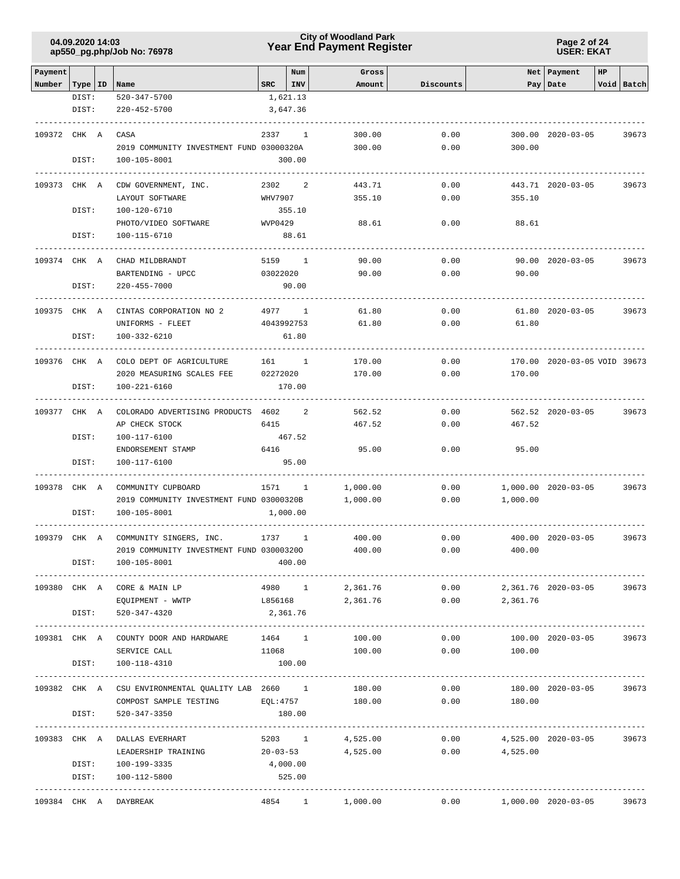### **Year End Payment Register City of Woodland Park 04.09.2020 14:03**

**Page 2 of 24 USER: EKAT**

| Payment                   |               |                                                          |                | Num             | Gross           |           |                | Net   Payment                | HP |            |
|---------------------------|---------------|----------------------------------------------------------|----------------|-----------------|-----------------|-----------|----------------|------------------------------|----|------------|
| Number   Type   ID   Name | DIST:         | 520-347-5700                                             | $_{\tt SRC}$   | INV<br>1,621.13 | Amount          | Discounts |                | Pay   Date                   |    | Void Batch |
|                           | DIST:         | $220 - 452 - 5700$                                       |                | 3,647.36        |                 |           |                |                              |    |            |
|                           |               |                                                          |                |                 |                 |           |                |                              |    |            |
| 109372 CHK A              |               | CASA                                                     | 2337           | $\mathbf{1}$    | 300.00          | 0.00      |                | 300.00 2020-03-05            |    | 39673      |
|                           |               | 2019 COMMUNITY INVESTMENT FUND 03000320A                 |                |                 | 300.00          | 0.00      | 300.00         |                              |    |            |
|                           | DIST:         | 100-105-8001                                             |                | 300.00          |                 |           |                |                              |    |            |
| 109373 CHK A              |               | CDW GOVERNMENT, INC.                                     | 2302           | 2               | 443.71          | 0.00      |                | 443.71 2020-03-05            |    | 39673      |
|                           |               | LAYOUT SOFTWARE                                          | WHV7907        |                 | 355.10          | 0.00      | 355.10         |                              |    |            |
|                           | DIST:         | 100-120-6710                                             |                | 355.10          |                 |           |                |                              |    |            |
|                           |               | PHOTO/VIDEO SOFTWARE                                     | WVP0429        |                 | 88.61           | 0.00      | 88.61          |                              |    |            |
|                           | DIST:         | 100-115-6710                                             |                | 88.61           |                 |           |                |                              |    |            |
| 109374 CHK A              |               | CHAD MILDBRANDT                                          |                | 5159 1          | 90.00           | 0.00      |                | 90.00 2020-03-05             |    | 39673      |
|                           |               | BARTENDING - UPCC                                        | 03022020       |                 | 90.00           | 0.00      | 90.00          |                              |    |            |
|                           | DIST:         | $220 - 455 - 7000$                                       |                | 90.00           |                 |           |                |                              |    |            |
|                           |               |                                                          |                |                 |                 |           |                |                              |    |            |
| 109375 CHK A              |               | CINTAS CORPORATION NO 2                                  |                | 4977 1          | 61.80           | 0.00      |                | 61.80 2020-03-05             |    | 39673      |
|                           |               | UNIFORMS - FLEET                                         |                | 4043992753      | 61.80           | 0.00      | 61.80          |                              |    |            |
|                           | DIST:         | 100-332-6210                                             |                | 61.80           |                 |           |                |                              |    |            |
| 109376 CHK A              |               | COLO DEPT OF AGRICULTURE                                 | $161$ 1        |                 | 170.00          | 0.00      |                | 170.00 2020-03-05 VOID 39673 |    |            |
|                           |               | 2020 MEASURING SCALES FEE                                | 02272020       |                 | 170.00          | 0.00      | 170.00         |                              |    |            |
|                           | DIST:         | 100-221-6160                                             |                | 170.00          |                 |           |                |                              |    |            |
|                           |               |                                                          |                |                 |                 |           |                |                              |    |            |
| 109377 CHK A              |               | COLORADO ADVERTISING PRODUCTS 4602 2                     |                |                 | 562.52          | 0.00      |                | 562.52 2020-03-05            |    | 39673      |
|                           |               | AP CHECK STOCK                                           | 6415           |                 | 467.52          | 0.00      | 467.52         |                              |    |            |
|                           | DIST:         | 100-117-6100                                             |                | 467.52          |                 |           |                |                              |    |            |
|                           |               | ENDORSEMENT STAMP                                        | 6416           |                 | 95.00           | 0.00      | 95.00          |                              |    |            |
|                           | DIST:         | 100-117-6100                                             |                | 95.00           |                 |           |                |                              |    |            |
| 109378 CHK A              |               | COMMUNITY CUPBOARD                                       | 1571 1         |                 | 1,000.00        | 0.00      |                | 1,000.00 2020-03-05          |    | 39673      |
|                           |               | 2019 COMMUNITY INVESTMENT FUND 03000320B                 |                |                 | 1,000.00        | 0.00      | 1,000.00       |                              |    |            |
|                           | DIST:         | 100-105-8001                                             |                | 1,000.00        |                 |           |                |                              |    |            |
| 109379 CHK A              |               | COMMUNITY SINGERS, INC.                                  | 1737           | 1               | 400.00          | 0.00      |                | 400.00 2020-03-05            |    | 39673      |
|                           |               | 2019 COMMUNITY INVESTMENT FUND 030003200                 |                |                 | 400.00          | 0.00      | 400.00         |                              |    |            |
|                           | DIST:         | 100-105-8001                                             |                | 400.00          |                 |           |                |                              |    |            |
|                           |               |                                                          |                |                 |                 |           |                |                              |    |            |
|                           |               | 109380 CHK A CORE & MAIN LP                              |                | 4980 1          | 2,361.76        | 0.00      |                | 2,361.76 2020-03-05          |    | 39673      |
|                           |               | EQUIPMENT - WWTP                                         | L856168        |                 | 2,361.76        | 0.00      | 2,361.76       |                              |    |            |
|                           | DIST:         | 520-347-4320                                             | 2,361.76       |                 |                 |           |                |                              |    |            |
|                           |               | 109381 CHK A COUNTY DOOR AND HARDWARE                    | 1464 1         |                 | 100.00          | 0.00      |                | 100.00 2020-03-05            |    | 39673      |
|                           |               | SERVICE CALL                                             | 11068          |                 | 100.00          | 0.00      | 100.00         |                              |    |            |
|                           | DIST:         | 100-118-4310                                             | 100.00         |                 |                 |           |                |                              |    |            |
|                           |               | 109382 CHK A CSU ENVIRONMENTAL QUALITY LAB 2660 1 130.00 |                |                 |                 | 0.00      |                | 180.00 2020-03-05            |    | 39673      |
|                           |               | COMPOST SAMPLE TESTING $EQL:4757$ 180.00                 |                |                 |                 |           | 0.00<br>180.00 |                              |    |            |
|                           | DIST:         | 520-347-3350                                             |                | 180.00          |                 |           |                |                              |    |            |
|                           | ------------- |                                                          |                |                 |                 |           |                |                              |    |            |
|                           |               | 109383 CHK A DALLAS EVERHART                             | 5203 1         |                 | 4,525.00        | 0.00      |                | 4,525.00 2020-03-05          |    | 39673      |
|                           |               | LEADERSHIP TRAINING                                      | $20 - 03 - 53$ |                 | 4,525.00        | 0.00      | 4,525.00       |                              |    |            |
|                           |               | DIST: 100-199-3335                                       | 4,000.00       |                 |                 |           |                |                              |    |            |
|                           | DIST:         | 100-112-5800<br>-----------------------                  |                | 525.00          |                 |           |                |                              |    |            |
|                           |               | 109384 CHK A DAYBREAK                                    |                |                 | 4854 1 1,000.00 | 0.00      |                | 1,000.00 2020-03-05          |    | 39673      |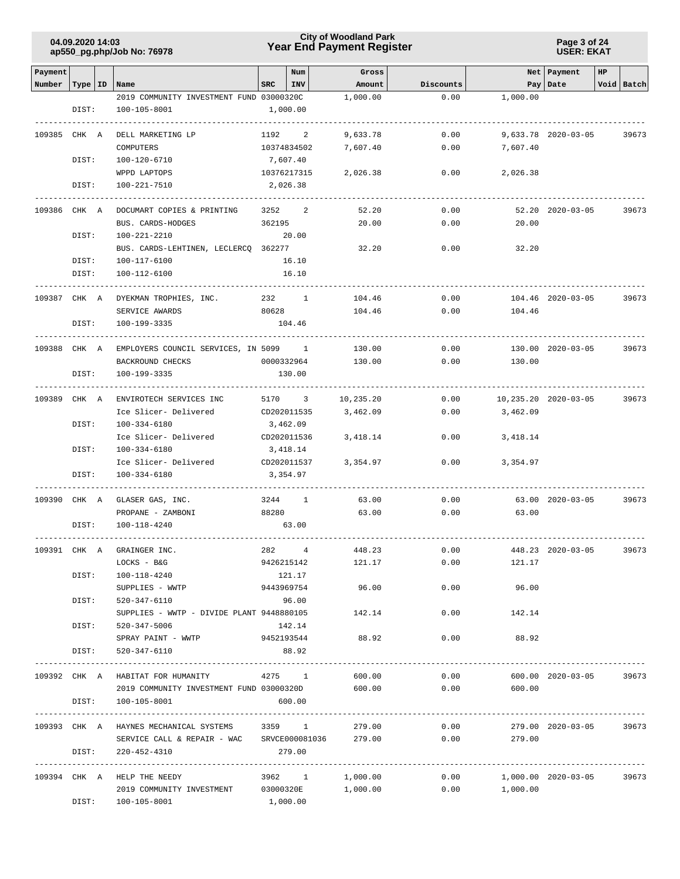**Page 3 of 24 USER: EKAT**

| Payment      |           |                                                                    |            | Num            | Gross           |           |                            | Net Payment          | HP |            |
|--------------|-----------|--------------------------------------------------------------------|------------|----------------|-----------------|-----------|----------------------------|----------------------|----|------------|
| Number       | Type   ID | Name                                                               | <b>SRC</b> | INV            | Amount          | Discounts |                            | Pay Date             |    | Void Batch |
|              |           | 2019 COMMUNITY INVESTMENT FUND 03000320C                           |            |                | 1,000.00        | 0.00      | 1,000.00                   |                      |    |            |
|              | DIST:     | 100-105-8001                                                       |            | 1,000.00       |                 |           |                            |                      |    |            |
|              |           |                                                                    |            |                |                 |           |                            |                      |    |            |
| 109385 CHK A |           | DELL MARKETING LP                                                  |            | 1192 2         | 9,633.78        | 0.00      |                            | 9,633.78 2020-03-05  |    | 39673      |
|              |           | COMPUTERS                                                          |            | 10374834502    | 7,607.40        | 0.00      | 7,607.40                   |                      |    |            |
|              | DIST:     | 100-120-6710                                                       |            | 7,607.40       |                 |           |                            |                      |    |            |
|              |           | WPPD LAPTOPS                                                       |            | 10376217315    | 2,026.38        | 0.00      | 2,026.38                   |                      |    |            |
|              | DIST:     | 100-221-7510                                                       |            | 2,026.38       |                 |           |                            |                      |    |            |
|              |           |                                                                    |            |                |                 |           |                            |                      |    |            |
| 109386 CHK A |           | DOCUMART COPIES & PRINTING                                         | 3252       | 2              | 52.20           | 0.00      |                            | 52.20 2020-03-05     |    | 39673      |
|              |           | BUS. CARDS-HODGES                                                  | 362195     |                | 20.00           | 0.00      | 20.00                      |                      |    |            |
|              | DIST:     | 100-221-2210                                                       |            | 20.00          |                 |           |                            |                      |    |            |
|              |           | BUS. CARDS-LEHTINEN, LECLERCQ 362277                               |            |                | 32.20           | 0.00      | 32.20                      |                      |    |            |
|              | DIST:     | 100-117-6100                                                       |            | 16.10          |                 |           |                            |                      |    |            |
|              | DIST:     | 100-112-6100                                                       |            | 16.10          |                 |           |                            |                      |    |            |
|              |           |                                                                    |            |                |                 |           |                            |                      |    |            |
| 109387 CHK A |           | DYEKMAN TROPHIES, INC.                                             |            | 232 1          | 104.46          | 0.00      |                            | 104.46 2020-03-05    |    | 39673      |
|              |           | SERVICE AWARDS                                                     | 80628      |                | 104.46          | 0.00      | 104.46                     |                      |    |            |
|              | DIST:     | 100-199-3335                                                       |            | 104.46         |                 |           |                            |                      |    |            |
|              |           |                                                                    |            |                |                 |           |                            |                      |    |            |
| 109388 CHK A |           | EMPLOYERS COUNCIL SERVICES, IN 5099 1                              |            |                | 130.00          | 0.00      |                            | 130.00 2020-03-05    |    | 39673      |
|              |           | BACKROUND CHECKS                                                   |            | 0000332964     | 130.00          | 0.00      | 130.00                     |                      |    |            |
|              | DIST:     | 100-199-3335                                                       |            | 130.00         |                 |           |                            |                      |    |            |
|              |           |                                                                    |            |                |                 |           |                            |                      |    |            |
| 109389 CHK A |           | ENVIROTECH SERVICES INC                                            |            | 5170 3         | 10,235.20       | 0.00      |                            | 10,235.20 2020-03-05 |    | 39673      |
|              |           | Ice Slicer- Delivered                                              |            | CD202011535    | 3,462.09        | 0.00      | 3,462.09                   |                      |    |            |
|              | DIST:     | 100-334-6180                                                       |            | 3,462.09       |                 |           |                            |                      |    |            |
|              |           | Ice Slicer- Delivered                                              |            | CD202011536    | 3,418.14        | 0.00      | 3,418.14                   |                      |    |            |
|              | DIST:     | 100-334-6180                                                       |            | 3,418.14       |                 |           |                            |                      |    |            |
|              |           | Ice Slicer- Delivered                                              |            | CD202011537    | 3,354.97        | 0.00      | 3,354.97                   |                      |    |            |
|              | DIST:     | 100-334-6180                                                       |            | 3,354.97       |                 |           |                            |                      |    |            |
|              |           |                                                                    |            |                |                 |           |                            |                      |    |            |
| 109390 CHK A |           | GLASER GAS, INC.                                                   |            | 3244 1         | 63.00           | 0.00      |                            | 63.00 2020-03-05     |    | 39673      |
|              |           | PROPANE - ZAMBONI                                                  | 88280      |                | 63.00           | 0.00      | 63.00                      |                      |    |            |
|              | DIST:     | 100-118-4240                                                       |            | 63.00          |                 |           |                            |                      |    |            |
|              |           |                                                                    |            |                |                 |           |                            |                      |    |            |
| 109391 CHK A |           | GRAINGER INC.                                                      | 282        | $\overline{4}$ | 448.23          | 0.00      |                            | 448.23 2020-03-05    |    | 39673      |
|              |           | LOCKS - B&G                                                        |            | 9426215142     | 121.17          | 0.00      | 121.17                     |                      |    |            |
|              | DIST:     | 100-118-4240                                                       |            | 121.17         |                 |           |                            |                      |    |            |
|              |           | SUPPLIES - WWTP                                                    |            | 9443969754     | 96.00           | 0.00      | 96.00                      |                      |    |            |
|              | DIST:     | 520-347-6110                                                       |            | 96.00          |                 |           |                            |                      |    |            |
|              |           | SUPPLIES - WWTP - DIVIDE PLANT 9448880105                          |            |                | 142.14          | 0.00      | 142.14                     |                      |    |            |
|              | DIST:     | 520-347-5006                                                       |            | 142.14         |                 |           |                            |                      |    |            |
|              |           | SPRAY PAINT - WWTP 9452193544                                      |            |                | 88.92           | 0.00      | 88.92                      |                      |    |            |
|              | DIST:     | 520-347-6110                                                       |            | 88.92          |                 |           |                            |                      |    |            |
|              |           |                                                                    |            |                |                 |           |                            |                      |    |            |
|              |           | 109392 CHK A HABITAT FOR HUMANITY                                  |            | 4275 1         | 600.00          | 0.00      |                            | 600.00 2020-03-05    |    | 39673      |
|              |           | 2019 COMMUNITY INVESTMENT FUND 03000320D                           |            |                | 600.00          | 0.00      | 600.00                     |                      |    |            |
|              | DIST:     | 100-105-8001                                                       |            | 600.00         |                 |           |                            |                      |    |            |
|              |           |                                                                    |            |                |                 |           |                            |                      |    |            |
|              |           | 109393 CHK A HAYNES MECHANICAL SYSTEMS 3359 1 279.00               |            |                |                 | 0.00      |                            | 279.00 2020-03-05    |    | 39673      |
|              | DIST:     | SERVICE CALL & REPAIR - WAC SRVCE000081036 279.00                  |            |                |                 |           | 0.00<br>279.00             |                      |    |            |
|              |           | 220-452-4310                                                       |            | 279.00         |                 |           |                            |                      |    |            |
|              |           | 109394 CHK A HELP THE NEEDY                                        |            |                | 3962 1 1,000.00 |           | $0.00$ 1,000.00 2020-03-05 |                      |    | 39673      |
|              |           |                                                                    |            |                |                 |           |                            |                      |    |            |
|              |           | 2019 COMMUNITY INVESTMENT 03000320E 1,000.00<br>DIST: 100-105-8001 |            | 1,000.00       |                 |           | $0.00$ 1,000.00            |                      |    |            |
|              |           |                                                                    |            |                |                 |           |                            |                      |    |            |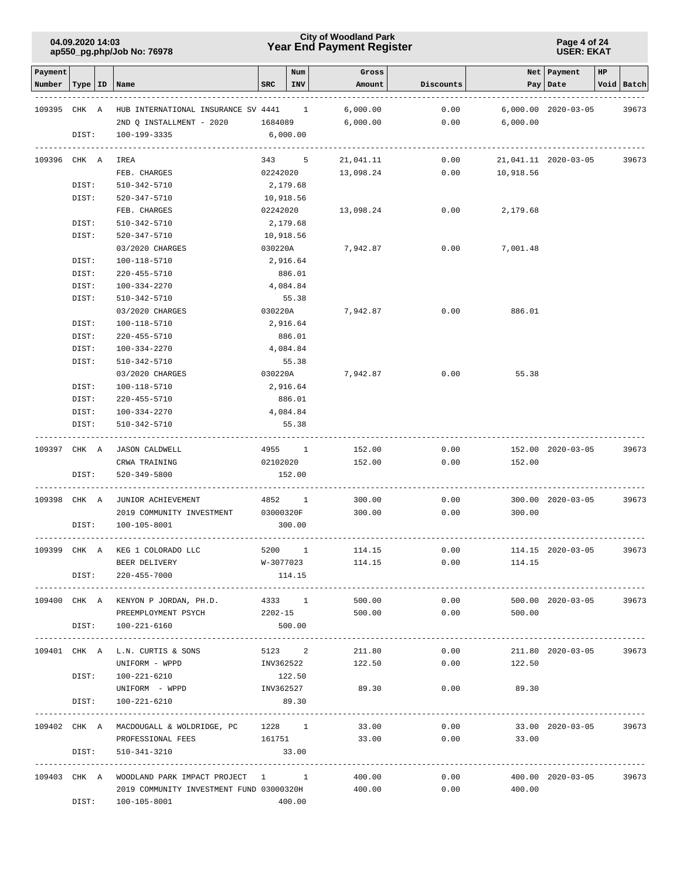### **Year End Payment Register City of Woodland Park 04.09.2020 14:03**

#### **Page 4 of 24 USER: EKAT**

| Payment      |           |                                                      |            | Num       | Gross                 |           |                | Net   Payment             | HP |            |
|--------------|-----------|------------------------------------------------------|------------|-----------|-----------------------|-----------|----------------|---------------------------|----|------------|
| Number       | Type   ID | Name                                                 | <b>SRC</b> | INV       | Amount                | Discounts |                | Pay   Date                |    | Void Batch |
|              |           |                                                      |            |           |                       |           |                |                           |    |            |
| 109395 CHK A |           | HUB INTERNATIONAL INSURANCE SV 4441                  |            | 1         | 6,000.00              | 0.00      |                | $6,000.00 2020 - 03 - 05$ |    | 39673      |
|              |           | 2ND Q INSTALLMENT - 2020                             | 1684089    |           | 6,000.00              | 0.00      | 6,000.00       |                           |    |            |
|              | DIST:     | 100-199-3335                                         | 6,000.00   |           |                       |           |                |                           |    |            |
| 109396 CHK A |           | IREA                                                 |            | 343 5     | 21,041.11             | 0.00      |                | 21,041.11 2020-03-05      |    | 39673      |
|              |           | FEB. CHARGES                                         |            | 02242020  | 13,098.24             | 0.00      | 10,918.56      |                           |    |            |
|              | DIST:     | 510-342-5710                                         | 2,179.68   |           |                       |           |                |                           |    |            |
|              | DIST:     | 520-347-5710                                         |            | 10,918.56 |                       |           |                |                           |    |            |
|              |           | FEB. CHARGES                                         |            | 02242020  | 13,098.24             | 0.00      | 2,179.68       |                           |    |            |
|              | DIST:     | 510-342-5710                                         | 2,179.68   |           |                       |           |                |                           |    |            |
|              | DIST:     | 520-347-5710                                         |            | 10,918.56 |                       |           |                |                           |    |            |
|              |           | 03/2020 CHARGES                                      | 030220A    |           | 7,942.87              | 0.00      | 7,001.48       |                           |    |            |
|              | DIST:     | 100-118-5710                                         |            | 2,916.64  |                       |           |                |                           |    |            |
|              | DIST:     | 220-455-5710                                         |            | 886.01    |                       |           |                |                           |    |            |
|              | DIST:     | 100-334-2270                                         |            | 4,084.84  |                       |           |                |                           |    |            |
|              | DIST:     | 510-342-5710                                         |            | 55.38     |                       |           |                |                           |    |            |
|              |           | 03/2020 CHARGES                                      | 030220A    |           | 7,942.87              | 0.00      | 886.01         |                           |    |            |
|              | DIST:     | 100-118-5710                                         |            | 2,916.64  |                       |           |                |                           |    |            |
|              | DIST:     | 220-455-5710                                         |            | 886.01    |                       |           |                |                           |    |            |
|              | DIST:     | 100-334-2270                                         |            | 4,084.84  |                       |           |                |                           |    |            |
|              | DIST:     | 510-342-5710                                         |            | 55.38     |                       |           |                |                           |    |            |
|              |           | 03/2020 CHARGES                                      | 030220A    |           | 7,942.87              | 0.00      | 55.38          |                           |    |            |
|              | DIST:     | 100-118-5710                                         |            | 2,916.64  |                       |           |                |                           |    |            |
|              | DIST:     | 220-455-5710                                         |            | 886.01    |                       |           |                |                           |    |            |
|              | DIST:     | 100-334-2270                                         |            | 4,084.84  |                       |           |                |                           |    |            |
|              | DIST:     | 510-342-5710                                         |            | 55.38     |                       |           |                |                           |    |            |
| 109397 CHK A |           | <b>JASON CALDWELL</b>                                |            | 4955 1    | 152.00                | 0.00      |                | 152.00 2020-03-05         |    | 39673      |
|              |           | CRWA TRAINING                                        |            | 02102020  | 152.00                | 0.00      | 152.00         |                           |    |            |
|              | DIST:     | 520-349-5800                                         |            | 152.00    |                       |           |                |                           |    |            |
|              |           |                                                      |            |           |                       |           |                |                           |    |            |
| 109398 CHK A |           | JUNIOR ACHIEVEMENT                                   | 4852 1     |           | 300.00                | 0.00      |                | 300.00 2020-03-05         |    | 39673      |
|              |           | 2019 COMMUNITY INVESTMENT                            | 03000320F  |           | 300.00                | 0.00      | 300.00         |                           |    |            |
|              | DIST:     | 100-105-8001                                         |            | 300.00    |                       |           |                |                           |    |            |
| 109399 CHK A |           | KEG 1 COLORADO LLC                                   |            | 5200 1    | 114.15                | 0.00      |                | 114.15 2020-03-05         |    | 39673      |
|              |           | BEER DELIVERY                                        |            |           | $W-3077023$<br>114.15 | 0.00      | 114.15         |                           |    |            |
|              | DIST:     | $220 - 455 - 7000$                                   |            | 114.15    |                       |           |                |                           |    |            |
|              |           | 109400 CHK A KENYON P JORDAN, PH.D.                  | 4333 1     |           | 500.00                | 0.00      |                | 500.00 2020-03-05         |    | 39673      |
|              |           | PREEMPLOYMENT PSYCH                                  | 2202-15    |           | 500.00                | 0.00      | 500.00         |                           |    |            |
|              | DIST:     | 100-221-6160                                         |            | 500.00    |                       |           |                |                           |    |            |
|              |           |                                                      |            |           |                       |           |                |                           |    |            |
|              |           | 109401 CHK A L.N. CURTIS & SONS                      |            |           | 5123 2<br>211.80      |           | 0.00           | 211.80 2020-03-05         |    | 39673      |
|              |           | UNIFORM - WPPD                                       |            |           | INV362522 122.50      |           | 0.00<br>122.50 |                           |    |            |
|              | DIST:     | 100-221-6210                                         |            | 122.50    |                       |           |                |                           |    |            |
|              |           | UNIFORM - WPPD INV362527                             |            |           | 89.30                 |           | $0.00$ 89.30   |                           |    |            |
|              | DIST:     | 100-221-6210                                         |            | 89.30     |                       |           |                |                           |    |            |
|              |           | 109402 CHK A MACDOUGALL & WOLDRIDGE, PC 1228 1       |            |           | 33.00                 | 0.00      |                | 33.00 2020-03-05          |    | 39673      |
|              |           | PROFESSIONAL FEES                                    | 161751     |           | 33.00                 | 0.00      | 33.00          |                           |    |            |
|              | DIST:     | 510-341-3210                                         |            | 33.00     |                       |           |                |                           |    |            |
|              |           |                                                      |            |           |                       |           |                |                           |    |            |
|              |           | 109403 CHK A WOODLAND PARK IMPACT PROJECT 1 1 400.00 |            |           |                       |           | 0.00           | 400.00 2020-03-05         |    | 39673      |
|              |           | 2019 COMMUNITY INVESTMENT FUND 03000320H 400.00      |            |           |                       |           | 0.00<br>400.00 |                           |    |            |
|              |           | DIST: 100-105-8001                                   |            | 400.00    |                       |           |                |                           |    |            |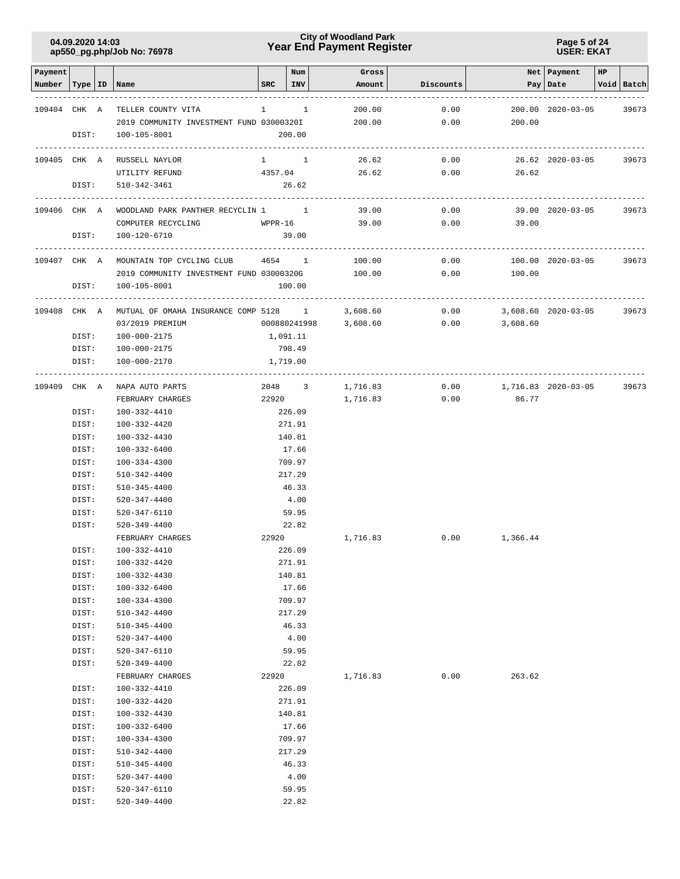### **Year End Payment Register City of Woodland Park 04.09.2020 14:03**

#### **Page 5 of 24 USER: EKAT**

| Payment      |                |                                          |              | Num              | Gross    |           |                     | Net   Payment       | HP |            |
|--------------|----------------|------------------------------------------|--------------|------------------|----------|-----------|---------------------|---------------------|----|------------|
| Number       |                | Type   ID   Name                         | SRC          | INV              | Amount   | Discounts |                     | Pay   Date          |    | Void Batch |
|              |                |                                          |              |                  |          |           |                     |                     |    |            |
| 109404 CHK A |                | TELLER COUNTY VITA                       | $\mathbf{1}$ | <sup>1</sup>     | 200.00   | 0.00      |                     | 200.00 2020-03-05   |    | 39673      |
|              |                | 2019 COMMUNITY INVESTMENT FUND 03000320I |              |                  | 200.00   | 0.00      | 200.00              |                     |    |            |
|              | DIST:          | 100-105-8001                             |              | 200.00           |          |           |                     |                     |    |            |
| 109405 CHK A |                | RUSSELL NAYLOR                           |              | $1 \quad 1$      | 26.62    | 0.00      |                     | 26.62 2020-03-05    |    | 39673      |
|              |                | UTILITY REFUND                           | 4357.04      |                  | 26.62    | 0.00      | 26.62               |                     |    |            |
|              | DIST:          | 510-342-3461                             |              | 26.62            |          |           |                     |                     |    |            |
| 109406 CHK A |                | WOODLAND PARK PANTHER RECYCLIN 1 1       |              |                  | 39.00    | 0.00      |                     | 39.00 2020-03-05    |    | 39673      |
|              |                | COMPUTER RECYCLING                       |              | $WPPR-16$        | 39.00    | 0.00      | 39.00               |                     |    |            |
|              | DIST:          | 100-120-6710                             |              | 39.00            |          |           |                     |                     |    |            |
|              |                |                                          |              |                  |          |           |                     |                     |    |            |
| 109407 CHK A |                | MOUNTAIN TOP CYCLING CLUB 4654 1         |              |                  | 100.00   | 0.00      |                     | 100.00 2020-03-05   |    | 39673      |
|              |                | 2019 COMMUNITY INVESTMENT FUND 03000320G |              |                  | 100.00   | 0.00      | 100.00              |                     |    |            |
|              | DIST:          | 100-105-8001                             |              | 100.00           |          |           |                     |                     |    |            |
| 109408 CHK A |                | MUTUAL OF OMAHA INSURANCE COMP 5128 1    |              |                  | 3,608.60 | 0.00      |                     | 3,608.60 2020-03-05 |    |            |
|              |                | 03/2019 PREMIUM                          |              | 000880241998     | 3,608.60 | 0.00      | 3,608.60            |                     |    | 39673      |
|              | DIST:          | 100-000-2175                             | 1,091.11     |                  |          |           |                     |                     |    |            |
|              |                | DIST: 100-000-2175                       |              | 798.49           |          |           |                     |                     |    |            |
|              | DIST:          | 100-000-2170                             |              | 1,719.00         |          |           |                     |                     |    |            |
|              |                |                                          |              |                  |          |           |                     |                     |    |            |
| 109409 CHK A |                | NAPA AUTO PARTS                          |              | 2048 3           | 1,716.83 | 0.00      | 1,716.83 2020-03-05 |                     |    | 39673      |
|              |                | FEBRUARY CHARGES                         |              | 22920            | 1,716.83 | 0.00      | 86.77               |                     |    |            |
|              | DIST:          | 100-332-4410                             |              | 226.09           |          |           |                     |                     |    |            |
|              | DIST:          | 100-332-4420                             |              | 271.91           |          |           |                     |                     |    |            |
|              | DIST:          | 100-332-4430                             |              | 140.81           |          |           |                     |                     |    |            |
|              | DIST:          | 100-332-6400                             |              | 17.66            |          |           |                     |                     |    |            |
|              | DIST:<br>DIST: | 100-334-4300                             |              | 709.97<br>217.29 |          |           |                     |                     |    |            |
|              | DIST:          | 510-342-4400<br>510-345-4400             |              | 46.33            |          |           |                     |                     |    |            |
|              | DIST:          | 520-347-4400                             |              | 4.00             |          |           |                     |                     |    |            |
|              | DIST:          | 520-347-6110                             |              | 59.95            |          |           |                     |                     |    |            |
|              | DIST:          | 520-349-4400                             |              | 22.82            |          |           |                     |                     |    |            |
|              |                | FEBRUARY CHARGES                         | 22920        |                  | 1,716.83 | 0.00      | 1,366.44            |                     |    |            |
|              | DIST:          | 100-332-4410                             |              | 226.09           |          |           |                     |                     |    |            |
|              | DIST:          | 100-332-4420                             |              | 271.91           |          |           |                     |                     |    |            |
|              | DIST:          | 100-332-4430                             |              | 140.81           |          |           |                     |                     |    |            |
|              | DIST:          | $100 - 332 - 6400$                       |              | 17.66            |          |           |                     |                     |    |            |
|              | DIST:          | 100-334-4300                             |              | 709.97           |          |           |                     |                     |    |            |
|              | DIST:          | 510-342-4400                             |              | 217.29           |          |           |                     |                     |    |            |
|              | DIST:          | $510 - 345 - 4400$                       |              | 46.33            |          |           |                     |                     |    |            |
|              | DIST:<br>DIST: | $520 - 347 - 4400$<br>520-347-6110       |              | 4.00<br>59.95    |          |           |                     |                     |    |            |
|              | DIST:          | 520-349-4400                             |              | 22.82            |          |           |                     |                     |    |            |
|              |                | FEBRUARY CHARGES                         | 22920        |                  | 1,716.83 | 0.00      | 263.62              |                     |    |            |
|              | DIST:          | 100-332-4410                             |              | 226.09           |          |           |                     |                     |    |            |
|              | DIST:          | 100-332-4420                             |              | 271.91           |          |           |                     |                     |    |            |
|              | DIST:          | 100-332-4430                             |              | 140.81           |          |           |                     |                     |    |            |
|              | DIST:          | $100 - 332 - 6400$                       |              | 17.66            |          |           |                     |                     |    |            |
|              | DIST:          | 100-334-4300                             |              | 709.97           |          |           |                     |                     |    |            |
|              | DIST:          | 510-342-4400                             |              | 217.29           |          |           |                     |                     |    |            |
|              | DIST:          | 510-345-4400                             |              | 46.33            |          |           |                     |                     |    |            |
|              | DIST:          | $520 - 347 - 4400$                       |              | 4.00             |          |           |                     |                     |    |            |
|              | DIST:          | 520-347-6110                             |              | 59.95            |          |           |                     |                     |    |            |
|              | DIST:          | 520-349-4400                             |              | 22.82            |          |           |                     |                     |    |            |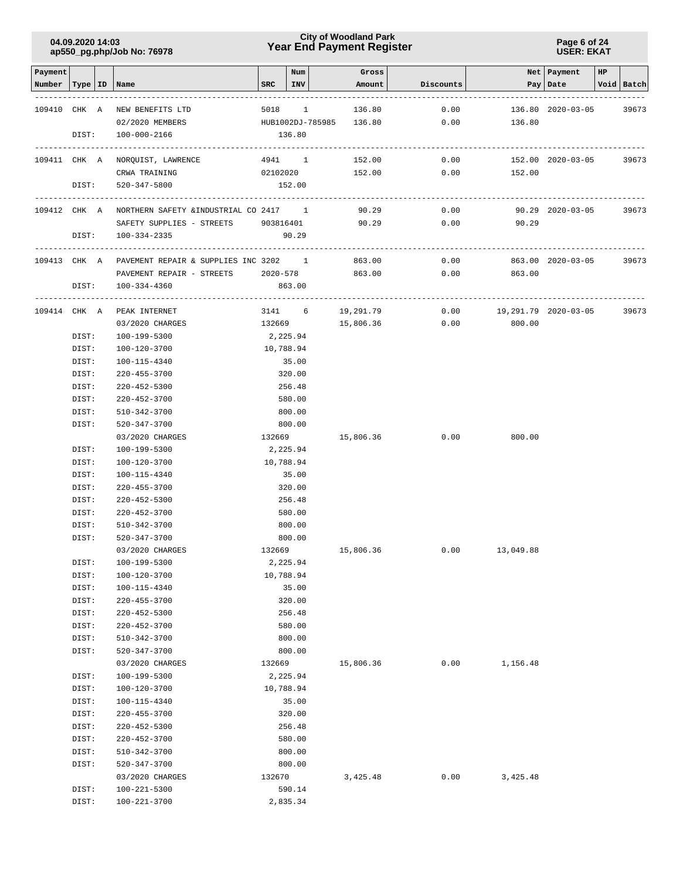### **Year End Payment Register City of Woodland Park 04.09.2020 14:03**

#### **Page 6 of 24 USER: EKAT**

| Payment      |                |                                                     |                    | Num              | Gross                   |           |                      | Net   Payment     | HP |            |
|--------------|----------------|-----------------------------------------------------|--------------------|------------------|-------------------------|-----------|----------------------|-------------------|----|------------|
| Number       |                | Type   ID   Name                                    | SRC                | INV              | Amount                  | Discounts |                      | Pay   Date        |    | Void Batch |
| 109410 CHK A |                | NEW BENEFITS LTD                                    | 5018               | $\mathbf{1}$     | 136.80                  | 0.00      |                      | 136.80 2020-03-05 |    | 39673      |
|              |                | 02/2020 MEMBERS                                     |                    |                  | HUB1002DJ-785985 136.80 | 0.00      | 136.80               |                   |    |            |
|              | DIST:          | 100-000-2166                                        |                    | 136.80           |                         |           |                      |                   |    |            |
|              |                | 109411 CHK A NORQUIST, LAWRENCE                     | --------<br>4941 1 |                  | 152.00                  | 0.00      |                      | 152.00 2020-03-05 |    | 39673      |
|              |                | CRWA TRAINING                                       | 02102020           |                  | 152.00                  | 0.00      | 152.00               |                   |    |            |
|              | DIST:          | 520-347-5800                                        |                    | 152.00           |                         |           |                      |                   |    |            |
|              |                | 109412 CHK A NORTHERN SAFETY & INDUSTRIAL CO 2417 1 |                    |                  | 90.29                   | 0.00      |                      | 90.29 2020-03-05  |    | 39673      |
|              |                | SAFETY SUPPLIES - STREETS 903816401                 |                    |                  | 90.29                   | 0.00      | 90.29                |                   |    |            |
|              | DIST:          | 100-334-2335                                        |                    | 90.29            |                         |           |                      |                   |    |            |
| 109413 CHK A |                | PAVEMENT REPAIR & SUPPLIES INC 3202 1               |                    |                  | 863.00                  | 0.00      |                      | 863.00 2020-03-05 |    | 39673      |
|              |                | PAVEMENT REPAIR - STREETS 2020-578                  |                    |                  | 863.00                  | 0.00      | 863.00               |                   |    |            |
|              | DIST:          | 100-334-4360                                        |                    | 863.00           |                         |           |                      |                   |    |            |
| 109414 CHK A |                | PEAK INTERNET                                       | 3141 6             |                  | 19,291.79               | 0.00      | 19,291.79 2020-03-05 |                   |    | 39673      |
|              |                | 03/2020 CHARGES                                     | 132669             |                  | 15,806.36               | 0.00      | 800.00               |                   |    |            |
|              | DIST:          | 100-199-5300                                        | 2,225.94           |                  |                         |           |                      |                   |    |            |
|              | DIST:          | 100-120-3700                                        | 10,788.94          |                  |                         |           |                      |                   |    |            |
|              | DIST:<br>DIST: | 100-115-4340<br>220-455-3700                        |                    | 35.00<br>320.00  |                         |           |                      |                   |    |            |
|              | DIST:          | 220-452-5300                                        |                    | 256.48           |                         |           |                      |                   |    |            |
|              | DIST:          | 220-452-3700                                        |                    | 580.00           |                         |           |                      |                   |    |            |
|              | DIST:          | 510-342-3700                                        |                    | 800.00           |                         |           |                      |                   |    |            |
|              | DIST:          | 520-347-3700                                        |                    | 800.00           |                         |           |                      |                   |    |            |
|              |                | 03/2020 CHARGES                                     | 132669             |                  | 15,806.36               | 0.00      | 800.00               |                   |    |            |
|              | DIST:          | 100-199-5300                                        | 2,225.94           |                  |                         |           |                      |                   |    |            |
|              | DIST:          | 100-120-3700                                        |                    | 10,788.94        |                         |           |                      |                   |    |            |
|              | DIST:          | 100-115-4340                                        |                    | 35.00            |                         |           |                      |                   |    |            |
|              | DIST:          | $220 - 455 - 3700$                                  |                    | 320.00           |                         |           |                      |                   |    |            |
|              | DIST:          | 220-452-5300                                        |                    | 256.48           |                         |           |                      |                   |    |            |
|              | DIST:          | 220-452-3700                                        |                    | 580.00           |                         |           |                      |                   |    |            |
|              | DIST:<br>DIST: | 510-342-3700<br>520-347-3700                        |                    | 800.00<br>800.00 |                         |           |                      |                   |    |            |
|              |                | 03/2020 CHARGES                                     | 132669             |                  | 15,806.36               |           | $0.00$ 13,049.88     |                   |    |            |
|              | DIST:          | 100-199-5300                                        |                    | 2,225.94         |                         |           |                      |                   |    |            |
|              | DIST:          | 100-120-3700                                        |                    | 10,788.94        |                         |           |                      |                   |    |            |
|              | DIST:          | 100-115-4340                                        |                    | 35.00            |                         |           |                      |                   |    |            |
|              | DIST:          | 220-455-3700                                        |                    | 320.00           |                         |           |                      |                   |    |            |
|              | DIST:          | 220-452-5300                                        |                    | 256.48           |                         |           |                      |                   |    |            |
|              | DIST:          | $220 - 452 - 3700$                                  |                    | 580.00           |                         |           |                      |                   |    |            |
|              | DIST:          | 510-342-3700                                        |                    | 800.00           |                         |           |                      |                   |    |            |
|              | DIST:          | 520-347-3700                                        |                    | 800.00           |                         |           |                      |                   |    |            |
|              |                | 03/2020 CHARGES                                     | 132669             |                  | 15,806.36               | 0.00      | 1,156.48             |                   |    |            |
|              | DIST:          | 100-199-5300                                        |                    | 2,225.94         |                         |           |                      |                   |    |            |
|              | DIST:          | 100-120-3700<br>100-115-4340                        |                    | 10,788.94        |                         |           |                      |                   |    |            |
|              | DIST:<br>DIST: | 220-455-3700                                        |                    | 35.00<br>320.00  |                         |           |                      |                   |    |            |
|              | DIST:          | $220 - 452 - 5300$                                  |                    | 256.48           |                         |           |                      |                   |    |            |
|              | DIST:          | $220 - 452 - 3700$                                  |                    | 580.00           |                         |           |                      |                   |    |            |
|              | DIST:          | 510-342-3700                                        |                    | 800.00           |                         |           |                      |                   |    |            |
|              | DIST:          | 520-347-3700                                        |                    | 800.00           |                         |           |                      |                   |    |            |
|              |                | 03/2020 CHARGES                                     | 132670             |                  | 3,425.48                | 0.00      | 3,425.48             |                   |    |            |
|              | DIST:          | 100-221-5300                                        |                    | 590.14           |                         |           |                      |                   |    |            |
|              | DIST:          | 100-221-3700                                        |                    | 2,835.34         |                         |           |                      |                   |    |            |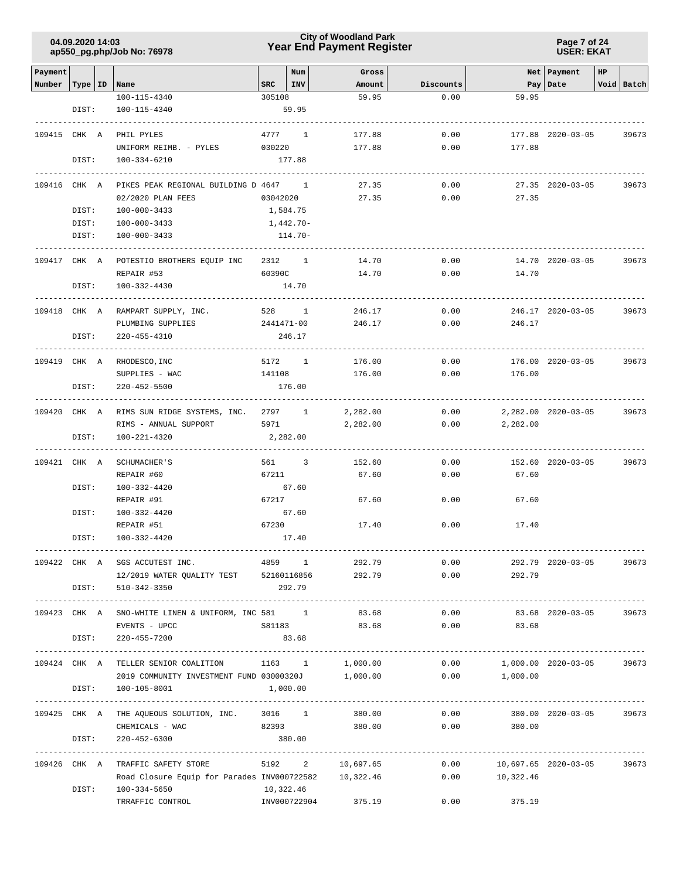### **Year End Payment Register City of Woodland Park 04.09.2020 14:03**

**Page 7 of 24 USER: EKAT**

| Payment                   |       |                                                              |          | Num        | Gross               |              |                                           | Net   Payment       | HP |            |
|---------------------------|-------|--------------------------------------------------------------|----------|------------|---------------------|--------------|-------------------------------------------|---------------------|----|------------|
| Number   Type   ID   Name |       |                                                              | SRC      | $ $ INV    | Amount              | Discounts    |                                           | Pay Date            |    | Void Batch |
|                           |       | 100-115-4340                                                 | 305108   |            | 59.95               | 0.00         | 59.95                                     |                     |    |            |
|                           | DIST: | 100-115-4340                                                 |          | 59.95      |                     |              |                                           |                     |    |            |
| 109415 CHK A              |       | PHIL PYLES                                                   |          | 4777 1     | 177.88              | 0.00         |                                           | 177.88 2020-03-05   |    | 39673      |
|                           |       | UNIFORM REIMB. - PYLES                                       | 030220   |            | 177.88              | 0.00         | 177.88                                    |                     |    |            |
|                           | DIST: | 100-334-6210                                                 |          | 177.88     |                     |              |                                           |                     |    |            |
|                           |       |                                                              |          |            |                     |              |                                           |                     |    |            |
| 109416 CHK A              |       | PIKES PEAK REGIONAL BUILDING D 4647 1                        |          |            | 27.35               | 0.00         |                                           | 27.35 2020-03-05    |    | 39673      |
|                           |       | 02/2020 PLAN FEES                                            | 03042020 |            | 27.35               | 0.00         | 27.35                                     |                     |    |            |
|                           | DIST: | 100-000-3433                                                 | 1,584.75 |            |                     |              |                                           |                     |    |            |
|                           | DIST: | 100-000-3433                                                 |          | 1,442.70-  |                     |              |                                           |                     |    |            |
|                           | DIST: | 100-000-3433                                                 |          | 114.70-    |                     |              |                                           |                     |    |            |
|                           |       | POTESTIO BROTHERS EQUIP INC                                  |          | 2312 1     |                     | 0.00         |                                           | 14.70 2020-03-05    |    |            |
| 109417 CHK A              |       | REPAIR #53                                                   | 60390C   |            | 14.70<br>14.70      | 0.00         | 14.70                                     |                     |    | 39673      |
|                           | DIST: | 100-332-4430                                                 |          | 14.70      |                     |              |                                           |                     |    |            |
|                           |       |                                                              |          |            |                     |              |                                           |                     |    |            |
| 109418 CHK A              |       | RAMPART SUPPLY, INC.                                         |          | 528 1      | 246.17              | 0.00         |                                           | 246.17 2020-03-05   |    | 39673      |
|                           |       | PLUMBING SUPPLIES                                            |          | 2441471-00 | 246.17              | 0.00         | 246.17                                    |                     |    |            |
|                           | DIST: | 220-455-4310                                                 |          | 246.17     |                     |              |                                           |                     |    |            |
|                           |       |                                                              |          |            |                     |              |                                           |                     |    |            |
|                           |       | 109419 CHK A RHODESCO, INC                                   |          | 5172 1     | 176.00              | 0.00         |                                           | 176.00 2020-03-05   |    | 39673      |
|                           | DIST: | SUPPLIES - WAC<br>$220 - 452 - 5500$                         | 141108   | 176.00     | 176.00              | 0.00         | 176.00                                    |                     |    |            |
|                           |       |                                                              |          |            |                     |              |                                           |                     |    |            |
|                           |       | 109420 CHK A RIMS SUN RIDGE SYSTEMS, INC. 2797 1             |          |            | 2,282.00            | 0.00         |                                           | 2,282.00 2020-03-05 |    | 39673      |
|                           |       | RIMS - ANNUAL SUPPORT                                        | 5971     |            | 2,282.00            | 0.00         | 2,282.00                                  |                     |    |            |
|                           | DIST: | 100-221-4320                                                 | 2,282.00 |            |                     |              |                                           |                     |    |            |
| 109421 CHK A              |       |                                                              |          |            |                     |              |                                           |                     |    |            |
|                           |       | SCHUMACHER'S<br>REPAIR #60                                   | 67211    | 561 3      | 152.60<br>67.60     | 0.00<br>0.00 | 67.60                                     | 152.60 2020-03-05   |    | 39673      |
|                           | DIST: | 100-332-4420                                                 |          | 67.60      |                     |              |                                           |                     |    |            |
|                           |       | REPAIR #91                                                   | 67217    |            | 67.60               | 0.00         | 67.60                                     |                     |    |            |
|                           | DIST: | 100-332-4420                                                 |          | 67.60      |                     |              |                                           |                     |    |            |
|                           |       | REPAIR #51                                                   | 67230    |            | 17.40               | 0.00         | 17.40                                     |                     |    |            |
|                           | DIST: | 100-332-4420                                                 |          | 17.40      |                     |              |                                           |                     |    |            |
|                           |       |                                                              |          |            |                     |              |                                           |                     |    |            |
|                           |       | 109422 CHK A SGS ACCUTEST INC. 4859 1                        |          |            | 292.79              |              | 0.00                                      | 292.79 2020-03-05   |    | 39673      |
|                           |       | 12/2019 WATER QUALITY TEST 52160116856<br>DIST: 510-342-3350 |          | 292.79     |                     | 292.79       | 0.00<br>292.79                            |                     |    |            |
|                           |       |                                                              |          |            |                     |              |                                           |                     |    |            |
|                           |       | 109423 CHK A SNO-WHITE LINEN & UNIFORM, INC 581 1            |          |            | 83.68               | 0.00         |                                           | 83.68 2020-03-05    |    | 39673      |
|                           |       | EVENTS - UPCC                                                | S81183   |            | 83.68               | 0.00         | 83.68                                     |                     |    |            |
|                           | DIST: | 220-455-7200                                                 |          | 83.68      |                     |              |                                           |                     |    |            |
|                           |       |                                                              |          |            |                     |              |                                           |                     |    |            |
|                           |       | 109424 CHK A TELLER SENIOR COALITION 1163 1                  |          |            |                     |              | $1,000.00$ $0.00$ $1,000.00$ $2020-03-05$ |                     |    | 39673      |
|                           |       | 2019 COMMUNITY INVESTMENT FUND 03000320J 1,000.00            |          |            |                     |              | $0.00$ 1,000.00                           |                     |    |            |
|                           | DIST: | 100-105-8001                                                 | 1,000.00 |            |                     |              |                                           |                     |    |            |
|                           |       | 109425 CHK A THE AQUEOUS SOLUTION, INC. 3016 1               |          |            | 380.00              | 0.00         |                                           | 380.00 2020-03-05   |    | 39673      |
|                           |       | CHEMICALS - WAC                                              |          | 82393      | 380.00              | 0.00         | 380.00                                    |                     |    |            |
|                           | DIST: | $220 - 452 - 6300$                                           |          | 380.00     |                     |              |                                           |                     |    |            |
|                           |       |                                                              |          |            |                     |              |                                           |                     |    |            |
|                           |       | 109426 CHK A TRAFFIC SAFETY STORE                            |          |            | 5192 2 10,697.65    |              | $0.00$ 10,697.65 2020-03-05               |                     |    | 39673      |
|                           |       | Road Closure Equip for Parades INV000722582 10,322.46        |          |            |                     |              | $0.00$ 10,322.46                          |                     |    |            |
|                           | DIST: | 100-334-5650<br>TRRAFFIC CONTROL                             |          | 10,322.46  | INV000722904 375.19 |              | $0.00$ 375.19                             |                     |    |            |
|                           |       |                                                              |          |            |                     |              |                                           |                     |    |            |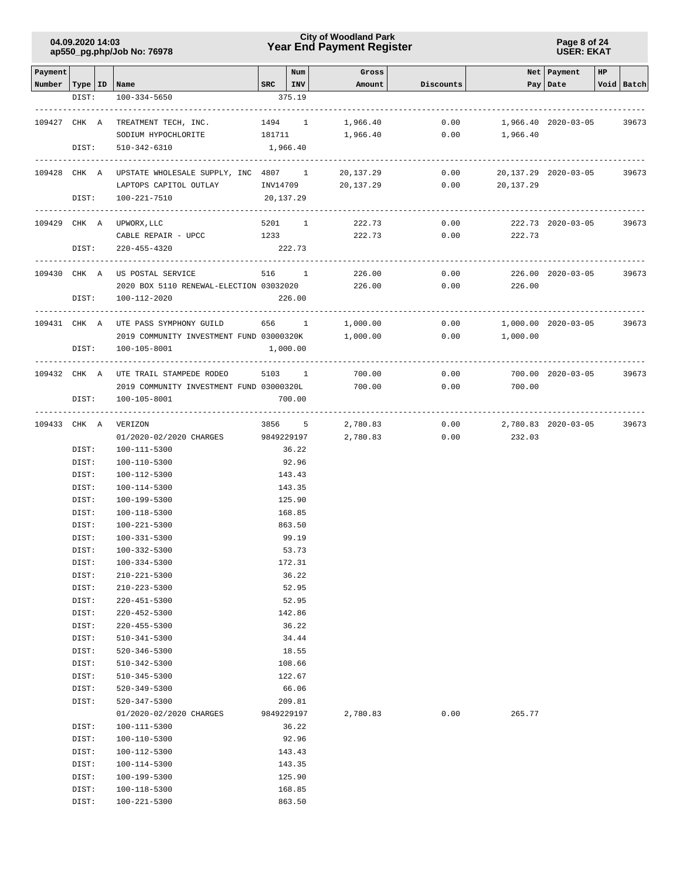### **Year End Payment Register City of Woodland Park 04.09.2020 14:03**

**Page 8 of 24 USER: EKAT**

| Payment                   |                |                                                   |                         | Num            | Gross                |           |                | Net   Payment        | HP |            |
|---------------------------|----------------|---------------------------------------------------|-------------------------|----------------|----------------------|-----------|----------------|----------------------|----|------------|
| Number   Type   ID   Name |                |                                                   | $SRC$   INV             |                | Amount               | Discounts |                | Pay Date             |    | Void Batch |
|                           | DIST:          | $100 - 334 - 5650$                                |                         | 375.19         |                      |           |                |                      |    |            |
| 109427 CHK A              |                | TREATMENT TECH, INC.                              | 1494 1                  |                | 1,966.40             | 0.00      |                | 1,966.40 2020-03-05  |    | 39673      |
|                           |                |                                                   |                         |                |                      |           |                |                      |    |            |
|                           | DIST:          | SODIUM HYPOCHLORITE<br>510-342-6310               | 181711<br>1,966.40      |                | 1,966.40             | 0.00      | 1,966.40       |                      |    |            |
|                           |                |                                                   |                         |                |                      |           |                |                      |    |            |
|                           |                | 109428 CHK A UPSTATE WHOLESALE SUPPLY, INC 4807 1 |                         |                | 20,137.29            | 0.00      |                | 20,137.29 2020-03-05 |    | 39673      |
|                           |                | LAPTOPS CAPITOL OUTLAY                            | INV14709                |                | 20,137.29            | 0.00      | 20,137.29      |                      |    |            |
|                           | DIST:          | 100-221-7510                                      | 20,137.29               |                |                      |           |                |                      |    |            |
|                           |                |                                                   |                         |                |                      |           |                |                      |    |            |
| 109429 CHK A              |                | UPWORX, LLC                                       | 5201 1                  |                | 222.73               | 0.00      |                | 222.73 2020-03-05    |    | 39673      |
|                           |                | CABLE REPAIR - UPCC                               | 1233 and $\overline{a}$ |                | 222.73               |           | 0.00<br>222.73 |                      |    |            |
|                           | DIST:          | $220 - 455 - 4320$                                |                         | 222.73         |                      |           |                |                      |    |            |
|                           |                |                                                   |                         |                |                      |           |                |                      |    |            |
| 109430 CHK A              |                | US POSTAL SERVICE                                 | 516 1                   |                | 226.00               | 0.00      |                | 226.00 2020-03-05    |    | 39673      |
|                           |                | 2020 BOX 5110 RENEWAL-ELECTION 03032020           |                         |                | 226.00               | 0.00      | 226.00         |                      |    |            |
|                           | DIST:          | 100-112-2020                                      |                         | 226.00         |                      |           |                |                      |    |            |
|                           |                |                                                   |                         |                |                      |           |                |                      |    |            |
| 109431 CHK A              |                | UTE PASS SYMPHONY GUILD                           | 656 1                   |                | 1,000.00             | 0.00      |                | 1,000.00 2020-03-05  |    | 39673      |
|                           |                | 2019 COMMUNITY INVESTMENT FUND 03000320K          |                         |                | 1,000.00             | 0.00      | 1,000.00       |                      |    |            |
|                           | DIST:          | 100-105-8001                                      |                         | 1,000.00       |                      |           |                |                      |    |            |
|                           |                |                                                   |                         |                |                      |           |                |                      |    |            |
|                           |                | 109432 CHK A UTE TRAIL STAMPEDE RODEO             | 5103 1                  |                | 700.00               | 0.00      |                | 700.00 2020-03-05    |    | 39673      |
|                           |                | 2019 COMMUNITY INVESTMENT FUND 03000320L          |                         |                | 700.00               | 0.00      | 700.00         |                      |    |            |
|                           | DIST:          | 100-105-8001                                      |                         | 700.00         |                      |           |                |                      |    |            |
|                           |                | VERIZON                                           | 3856 5                  |                |                      | 0.00      |                |                      |    | 39673      |
| 109433 CHK A              |                | 01/2020-02/2020 CHARGES                           | 9849229197              |                | 2,780.83<br>2,780.83 | 0.00      | 232.03         | 2,780.83 2020-03-05  |    |            |
|                           | DIST:          | 100-111-5300                                      |                         | 36.22          |                      |           |                |                      |    |            |
|                           | DIST:          | 100-110-5300                                      |                         | 92.96          |                      |           |                |                      |    |            |
|                           | DIST:          | 100-112-5300                                      |                         | 143.43         |                      |           |                |                      |    |            |
|                           | DIST:          | 100-114-5300                                      |                         | 143.35         |                      |           |                |                      |    |            |
|                           | DIST:          | 100-199-5300                                      |                         | 125.90         |                      |           |                |                      |    |            |
|                           | DIST:          | 100-118-5300                                      |                         | 168.85         |                      |           |                |                      |    |            |
|                           | DIST:          | 100-221-5300                                      |                         | 863.50         |                      |           |                |                      |    |            |
|                           | DIST:          | 100-331-5300                                      |                         | 99.19          |                      |           |                |                      |    |            |
|                           | DIST:          | 100-332-5300                                      |                         | 53.73          |                      |           |                |                      |    |            |
|                           | DIST:          | $100 - 334 - 5300$                                |                         | 172.31         |                      |           |                |                      |    |            |
|                           | DIST:          | $210 - 221 - 5300$                                |                         | 36.22          |                      |           |                |                      |    |            |
|                           | DIST:          | $210 - 223 - 5300$                                |                         | 52.95          |                      |           |                |                      |    |            |
|                           | DIST:          | $220 - 451 - 5300$                                |                         | 52.95          |                      |           |                |                      |    |            |
|                           | DIST:          | $220 - 452 - 5300$                                |                         | 142.86         |                      |           |                |                      |    |            |
|                           | DIST:          | $220 - 455 - 5300$                                |                         | 36.22          |                      |           |                |                      |    |            |
|                           | DIST:          | 510-341-5300                                      |                         | 34.44          |                      |           |                |                      |    |            |
|                           | DIST:          | $520 - 346 - 5300$                                |                         | 18.55          |                      |           |                |                      |    |            |
|                           | DIST:          | 510-342-5300                                      |                         | 108.66         |                      |           |                |                      |    |            |
|                           | DIST:          | 510-345-5300                                      |                         | 122.67         |                      |           |                |                      |    |            |
|                           | DIST:          | 520-349-5300                                      |                         | 66.06          |                      |           |                |                      |    |            |
|                           | DIST:          | 520-347-5300                                      |                         | 209.81         |                      |           |                |                      |    |            |
|                           |                | 01/2020-02/2020 CHARGES                           | 9849229197              |                | 2,780.83             | 0.00      | 265.77         |                      |    |            |
|                           | DIST:<br>DIST: | 100-111-5300<br>100-110-5300                      |                         | 36.22<br>92.96 |                      |           |                |                      |    |            |
|                           | DIST:          | 100-112-5300                                      |                         | 143.43         |                      |           |                |                      |    |            |
|                           | DIST:          | 100-114-5300                                      |                         | 143.35         |                      |           |                |                      |    |            |
|                           | DIST:          | 100-199-5300                                      |                         | 125.90         |                      |           |                |                      |    |            |
|                           | DIST:          | 100-118-5300                                      |                         | 168.85         |                      |           |                |                      |    |            |
|                           | DIST:          | 100-221-5300                                      |                         | 863.50         |                      |           |                |                      |    |            |
|                           |                |                                                   |                         |                |                      |           |                |                      |    |            |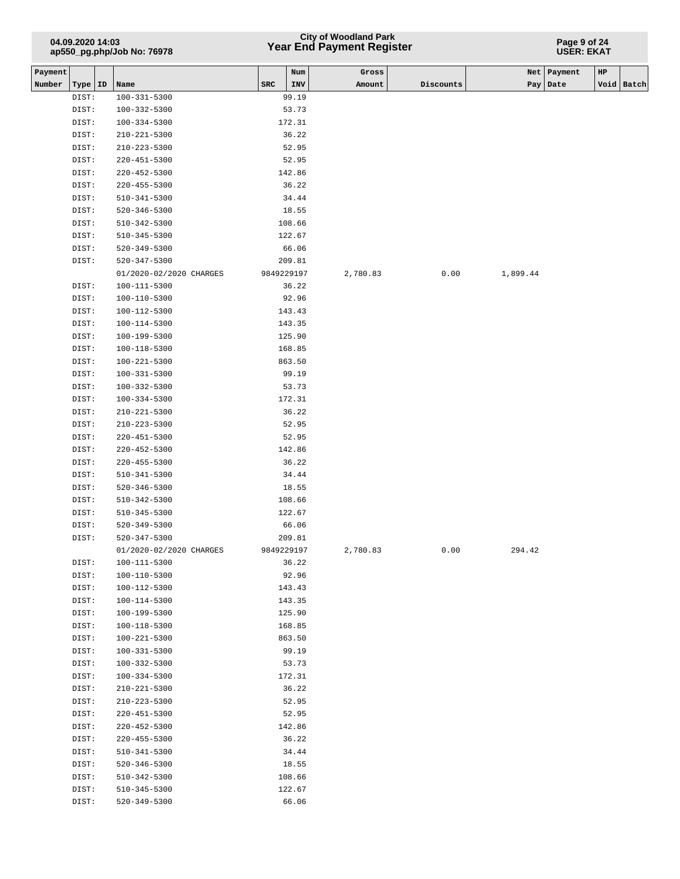## **Year End Payment Register City of Woodland Park 04.09.2020 14:03**

#### **Page 9 of 24 USER: EKAT**

| Payment |                |                                    |            | Num             | Gross    |           |          | Net Payment | $_{\rm HP}$ |            |
|---------|----------------|------------------------------------|------------|-----------------|----------|-----------|----------|-------------|-------------|------------|
| Number  | Type   ID      | Name                               | <b>SRC</b> | INV             | Amount   | Discounts |          | Pay   Date  |             | Void Batch |
|         | DIST:          | $100 - 331 - 5300$                 |            | 99.19           |          |           |          |             |             |            |
|         | DIST:          | 100-332-5300                       |            | 53.73           |          |           |          |             |             |            |
|         | DIST:          | $100 - 334 - 5300$                 |            | 172.31          |          |           |          |             |             |            |
|         | DIST:          | $210 - 221 - 5300$                 |            | 36.22           |          |           |          |             |             |            |
|         | DIST:          | $210 - 223 - 5300$                 |            | 52.95           |          |           |          |             |             |            |
|         | DIST:          | 220-451-5300                       |            | 52.95           |          |           |          |             |             |            |
|         | DIST:          | $220 - 452 - 5300$                 |            | 142.86          |          |           |          |             |             |            |
|         | DIST:          | $220 - 455 - 5300$                 |            | 36.22           |          |           |          |             |             |            |
|         | DIST:          | $510 - 341 - 5300$                 |            | 34.44           |          |           |          |             |             |            |
|         | DIST:          | $520 - 346 - 5300$                 |            | 18.55           |          |           |          |             |             |            |
|         | DIST:          | 510-342-5300                       |            | 108.66          |          |           |          |             |             |            |
|         | DIST:          | 510-345-5300                       |            | 122.67          |          |           |          |             |             |            |
|         | DIST:          | 520-349-5300                       |            | 66.06           |          |           |          |             |             |            |
|         | DIST:          | 520-347-5300                       |            | 209.81          |          |           |          |             |             |            |
|         |                | 01/2020-02/2020 CHARGES            | 9849229197 |                 | 2,780.83 | 0.00      | 1,899.44 |             |             |            |
|         | DIST:          | 100-111-5300                       |            | 36.22           |          |           |          |             |             |            |
|         | DIST:          | $100 - 110 - 5300$                 |            | 92.96           |          |           |          |             |             |            |
|         | DIST:          | 100-112-5300                       |            | 143.43          |          |           |          |             |             |            |
|         | DIST:          | 100-114-5300                       |            | 143.35          |          |           |          |             |             |            |
|         | DIST:          | 100-199-5300                       |            | 125.90          |          |           |          |             |             |            |
|         | DIST:          | 100-118-5300                       |            | 168.85          |          |           |          |             |             |            |
|         | DIST:          | 100-221-5300                       |            | 863.50          |          |           |          |             |             |            |
|         | DIST:          | 100-331-5300                       |            | 99.19           |          |           |          |             |             |            |
|         | DIST:          | 100-332-5300                       |            | 53.73           |          |           |          |             |             |            |
|         | DIST:          | $100 - 334 - 5300$                 |            | 172.31          |          |           |          |             |             |            |
|         | DIST:          | $210 - 221 - 5300$                 |            | 36.22           |          |           |          |             |             |            |
|         | DIST:          | $210 - 223 - 5300$                 |            | 52.95           |          |           |          |             |             |            |
|         | DIST:          | $220 - 451 - 5300$                 |            | 52.95           |          |           |          |             |             |            |
|         | DIST:          | 220-452-5300                       |            | 142.86          |          |           |          |             |             |            |
|         | DIST:          | $220 - 455 - 5300$                 |            | 36.22           |          |           |          |             |             |            |
|         | DIST:          | 510-341-5300                       |            | 34.44           |          |           |          |             |             |            |
|         | DIST:          | 520-346-5300                       |            | 18.55           |          |           |          |             |             |            |
|         | DIST:          | 510-342-5300                       |            | 108.66          |          |           |          |             |             |            |
|         | DIST:          | 510-345-5300                       |            | 122.67          |          |           |          |             |             |            |
|         | DIST:          | 520-349-5300                       |            | 66.06           |          |           |          |             |             |            |
|         | DIST:          | 520-347-5300                       |            | 209.81          |          |           |          |             |             |            |
|         |                | 01/2020-02/2020 CHARGES            | 9849229197 |                 | 2,780.83 | 0.00      | 294.42   |             |             |            |
|         | DIST:          | 100-111-5300                       |            | 36.22           |          |           |          |             |             |            |
|         | DIST:          | $100 - 110 - 5300$                 |            | 92.96           |          |           |          |             |             |            |
|         | DIST:          | 100-112-5300                       |            | 143.43          |          |           |          |             |             |            |
|         | DIST:          | 100-114-5300                       |            | 143.35          |          |           |          |             |             |            |
|         | DIST:          | 100-199-5300                       |            | 125.90          |          |           |          |             |             |            |
|         | DIST:          | $100 - 118 - 5300$                 |            | 168.85          |          |           |          |             |             |            |
|         | DIST:          | 100-221-5300                       |            | 863.50          |          |           |          |             |             |            |
|         | DIST:<br>DIST: | 100-331-5300<br>$100 - 332 - 5300$ |            | 99.19<br>53.73  |          |           |          |             |             |            |
|         |                |                                    |            |                 |          |           |          |             |             |            |
|         | DIST:<br>DIST: | $100 - 334 - 5300$<br>210-221-5300 |            | 172.31<br>36.22 |          |           |          |             |             |            |
|         | DIST:          | $210 - 223 - 5300$                 |            | 52.95           |          |           |          |             |             |            |
|         | DIST:          | $220 - 451 - 5300$                 |            | 52.95           |          |           |          |             |             |            |
|         | DIST:          | $220 - 452 - 5300$                 |            | 142.86          |          |           |          |             |             |            |
|         | DIST:          | $220 - 455 - 5300$                 |            | 36.22           |          |           |          |             |             |            |
|         | DIST:          | $510 - 341 - 5300$                 |            | 34.44           |          |           |          |             |             |            |
|         | DIST:          | 520-346-5300                       |            | 18.55           |          |           |          |             |             |            |
|         | DIST:          | 510-342-5300                       |            | 108.66          |          |           |          |             |             |            |
|         | DIST:          | 510-345-5300                       |            | 122.67          |          |           |          |             |             |            |
|         | DIST:          | 520-349-5300                       |            | 66.06           |          |           |          |             |             |            |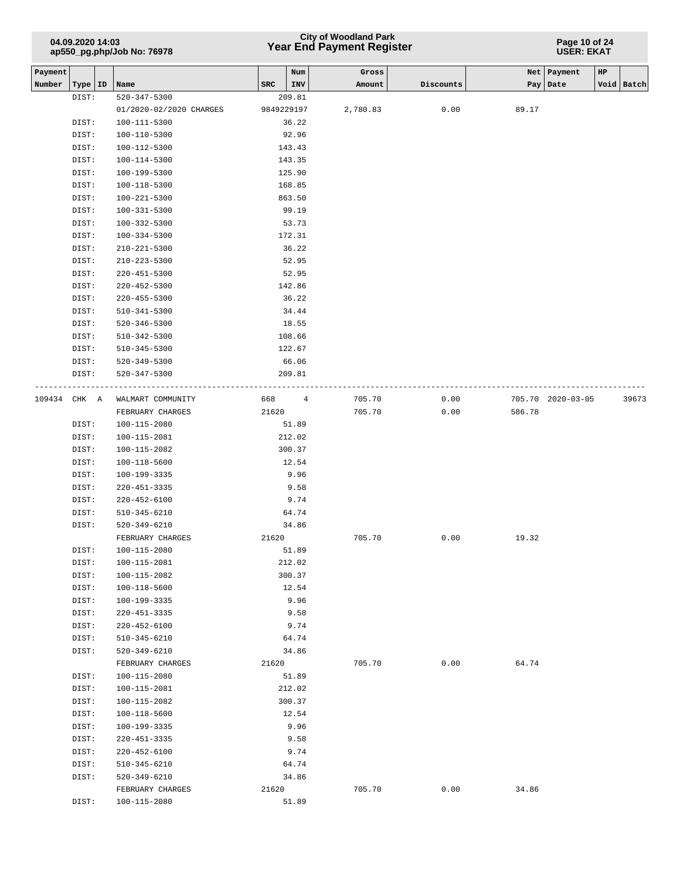## **Year End Payment Register City of Woodland Park 04.09.2020 14:03**

**Page 10 of 24 USER: EKAT**

| Payment |           |                         |            | Num    | Gross    |           |        | Net   Payment     | HP |            |
|---------|-----------|-------------------------|------------|--------|----------|-----------|--------|-------------------|----|------------|
| Number  | Type   ID | Name                    | SRC        | INV    | Amount   | Discounts | Pay    | Date              |    | Void Batch |
|         | DIST:     | $520 - 347 - 5300$      |            | 209.81 |          |           |        |                   |    |            |
|         |           | 01/2020-02/2020 CHARGES | 9849229197 |        | 2,780.83 | 0.00      | 89.17  |                   |    |            |
|         | DIST:     | 100-111-5300            |            | 36.22  |          |           |        |                   |    |            |
|         | DIST:     | 100-110-5300            |            | 92.96  |          |           |        |                   |    |            |
|         | DIST:     | 100-112-5300            |            | 143.43 |          |           |        |                   |    |            |
|         | DIST:     | 100-114-5300            |            | 143.35 |          |           |        |                   |    |            |
|         | DIST:     | 100-199-5300            |            | 125.90 |          |           |        |                   |    |            |
|         | DIST:     | 100-118-5300            |            | 168.85 |          |           |        |                   |    |            |
|         | DIST:     | $100 - 221 - 5300$      |            | 863.50 |          |           |        |                   |    |            |
|         | DIST:     | 100-331-5300            |            | 99.19  |          |           |        |                   |    |            |
|         | DIST:     | $100 - 332 - 5300$      |            | 53.73  |          |           |        |                   |    |            |
|         | DIST:     | $100 - 334 - 5300$      |            | 172.31 |          |           |        |                   |    |            |
|         | DIST:     | 210-221-5300            |            | 36.22  |          |           |        |                   |    |            |
|         | DIST:     | 210-223-5300            |            | 52.95  |          |           |        |                   |    |            |
|         | DIST:     | 220-451-5300            |            | 52.95  |          |           |        |                   |    |            |
|         | DIST:     | 220-452-5300            |            | 142.86 |          |           |        |                   |    |            |
|         | DIST:     | $220 - 455 - 5300$      |            | 36.22  |          |           |        |                   |    |            |
|         | DIST:     | 510-341-5300            |            | 34.44  |          |           |        |                   |    |            |
|         | DIST:     | $520 - 346 - 5300$      |            | 18.55  |          |           |        |                   |    |            |
|         | DIST:     | 510-342-5300            |            | 108.66 |          |           |        |                   |    |            |
|         | DIST:     | $510 - 345 - 5300$      |            | 122.67 |          |           |        |                   |    |            |
|         | DIST:     | 520-349-5300            |            | 66.06  |          |           |        |                   |    |            |
|         | DIST:     | 520-347-5300            |            | 209.81 |          |           |        |                   |    |            |
| 109434  | CHK A     | WALMART COMMUNITY       | 668 — 10   | 4      | 705.70   | 0.00      |        | 705.70 2020-03-05 |    | 39673      |
|         |           | FEBRUARY CHARGES        | 21620      |        | 705.70   | 0.00      | 586.78 |                   |    |            |
|         | DIST:     | 100-115-2080            |            | 51.89  |          |           |        |                   |    |            |
|         | DIST:     | 100-115-2081            |            | 212.02 |          |           |        |                   |    |            |
|         | DIST:     | 100-115-2082            |            | 300.37 |          |           |        |                   |    |            |
|         | DIST:     | 100-118-5600            |            | 12.54  |          |           |        |                   |    |            |
|         | DIST:     | 100-199-3335            |            | 9.96   |          |           |        |                   |    |            |
|         | DIST:     | $220 - 451 - 3335$      |            | 9.58   |          |           |        |                   |    |            |
|         | DIST:     | $220 - 452 - 6100$      |            | 9.74   |          |           |        |                   |    |            |
|         | DIST:     | 510-345-6210            |            | 64.74  |          |           |        |                   |    |            |
|         | DIST:     | 520-349-6210            |            | 34.86  |          |           |        |                   |    |            |
|         |           | FEBRUARY CHARGES        | 21620      |        | 705.70   | 0.00      | 19.32  |                   |    |            |
|         | DIST:     | $100 - 115 - 2080$      |            | 51.89  |          |           |        |                   |    |            |
|         | DIST:     | 100-115-2081            |            | 212.02 |          |           |        |                   |    |            |
|         | DIST:     | 100-115-2082            |            | 300.37 |          |           |        |                   |    |            |
|         | DIST:     | 100-118-5600            |            | 12.54  |          |           |        |                   |    |            |
|         | DIST:     | 100-199-3335            |            | 9.96   |          |           |        |                   |    |            |
|         | DIST:     | $220 - 451 - 3335$      |            | 9.58   |          |           |        |                   |    |            |
|         | DIST:     | $220 - 452 - 6100$      |            | 9.74   |          |           |        |                   |    |            |
|         | DIST:     | 510-345-6210            |            | 64.74  |          |           |        |                   |    |            |
|         | DIST:     | 520-349-6210            |            | 34.86  |          |           |        |                   |    |            |
|         |           | FEBRUARY CHARGES        | 21620      |        | 705.70   | 0.00      | 64.74  |                   |    |            |
|         | DIST:     | 100-115-2080            |            | 51.89  |          |           |        |                   |    |            |
|         | DIST:     | 100-115-2081            |            | 212.02 |          |           |        |                   |    |            |
|         | DIST:     | 100-115-2082            |            | 300.37 |          |           |        |                   |    |            |
|         | DIST:     | 100-118-5600            |            | 12.54  |          |           |        |                   |    |            |
|         | DIST:     | 100-199-3335            |            | 9.96   |          |           |        |                   |    |            |
|         | DIST:     | 220-451-3335            |            | 9.58   |          |           |        |                   |    |            |
|         | DIST:     | 220-452-6100            |            | 9.74   |          |           |        |                   |    |            |
|         | DIST:     | 510-345-6210            |            | 64.74  |          |           |        |                   |    |            |
|         | DIST:     | $520 - 349 - 6210$      |            | 34.86  |          |           |        |                   |    |            |
|         |           | FEBRUARY CHARGES        | 21620      |        | 705.70   | 0.00      | 34.86  |                   |    |            |
|         | DIST:     | 100-115-2080            |            | 51.89  |          |           |        |                   |    |            |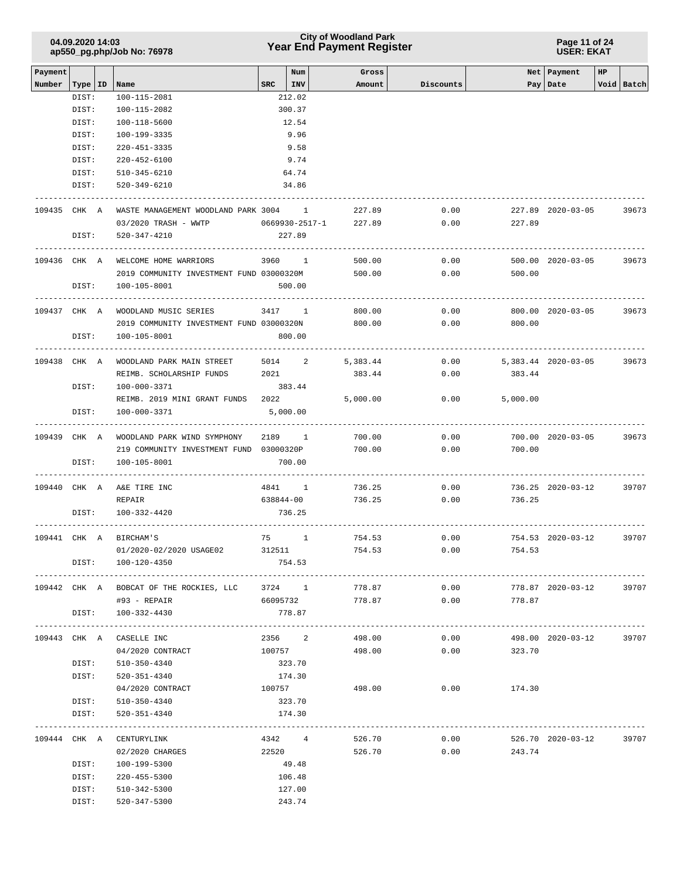### **Year End Payment Register City of Woodland Park 04.09.2020 14:03**

#### **Page 11 of 24 USER: EKAT**

| Payment |              |                                                | Num             | Gross    |           |                     | Net   Payment     | HP         |
|---------|--------------|------------------------------------------------|-----------------|----------|-----------|---------------------|-------------------|------------|
| Number  |              | Type   ID   Name                               | $SRC$   INV     | Amount   | Discounts |                     | Pay Date          | Void Batch |
|         | DIST:        | 100-115-2081                                   | 212.02          |          |           |                     |                   |            |
|         | DIST:        | 100-115-2082                                   | 300.37          |          |           |                     |                   |            |
|         | DIST:        | 100-118-5600                                   | 12.54           |          |           |                     |                   |            |
|         | DIST:        | 100-199-3335                                   | 9.96            |          |           |                     |                   |            |
|         | DIST:        | 220-451-3335                                   | 9.58            |          |           |                     |                   |            |
|         | DIST:        | $220 - 452 - 6100$                             | 9.74            |          |           |                     |                   |            |
|         | DIST:        | 510-345-6210                                   | 64.74           |          |           |                     |                   |            |
|         | DIST:        | 520-349-6210                                   | 34.86           |          |           |                     |                   |            |
|         | 109435 CHK A | WASTE MANAGEMENT WOODLAND PARK 3004 1          |                 | 227.89   | 0.00      |                     | 227.89 2020-03-05 | 39673      |
|         |              | 03/2020 TRASH - WWTP 0669930-2517-1 227.89     |                 |          | 0.00      | 227.89              |                   |            |
|         | DIST:        | 520-347-4210                                   | 227.89          |          |           |                     |                   |            |
|         |              |                                                |                 |          |           |                     |                   |            |
|         | 109436 CHK A | WELCOME HOME WARRIORS                          | 3960 1          | 500.00   | 0.00      |                     | 500.00 2020-03-05 | 39673      |
|         |              | 2019 COMMUNITY INVESTMENT FUND 03000320M       |                 | 500.00   | 0.00      | 500.00              |                   |            |
|         | DIST:        | 100-105-8001                                   | 500.00          |          |           |                     |                   |            |
|         | 109437 CHK A | WOODLAND MUSIC SERIES                          | 3417 1          | 800.00   | 0.00      |                     | 800.00 2020-03-05 | 39673      |
|         |              | 2019 COMMUNITY INVESTMENT FUND 03000320N       |                 | 800.00   | 0.00      | 800.00              |                   |            |
|         | DIST:        | 100-105-8001                                   | 800.00          |          |           |                     |                   |            |
|         |              |                                                |                 |          |           |                     |                   |            |
|         | 109438 CHK A | WOODLAND PARK MAIN STREET                      | 5014 2 5,383.44 |          | 0.00      | 5,383.44 2020-03-05 |                   | 39673      |
|         |              | REIMB. SCHOLARSHIP FUNDS                       | 2021            | 383.44   | 0.00      | 383.44              |                   |            |
|         | DIST:        | 100-000-3371                                   | 383.44          |          |           |                     |                   |            |
|         |              | REIMB. 2019 MINI GRANT FUNDS 2022              |                 | 5,000.00 | 0.00      | 5,000.00            |                   |            |
|         | DIST:        | 100-000-3371                                   | 5,000.00        |          |           |                     |                   |            |
|         | 109439 CHK A | WOODLAND PARK WIND SYMPHONY                    | 2189 1 700.00   |          | 0.00      |                     | 700.00 2020-03-05 | 39673      |
|         |              | 219 COMMUNITY INVESTMENT FUND 03000320P        |                 | 700.00   | 0.00      | 700.00              |                   |            |
|         | DIST:        | 100-105-8001                                   | 700.00          |          |           |                     |                   |            |
|         | 109440 CHK A | A&E TIRE INC                                   | 4841 1          | 736.25   | 0.00      |                     | 736.25 2020-03-12 | 39707      |
|         |              | REPAIR                                         | 638844-00       | 736.25   | 0.00      | 736.25              |                   |            |
|         | DIST:        | 100-332-4420                                   | 736.25          |          |           |                     |                   |            |
|         |              |                                                |                 |          |           |                     |                   |            |
|         | 109441 CHK A | BIRCHAM'S                                      | 75 1            | 754.53   | 0.00      |                     | 754.53 2020-03-12 | 39707      |
|         |              | 01/2020-02/2020 USAGE02                        | 312511          | 754.53   | 0.00      | 754.53              |                   |            |
|         | DIST:        | 100-120-4350                                   | 754.53          |          |           |                     |                   |            |
|         |              |                                                |                 |          |           |                     |                   |            |
|         |              | 109442 CHK A BOBCAT OF THE ROCKIES, LLC        | 3724 1          | 778.87   | 0.00      |                     | 778.87 2020-03-12 | 39707      |
|         |              | #93 - REPAIR                                   | 66095732        | 778.87   | 0.00      | 778.87              |                   |            |
|         | DIST:        | 100-332-4430<br>------------------------------ | 778.87          |          |           |                     |                   |            |
|         |              | 109443 CHK A CASELLE INC                       | 2356 2          | 498.00   | 0.00      |                     | 498.00 2020-03-12 | 39707      |
|         |              | 04/2020 CONTRACT                               | 100757          | 498.00   | 0.00      | 323.70              |                   |            |
|         | DIST:        | 510-350-4340                                   | 323.70          |          |           |                     |                   |            |
|         | DIST:        | 520-351-4340                                   | 174.30          |          |           |                     |                   |            |
|         |              | 04/2020 CONTRACT                               | 100757          | 498.00   | 0.00      | 174.30              |                   |            |
|         | DIST:        | 510-350-4340                                   | 323.70          |          |           |                     |                   |            |
|         | DIST:        | 520-351-4340                                   | 174.30          |          |           |                     |                   |            |
|         |              |                                                |                 |          |           |                     |                   |            |
|         |              | 109444 CHK A CENTURYLINK                       | 4342 4          | 526.70   | 0.00      |                     | 526.70 2020-03-12 | 39707      |
|         |              | 02/2020 CHARGES                                | 22520           | 526.70   | 0.00      | 243.74              |                   |            |
|         | DIST:        | 100-199-5300                                   | 49.48           |          |           |                     |                   |            |
|         | DIST:        | 220-455-5300                                   | 106.48          |          |           |                     |                   |            |
|         | DIST:        | 510-342-5300                                   | 127.00          |          |           |                     |                   |            |
|         | DIST:        | 520-347-5300                                   | 243.74          |          |           |                     |                   |            |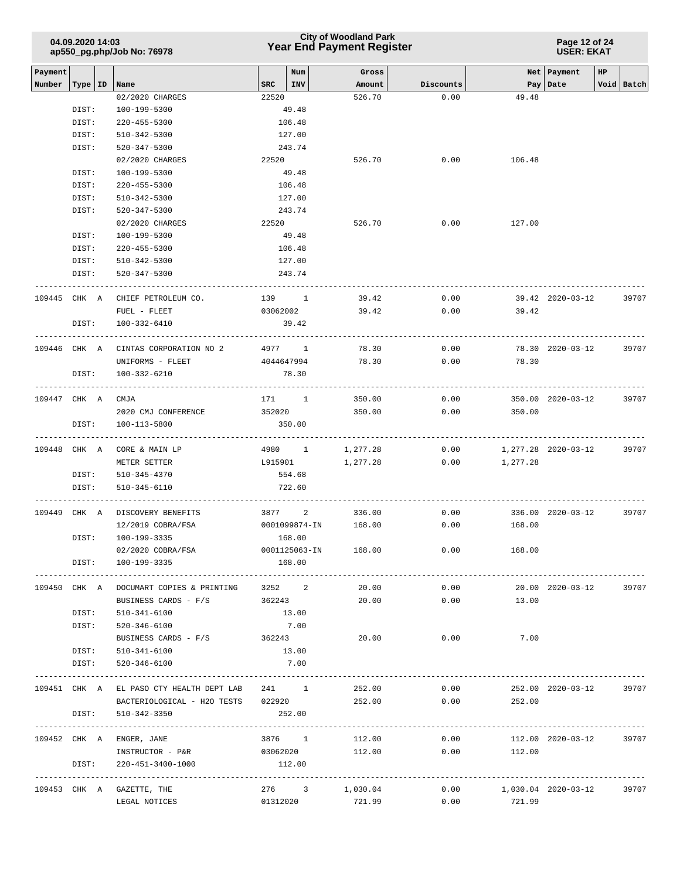| 04.09.2020 14:03           |  |
|----------------------------|--|
| ap550_pg.php/Job No: 76978 |  |

**Page 12 of 24 USER: EKAT**

| Payment      |           |                                          |                    | Num                    | Gross            |                   |                | Net   Payment       | HP. |            |
|--------------|-----------|------------------------------------------|--------------------|------------------------|------------------|-------------------|----------------|---------------------|-----|------------|
| Number       | Type   ID | Name<br>02/2020 CHARGES                  | SRC   INV<br>22520 |                        | Amount<br>526.70 | Discounts<br>0.00 | 49.48          | Pay   Date          |     | Void Batch |
|              | DIST:     | 100-199-5300                             |                    | 49.48                  |                  |                   |                |                     |     |            |
|              | DIST:     | $220 - 455 - 5300$                       |                    | 106.48                 |                  |                   |                |                     |     |            |
|              | DIST:     | 510-342-5300                             |                    | 127.00                 |                  |                   |                |                     |     |            |
|              | DIST:     | 520-347-5300                             |                    | 243.74                 |                  |                   |                |                     |     |            |
|              |           | 02/2020 CHARGES                          | 22520              |                        | 526.70           | 0.00              | 106.48         |                     |     |            |
|              | DIST:     | 100-199-5300                             |                    | 49.48                  |                  |                   |                |                     |     |            |
|              | DIST:     | 220-455-5300                             |                    | 106.48                 |                  |                   |                |                     |     |            |
|              | DIST:     | 510-342-5300                             |                    | 127.00                 |                  |                   |                |                     |     |            |
|              | DIST:     | 520-347-5300                             |                    | 243.74                 |                  |                   |                |                     |     |            |
|              |           | 02/2020 CHARGES                          | 22520              |                        | 526.70           | 0.00              | 127.00         |                     |     |            |
|              | DIST:     | 100-199-5300                             |                    | 49.48                  |                  |                   |                |                     |     |            |
|              | DIST:     | 220-455-5300                             |                    | 106.48                 |                  |                   |                |                     |     |            |
|              | DIST:     | 510-342-5300                             |                    | 127.00                 |                  |                   |                |                     |     |            |
|              | DIST:     | 520-347-5300                             |                    | 243.74                 |                  |                   |                |                     |     |            |
| 109445       | CHK A     | CHIEF PETROLEUM CO.                      | 139 1              |                        | 39.42            | 0.00              |                | 39.42 2020-03-12    |     | 39707      |
|              |           | FUEL - FLEET                             | 03062002           |                        | 39.42            | 0.00              | 39.42          |                     |     |            |
|              | DIST:     | 100-332-6410                             |                    | 39.42                  |                  |                   |                |                     |     |            |
| 109446 CHK A |           | CINTAS CORPORATION NO 2                  |                    | . <u>.</u> .<br>4977 1 | 78.30            | 0.00              |                | 78.30 2020-03-12    |     | 39707      |
|              |           | UNIFORMS - FLEET                         | 4044647994         |                        | 78.30            | 0.00              | 78.30          |                     |     |            |
|              | DIST:     | 100-332-6210                             |                    | 78.30                  |                  |                   |                |                     |     |            |
| 109447 CHK A |           | CMJA                                     |                    | 171 1                  | 350.00           | 0.00              |                | 350.00 2020-03-12   |     | 39707      |
|              |           | 2020 CMJ CONFERENCE                      | 352020             |                        | 350.00           | 0.00              | 350.00         |                     |     |            |
|              | DIST:     | 100-113-5800                             |                    | 350.00                 |                  |                   |                |                     |     |            |
| 109448 CHK A |           | CORE & MAIN LP                           |                    | 4980 1                 | 1,277.28         | 0.00              |                | 1,277.28 2020-03-12 |     | 39707      |
|              |           | METER SETTER                             | L915901            |                        | 1,277.28         | 0.00              | 1,277.28       |                     |     |            |
|              | DIST:     | 510-345-4370                             |                    | 554.68                 |                  |                   |                |                     |     |            |
|              | DIST:     | 510-345-6110                             |                    | 722.60                 |                  |                   |                |                     |     |            |
| 109449       | CHK A     | DISCOVERY BENEFITS                       |                    | 3877 2                 | 336.00           | 0.00              |                | 336.00 2020-03-12   |     | 39707      |
|              |           | 12/2019 COBRA/FSA                        |                    | 0001099874-IN          | 168.00           | 0.00              | 168.00         |                     |     |            |
|              | DIST:     | 100-199-3335                             |                    | 168.00                 |                  |                   |                |                     |     |            |
|              |           | 02/2020 COBRA/FSA                        |                    | 0001125063-IN          | 168.00           | 0.00              | 168.00         |                     |     |            |
|              | DIST:     | 100-199-3335                             |                    | 168.00                 |                  |                   |                |                     |     |            |
| 109450 CHK A |           | DOCUMART COPIES & PRINTING               |                    | 3252 2                 | 20.00            | 0.00              |                | 20.00 2020-03-12    |     | 39707      |
|              |           | BUSINESS CARDS - F/S                     | 362243             |                        | 20.00            | 0.00              | 13.00          |                     |     |            |
|              | DIST:     | 510-341-6100                             |                    | 13.00                  |                  |                   |                |                     |     |            |
|              | DIST:     | 520-346-6100                             |                    | 7.00                   |                  |                   |                |                     |     |            |
|              |           | BUSINESS CARDS - F/S                     | 362243             |                        | 20.00            | 0.00              | 7.00           |                     |     |            |
|              | DIST:     | 510-341-6100                             |                    | 13.00                  |                  |                   |                |                     |     |            |
|              | DIST:     | 520-346-6100                             |                    | 7.00                   |                  |                   |                |                     |     |            |
|              |           | 109451 CHK A EL PASO CTY HEALTH DEPT LAB |                    | 241 1                  | 252.00           | 0.00              |                | 252.00 2020-03-12   |     | 39707      |
|              |           | BACTERIOLOGICAL - H2O TESTS 022920       |                    |                        | 252.00           |                   | 0.00<br>252.00 |                     |     |            |
|              | DIST:     | 510-342-3350                             |                    | 252.00                 |                  |                   |                |                     |     |            |
|              |           | 109452 CHK A ENGER, JANE                 |                    | 3876 1                 | 112.00           | 0.00              |                | 112.00 2020-03-12   |     | 39707      |
|              |           | INSTRUCTOR - P&R                         | 03062020           |                        | 112.00           | 0.00              | 112.00         |                     |     |            |
|              | DIST:     | 220-451-3400-1000                        |                    | 112.00                 |                  |                   |                |                     |     |            |
|              |           | 109453 CHK A GAZETTE, THE                |                    |                        | 276 3 1,030.04   | 0.00              |                | 1,030.04 2020-03-12 |     | 39707      |
|              |           | LEGAL NOTICES                            |                    | 01312020               | 721.99           | 0.00              | 721.99         |                     |     |            |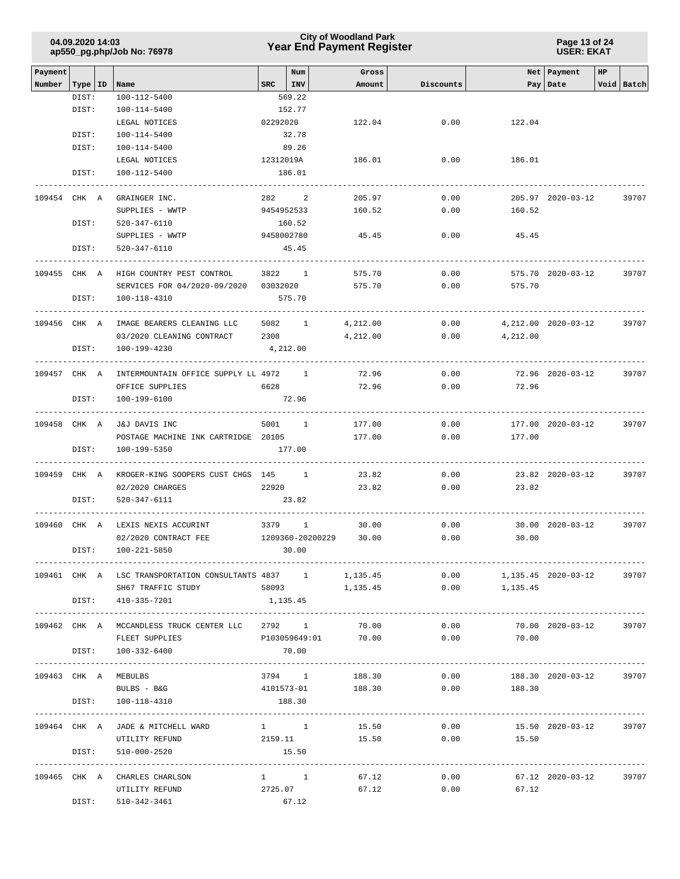### **Year End Payment Register City of Woodland Park 04.09.2020 14:03**

**Page 13 of 24 USER: EKAT**

| Payment      |       |                                                                                 |          | Num                    | Gross               |           |                            | Net   Payment        | HP. |            |
|--------------|-------|---------------------------------------------------------------------------------|----------|------------------------|---------------------|-----------|----------------------------|----------------------|-----|------------|
| Number       | DIST: | $ Type ID $ Name<br>100-112-5400                                                |          | $SRC$ $ INV$<br>569.22 | Amount              | Discounts |                            | Pay   Date           |     | Void Batch |
|              | DIST: | 100-114-5400                                                                    |          | 152.77                 |                     |           |                            |                      |     |            |
|              |       | LEGAL NOTICES                                                                   | 02292020 |                        | 122.04              | 0.00      | 122.04                     |                      |     |            |
|              | DIST: | 100-114-5400                                                                    |          | 32.78                  |                     |           |                            |                      |     |            |
|              | DIST: | 100-114-5400                                                                    |          | 89.26                  |                     |           |                            |                      |     |            |
|              |       | LEGAL NOTICES                                                                   |          | 12312019A              | 186.01              | 0.00      | 186.01                     |                      |     |            |
|              | DIST: | 100-112-5400                                                                    |          | 186.01                 |                     |           |                            |                      |     |            |
|              |       |                                                                                 |          |                        |                     |           |                            |                      |     |            |
| 109454 CHK A |       | GRAINGER INC.                                                                   |          | 282 2                  | 205.97              | 0.00      |                            | 205.97 2020-03-12    |     | 39707      |
|              |       | SUPPLIES - WWTP                                                                 |          | 9454952533             | 160.52              | 0.00      | 160.52                     |                      |     |            |
|              | DIST: | 520-347-6110                                                                    |          | 160.52                 |                     |           |                            |                      |     |            |
|              |       | SUPPLIES - WWTP                                                                 |          | 9458002780             | 45.45               | 0.00      | 45.45                      |                      |     |            |
|              | DIST: | 520-347-6110                                                                    |          | 45.45                  |                     |           |                            |                      |     |            |
|              |       |                                                                                 |          |                        |                     |           |                            |                      |     |            |
| 109455 CHK A |       | HIGH COUNTRY PEST CONTROL 3822 1                                                |          |                        | 575.70              | 0.00      |                            | 575.70 2020-03-12    |     | 39707      |
|              |       | SERVICES FOR 04/2020-09/2020 03032020                                           |          |                        | 575.70              | 0.00      | 575.70                     |                      |     |            |
|              | DIST: | 100-118-4310                                                                    |          | 575.70                 |                     |           |                            |                      |     |            |
|              |       |                                                                                 |          |                        |                     |           |                            |                      |     |            |
| 109456 CHK A |       | IMAGE BEARERS CLEANING LLC                                                      |          | 5082 1                 | 4,212.00            | 0.00      |                            | 4, 212.00 2020-03-12 |     | 39707      |
|              |       | 03/2020 CLEANING CONTRACT                                                       | 2308     |                        | 4,212.00            | 0.00      | 4,212.00                   |                      |     |            |
|              | DIST: | 100-199-4230                                                                    |          | 4,212.00               |                     |           |                            |                      |     |            |
| 109457 CHK A |       | INTERMOUNTAIN OFFICE SUPPLY LL 4972 1                                           |          |                        | 72.96               | 0.00      |                            | 72.96 2020-03-12     |     | 39707      |
|              |       | OFFICE SUPPLIES                                                                 | 6628     |                        | 72.96               | 0.00      | 72.96                      |                      |     |            |
|              | DIST: | 100-199-6100                                                                    |          | 72.96                  |                     |           |                            |                      |     |            |
|              |       |                                                                                 |          |                        |                     |           |                            |                      |     |            |
|              |       | 109458 CHK A J&J DAVIS INC                                                      |          | 5001 1                 | 177.00              | 0.00      |                            | 177.00 2020-03-12    |     | 39707      |
|              |       | POSTAGE MACHINE INK CARTRIDGE 20105                                             |          |                        | 177.00              | 0.00      | 177.00                     |                      |     |            |
|              | DIST: | 100-199-5350                                                                    |          | 177.00                 |                     |           |                            |                      |     |            |
|              |       |                                                                                 |          |                        |                     |           |                            |                      |     |            |
| 109459 CHK A |       | KROGER-KING SOOPERS CUST CHGS 145 1                                             |          |                        | 23.82               | 0.00      |                            | 23.82 2020-03-12     |     | 39707      |
|              |       | 02/2020 CHARGES                                                                 |          | 22920                  | 23.82               | 0.00      | 23.82                      |                      |     |            |
|              | DIST: | 520-347-6111                                                                    |          | 23.82                  |                     |           |                            |                      |     |            |
|              |       |                                                                                 |          |                        |                     |           |                            |                      |     |            |
| 109460 CHK A |       | LEXIS NEXIS ACCURINT                                                            |          | 3379 1                 | 30.00               | 0.00      |                            | 30.00 2020-03-12     |     | 39707      |
|              |       | 02/2020 CONTRACT FEE                                                            |          | 1209360-20200229       | 30.00               | 0.00      | 30.00                      |                      |     |            |
|              | DIST: | 100-221-5850                                                                    |          | 30.00                  |                     |           |                            |                      |     |            |
|              |       |                                                                                 |          |                        |                     |           |                            |                      |     |            |
|              |       | 109461 CHK A LSC TRANSPORTATION CONSULTANTS 4837 1 1,135.45                     |          |                        |                     |           | $0.00$ 1,135.45 2020-03-12 |                      |     | 39707      |
|              |       | SH67 TRAFFIC STUDY 58093 1,135.45 0.00 1,135.45                                 |          |                        |                     |           |                            |                      |     |            |
|              |       | DIST: 410-335-7201                                                              |          | 1,135.45               |                     |           |                            |                      |     |            |
|              |       |                                                                                 |          |                        |                     | 0.00      |                            | 70.00 2020-03-12     |     | 39707      |
|              |       | 109462 CHK A MCCANDLESS TRUCK CENTER LLC 2792 1 70.00<br>FLEET SUPPLIES         |          |                        | P103059649:01 70.00 |           | $0.00$ 70.00               |                      |     |            |
|              |       | DIST: 100-332-6400                                                              |          | 70.00                  |                     |           |                            |                      |     |            |
|              |       |                                                                                 |          |                        |                     |           |                            |                      |     |            |
|              |       | 109463 CHK A MEBULBS                                                            |          | 3794 1                 | 188.30              | 0.00      |                            | 188.30 2020-03-12    |     | 39707      |
|              |       | BULBS - B&G                                                                     |          |                        | 4101573-01 188.30   | 0.00      | 188.30                     |                      |     |            |
|              |       | DIST: 100-118-4310                                                              |          | 188.30                 |                     |           |                            |                      |     |            |
|              |       |                                                                                 |          |                        |                     |           |                            |                      |     |            |
|              |       | $109464$ CHK A JADE & MITCHELL WARD $1$ $1$ $15.50$ $0.00$ $15.50$ $2020-03-12$ |          |                        |                     |           |                            |                      |     | 39707      |
|              |       | UTILITY REFUND                                                                  |          |                        |                     |           | 2159.11 15.50 0.00 15.50   |                      |     |            |
|              | DIST: | 510-000-2520                                                                    |          | 15.50                  |                     |           |                            |                      |     |            |
|              |       |                                                                                 |          |                        |                     |           |                            |                      |     |            |
|              |       | 109465 CHK A CHARLES CHARLSON                                                   |          | $1 \quad 1$            | 67.12               | 0.00      |                            | 67.12 2020-03-12     |     | 39707      |
|              |       | UTILITY REFUND                                                                  |          | 2725.07                | 67.12               | 0.00      | 67.12                      |                      |     |            |
|              | DIST: | 510-342-3461                                                                    |          | 67.12                  |                     |           |                            |                      |     |            |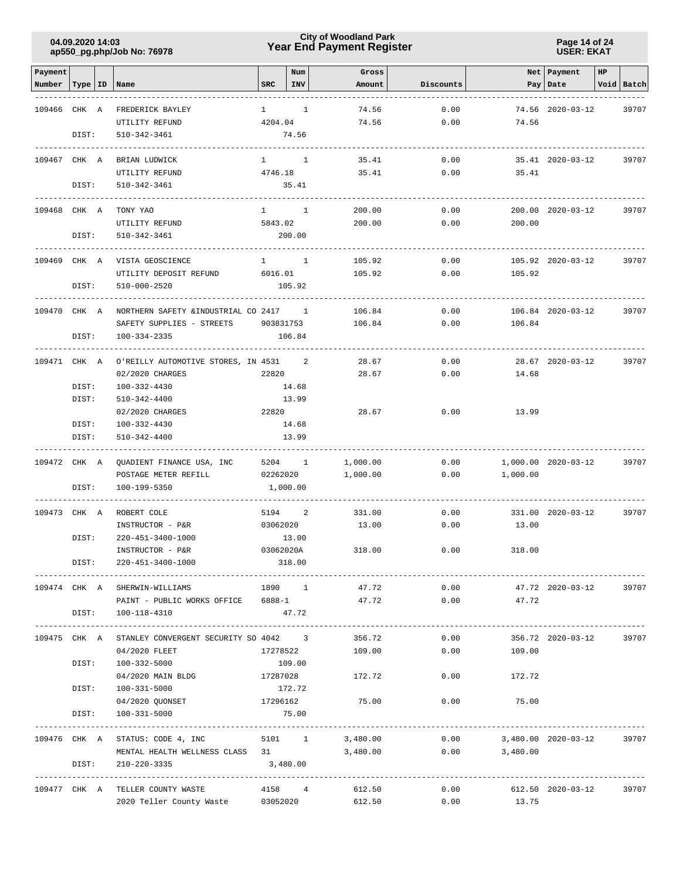### **Year End Payment Register City of Woodland Park 04.09.2020 14:03**

**Page 14 of 24 USER: EKAT**

| Payment                   |       |                                                |              | Num        | Gross    |           |                     | Net Payment         | HP |            |
|---------------------------|-------|------------------------------------------------|--------------|------------|----------|-----------|---------------------|---------------------|----|------------|
| Number   Type   ID   Name |       |                                                | SRC          | <b>INV</b> | Amount   | Discounts |                     | Pay   Date          |    | Void Batch |
|                           |       |                                                |              |            |          |           |                     |                     |    |            |
| 109466 CHK A              |       | FREDERICK BAYLEY                               | $\mathbf{1}$ | 1          | 74.56    | 0.00      |                     | 74.56 2020-03-12    |    | 39707      |
|                           |       | UTILITY REFUND                                 | 4204.04      |            | 74.56    | 0.00      | 74.56               |                     |    |            |
|                           | DIST: | $510 - 342 - 3461$                             |              | 74.56      |          |           |                     |                     |    |            |
| 109467 CHK A              |       | BRIAN LUDWICK                                  | $1 \quad 1$  |            | 35.41    | 0.00      |                     | 35.41 2020-03-12    |    | 39707      |
|                           |       | UTILITY REFUND                                 | 4746.18      |            | 35.41    | 0.00      | 35.41               |                     |    |            |
|                           | DIST: | 510-342-3461                                   |              | 35.41      |          |           |                     |                     |    |            |
| 109468 CHK A              |       | TONY YAO                                       | $1 \quad 1$  |            | 200.00   | 0.00      |                     | 200.00 2020-03-12   |    | 39707      |
|                           |       | UTILITY REFUND                                 | 5843.02      |            | 200.00   | 0.00      | 200.00              |                     |    |            |
|                           | DIST: | 510-342-3461                                   |              | 200.00     |          |           |                     |                     |    |            |
|                           |       |                                                |              |            |          |           |                     |                     |    |            |
| 109469 CHK A              |       | VISTA GEOSCIENCE                               | $1 \quad 1$  |            | 105.92   | 0.00      |                     | 105.92 2020-03-12   |    | 39707      |
|                           |       | UTILITY DEPOSIT REFUND                         | 6016.01      |            | 105.92   | 0.00      | 105.92              |                     |    |            |
|                           | DIST: | 510-000-2520                                   |              | 105.92     |          |           |                     |                     |    |            |
| 109470 CHK A              |       | NORTHERN SAFETY & INDUSTRIAL CO 2417 1         |              |            | 106.84   | 0.00      |                     | 106.84 2020-03-12   |    | 39707      |
|                           |       | SAFETY SUPPLIES - STREETS                      | 903831753    |            | 106.84   | 0.00      | 106.84              |                     |    |            |
|                           | DIST: | 100-334-2335                                   |              | 106.84     |          |           |                     |                     |    |            |
|                           |       |                                                |              |            |          |           |                     |                     |    |            |
| 109471 CHK A              |       | O'REILLY AUTOMOTIVE STORES, IN 4531            |              | 2          | 28.67    | 0.00      |                     | 28.67 2020-03-12    |    | 39707      |
|                           |       | 02/2020 CHARGES                                | 22820        |            | 28.67    | 0.00      | 14.68               |                     |    |            |
|                           | DIST: | 100-332-4430                                   |              | 14.68      |          |           |                     |                     |    |            |
|                           | DIST: | 510-342-4400                                   |              | 13.99      |          |           |                     |                     |    |            |
|                           |       | 02/2020 CHARGES                                | 22820        |            | 28.67    | 0.00      | 13.99               |                     |    |            |
|                           | DIST: | 100-332-4430                                   |              | 14.68      |          |           |                     |                     |    |            |
|                           | DIST: | 510-342-4400                                   |              | 13.99      |          |           |                     |                     |    |            |
|                           |       |                                                |              |            |          |           |                     |                     |    |            |
| 109472 CHK A              |       | QUADIENT FINANCE USA, INC                      | 5204 1       |            | 1,000.00 | 0.00      |                     | 1,000.00 2020-03-12 |    | 39707      |
|                           |       | POSTAGE METER REFILL                           | 02262020     |            | 1,000.00 | 0.00      | 1,000.00            |                     |    |            |
|                           | DIST: | 100-199-5350                                   | 1,000.00     |            |          |           |                     |                     |    |            |
| 109473 CHK A              |       | ROBERT COLE                                    | 5194         | 2          | 331.00   | 0.00      |                     | 331.00 2020-03-12   |    | 39707      |
|                           |       | INSTRUCTOR - P&R                               | 03062020     |            | 13.00    | 0.00      | 13.00               |                     |    |            |
|                           | DIST: | 220-451-3400-1000                              |              | 13.00      |          |           |                     |                     |    |            |
|                           |       | INSTRUCTOR - P&R                               | 03062020A    |            | 318.00   | 0.00      | 318.00              |                     |    |            |
|                           | DIST: | 220-451-3400-1000                              |              | 318.00     |          |           |                     |                     |    |            |
|                           |       | 109474 CHK A SHERWIN-WILLIAMS                  | 1890 1       |            | 47.72    | 0.00      |                     | 47.72 2020-03-12    |    | 39707      |
|                           |       | PAINT - PUBLIC WORKS OFFICE 6888-1             |              |            | 47.72    | 0.00      | 47.72               |                     |    |            |
|                           | DIST: | 100-118-4310                                   |              | 47.72      |          |           |                     |                     |    |            |
|                           |       |                                                |              |            |          |           |                     |                     |    |            |
| 109475 CHK A              |       | STANLEY CONVERGENT SECURITY SO 4042 3          |              |            | 356.72   | 0.00      |                     | 356.72 2020-03-12   |    | 39707      |
|                           |       | 04/2020 FLEET                                  | 17278522     |            | 109.00   | 0.00      | 109.00              |                     |    |            |
|                           | DIST: | 100-332-5000                                   |              | 109.00     |          |           |                     |                     |    |            |
|                           |       | 04/2020 MAIN BLDG                              | 17287028     |            | 172.72   | 0.00      | 172.72              |                     |    |            |
|                           | DIST: | $100 - 331 - 5000$                             |              | 172.72     |          |           |                     |                     |    |            |
|                           |       | 04/2020 QUONSET 17296162                       |              |            | 75.00    | 0.00      | 75.00               |                     |    |            |
|                           | DIST: | 100-331-5000                                   |              | 75.00      |          |           |                     |                     |    |            |
|                           |       | 109476 CHK A STATUS: CODE 4, INC               | 5101 1       |            | 3,480.00 | 0.00      | 3,480.00 2020-03-12 |                     |    | 39707      |
|                           |       | MENTAL HEALTH WELLNESS CLASS 31                |              |            | 3,480.00 | 0.00      | 3,480.00            |                     |    |            |
|                           | DIST: | 210-220-3335                                   | 3,480.00     |            |          |           |                     |                     |    |            |
|                           |       |                                                |              |            |          |           |                     |                     |    |            |
|                           |       | 109477 CHK A TELLER COUNTY WASTE 4158 4 612.50 |              |            |          | 0.00      |                     | 612.50 2020-03-12   |    | 39707      |
|                           |       | 2020 Teller County Waste 03052020              |              |            | 612.50   | 0.00      | 13.75               |                     |    |            |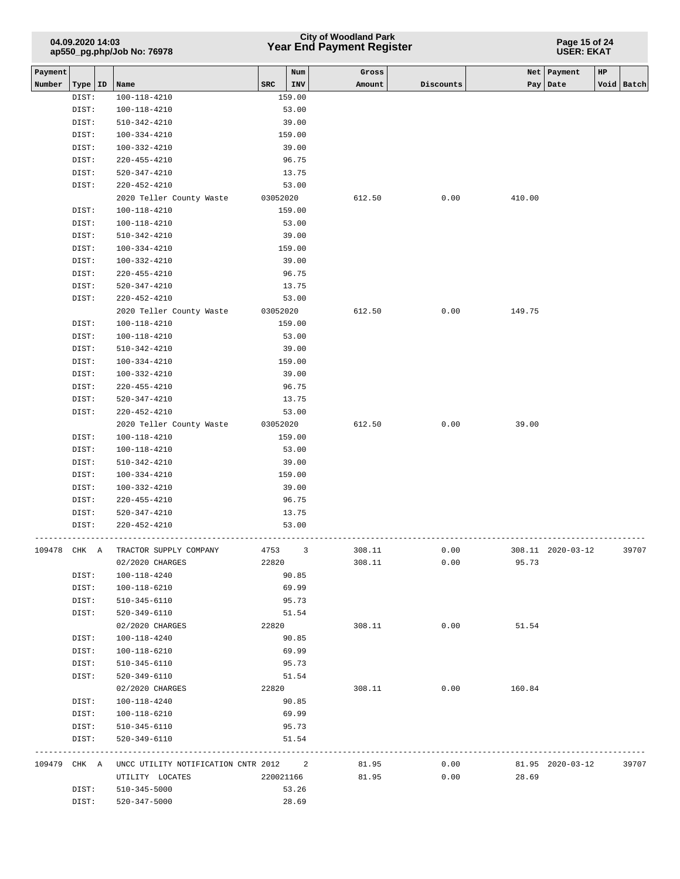| 04.09.2020 14:03           |  |
|----------------------------|--|
| ap550_pg.php/Job No: 76978 |  |

#### **Page 15 of 24 USER: EKAT**

| Payment |              |                                       |           | Num    | Gross  |           | Net    | Payment           | HP |            |
|---------|--------------|---------------------------------------|-----------|--------|--------|-----------|--------|-------------------|----|------------|
| Number  | Type   ID    | Name                                  | SRC       | INV    | Amount | Discounts | Pay    | Date              |    | Void Batch |
|         | DIST:        | $100 - 118 - 4210$                    |           | 159.00 |        |           |        |                   |    |            |
|         | DIST:        | 100-118-4210                          |           | 53.00  |        |           |        |                   |    |            |
|         | DIST:        | $510 - 342 - 4210$                    |           | 39.00  |        |           |        |                   |    |            |
|         | DIST:        | 100-334-4210                          |           | 159.00 |        |           |        |                   |    |            |
|         | DIST:        | 100-332-4210                          |           | 39.00  |        |           |        |                   |    |            |
|         | DIST:        | $220 - 455 - 4210$                    |           | 96.75  |        |           |        |                   |    |            |
|         | DIST:        | $520 - 347 - 4210$                    |           | 13.75  |        |           |        |                   |    |            |
|         | DIST:        | $220 - 452 - 4210$                    |           | 53.00  |        |           |        |                   |    |            |
|         |              | 2020 Teller County Waste              | 03052020  |        | 612.50 | 0.00      | 410.00 |                   |    |            |
|         | DIST:        | 100-118-4210                          |           | 159.00 |        |           |        |                   |    |            |
|         | DIST:        | 100-118-4210                          |           | 53.00  |        |           |        |                   |    |            |
|         | DIST:        | $510 - 342 - 4210$                    |           | 39.00  |        |           |        |                   |    |            |
|         | DIST:        | 100-334-4210                          |           | 159.00 |        |           |        |                   |    |            |
|         | DIST:        | 100-332-4210                          |           | 39.00  |        |           |        |                   |    |            |
|         | DIST:        | 220-455-4210                          |           | 96.75  |        |           |        |                   |    |            |
|         | DIST:        | $520 - 347 - 4210$                    |           | 13.75  |        |           |        |                   |    |            |
|         | DIST:        | $220 - 452 - 4210$                    |           | 53.00  |        |           |        |                   |    |            |
|         |              | 2020 Teller County Waste              | 03052020  |        | 612.50 | 0.00      | 149.75 |                   |    |            |
|         | DIST:        | 100-118-4210                          |           | 159.00 |        |           |        |                   |    |            |
|         | DIST:        | $100 - 118 - 4210$                    |           | 53.00  |        |           |        |                   |    |            |
|         | DIST:        | $510 - 342 - 4210$                    |           | 39.00  |        |           |        |                   |    |            |
|         | DIST:        | 100-334-4210                          |           | 159.00 |        |           |        |                   |    |            |
|         | DIST:        | 100-332-4210                          |           | 39.00  |        |           |        |                   |    |            |
|         | DIST:        | $220 - 455 - 4210$                    |           | 96.75  |        |           |        |                   |    |            |
|         | DIST:        | $520 - 347 - 4210$                    |           | 13.75  |        |           |        |                   |    |            |
|         | DIST:        | $220 - 452 - 4210$                    |           | 53.00  |        |           |        |                   |    |            |
|         |              | 2020 Teller County Waste              | 03052020  |        | 612.50 | 0.00      | 39.00  |                   |    |            |
|         | DIST:        | 100-118-4210                          |           | 159.00 |        |           |        |                   |    |            |
|         | DIST:        | 100-118-4210                          |           | 53.00  |        |           |        |                   |    |            |
|         | DIST:        | $510 - 342 - 4210$                    |           | 39.00  |        |           |        |                   |    |            |
|         | DIST:        | $100 - 334 - 4210$                    |           | 159.00 |        |           |        |                   |    |            |
|         | DIST:        | 100-332-4210                          |           | 39.00  |        |           |        |                   |    |            |
|         | DIST:        | 220-455-4210                          |           | 96.75  |        |           |        |                   |    |            |
|         | DIST:        | $520 - 347 - 4210$                    |           | 13.75  |        |           |        |                   |    |            |
|         | DIST:        | 220-452-4210                          |           | 53.00  |        |           |        |                   |    |            |
| 109478  | CHK A        | TRACTOR SUPPLY COMPANY                | 4753      | 3      | 308.11 | 0.00      |        | 308.11 2020-03-12 |    | 39707      |
|         |              | 02/2020 CHARGES                       | 22820     |        | 308.11 | 0.00      | 95.73  |                   |    |            |
|         | DIST:        | 100-118-4240                          |           | 90.85  |        |           |        |                   |    |            |
|         | DIST:        | 100-118-6210                          |           | 69.99  |        |           |        |                   |    |            |
|         | DIST:        | 510-345-6110                          |           | 95.73  |        |           |        |                   |    |            |
|         | DIST:        | 520-349-6110                          |           | 51.54  |        |           |        |                   |    |            |
|         |              | 02/2020 CHARGES                       | 22820     |        | 308.11 | 0.00      | 51.54  |                   |    |            |
|         | DIST:        | 100-118-4240                          |           | 90.85  |        |           |        |                   |    |            |
|         | DIST:        | 100-118-6210                          |           | 69.99  |        |           |        |                   |    |            |
|         | DIST:        | $510 - 345 - 6110$                    |           | 95.73  |        |           |        |                   |    |            |
|         | DIST:        | 520-349-6110                          |           | 51.54  |        |           |        |                   |    |            |
|         |              | 02/2020 CHARGES                       | 22820     |        | 308.11 | 0.00      | 160.84 |                   |    |            |
|         | DIST:        | 100-118-4240                          |           | 90.85  |        |           |        |                   |    |            |
|         | DIST:        | 100-118-6210                          |           | 69.99  |        |           |        |                   |    |            |
|         | DIST:        | 510-345-6110                          |           | 95.73  |        |           |        |                   |    |            |
|         | DIST:        | 520-349-6110                          |           | 51.54  |        |           |        |                   |    |            |
|         | 109479 CHK A | UNCC UTILITY NOTIFICATION CNTR 2012 2 |           |        | 81.95  | 0.00      |        | 81.95 2020-03-12  |    | 39707      |
|         |              | UTILITY LOCATES                       | 220021166 |        | 81.95  | 0.00      | 28.69  |                   |    |            |
|         | DIST:        | 510-345-5000                          |           | 53.26  |        |           |        |                   |    |            |
|         | DIST:        | 520-347-5000                          |           | 28.69  |        |           |        |                   |    |            |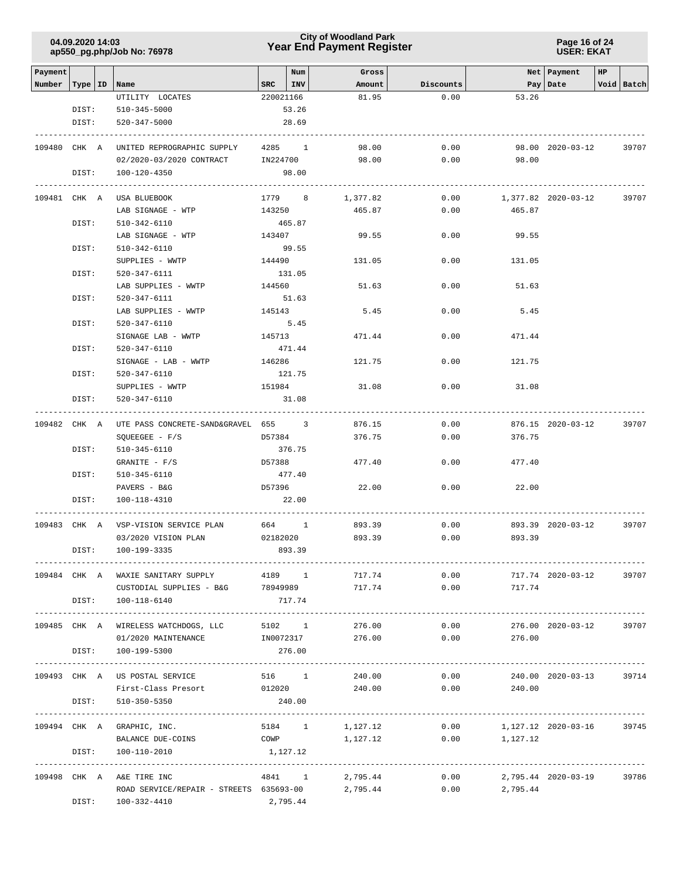### **Year End Payment Register City of Woodland Park 04.09.2020 14:03**

**Page 16 of 24 USER: EKAT**

|              |       | $4000 - 1011$                                    |           |        |                                   |           |                            |                     |    |            |
|--------------|-------|--------------------------------------------------|-----------|--------|-----------------------------------|-----------|----------------------------|---------------------|----|------------|
| Payment      |       |                                                  |           | Num    | Gross                             |           |                            | Net Payment         | HP |            |
| Number       |       | Type   ID   Name                                 | SRC       | I INV  | Amount                            | Discounts |                            | Pay   Date          |    | Void Batch |
|              |       | UTILITY LOCATES                                  | 220021166 |        | 81.95                             | 0.00      | 53.26                      |                     |    |            |
|              | DIST: | 510-345-5000                                     |           | 53.26  |                                   |           |                            |                     |    |            |
|              | DIST: | 520-347-5000                                     |           | 28.69  |                                   |           |                            |                     |    |            |
| 109480 CHK A |       | UNITED REPROGRAPHIC SUPPLY 4285 1                |           |        | 98.00                             | 0.00      |                            | 98.00 2020-03-12    |    | 39707      |
|              |       | 02/2020-03/2020 CONTRACT IN224700                |           |        | 98.00                             | 0.00      | 98.00                      |                     |    |            |
|              | DIST: | 100-120-4350                                     |           | 98.00  |                                   |           |                            |                     |    |            |
|              |       |                                                  |           |        |                                   |           |                            |                     |    |            |
| 109481 CHK A |       | USA BLUEBOOK                                     | 1779 8    |        | 1,377.82                          | 0.00      |                            | 1,377.82 2020-03-12 |    | 39707      |
|              |       | LAB SIGNAGE - WTP                                | 143250    |        | 465.87                            | 0.00      | 465.87                     |                     |    |            |
|              | DIST: | 510-342-6110                                     |           | 465.87 |                                   |           |                            |                     |    |            |
|              |       | LAB SIGNAGE - WTP                                | 143407    |        | 99.55                             | 0.00      | 99.55                      |                     |    |            |
|              | DIST: | 510-342-6110                                     |           | 99.55  |                                   |           |                            |                     |    |            |
|              |       | SUPPLIES - WWTP                                  | 144490    |        | 131.05                            | 0.00      | 131.05                     |                     |    |            |
|              | DIST: | 520-347-6111                                     |           | 131.05 |                                   |           |                            |                     |    |            |
|              |       | LAB SUPPLIES - WWTP                              | 144560    |        | 51.63                             | 0.00      | 51.63                      |                     |    |            |
|              | DIST: | 520-347-6111                                     |           | 51.63  |                                   |           |                            |                     |    |            |
|              |       | LAB SUPPLIES - WWTP                              | 145143    |        | 5.45                              | 0.00      | 5.45                       |                     |    |            |
|              | DIST: | 520-347-6110                                     | 5.45      |        |                                   |           |                            |                     |    |            |
|              |       | SIGNAGE LAB - WWTP                               | 145713    |        | 471.44                            | 0.00      | 471.44                     |                     |    |            |
|              | DIST: | 520-347-6110                                     | 471.44    |        |                                   |           |                            |                     |    |            |
|              |       | SIGNAGE - LAB - WWTP                             | 146286    |        | 121.75                            | 0.00      | 121.75                     |                     |    |            |
|              | DIST: | 520-347-6110                                     |           | 121.75 |                                   |           |                            |                     |    |            |
|              |       | SUPPLIES - WWTP                                  | 151984    |        | 31.08                             | 0.00      | 31.08                      |                     |    |            |
|              |       |                                                  |           |        |                                   |           |                            |                     |    |            |
|              | DIST: | 520-347-6110                                     |           | 31.08  |                                   |           |                            |                     |    |            |
| 109482 CHK A |       | UTE PASS CONCRETE-SAND&GRAVEL 655 3              |           |        | 876.15                            | 0.00      |                            | 876.15 2020-03-12   |    | 39707      |
|              |       | $SQUEEGEE - F/S$                                 | D57384    |        | 376.75                            | 0.00      | 376.75                     |                     |    |            |
|              | DIST: | 510-345-6110                                     |           | 376.75 |                                   |           |                            |                     |    |            |
|              |       | $GRANITE - F/S$                                  | D57388    |        | 477.40                            | 0.00      | 477.40                     |                     |    |            |
|              | DIST: | 510-345-6110                                     |           | 477.40 |                                   |           |                            |                     |    |            |
|              |       | PAVERS - B&G                                     | D57396    |        | 22.00                             | 0.00      | 22.00                      |                     |    |            |
|              | DIST: | 100-118-4310                                     |           | 22.00  |                                   |           |                            |                     |    |            |
|              |       |                                                  |           |        |                                   |           |                            |                     |    |            |
|              |       | 109483 CHK A VSP-VISION SERVICE PLAN             | 664 1     |        | 893.39                            | 0.00      |                            | 893.39 2020-03-12   |    | 39707      |
|              |       | 03/2020 VISION PLAN                              | 02182020  |        | 893.39                            | 0.00      | 893.39                     |                     |    |            |
|              | DIST: | 100-199-3335                                     |           | 893.39 |                                   |           |                            |                     |    |            |
|              |       | -----------------                                |           |        | --------------------------------- |           |                            |                     |    |            |
|              |       | 109484 CHK A WAXIE SANITARY SUPPLY               | 4189 1    |        | 717.74                            | 0.00      |                            | 717.74 2020-03-12   |    | 39707      |
|              |       | CUSTODIAL SUPPLIES - B&G $78949989$ 717.74       |           |        |                                   |           | 0.00<br>717.74             |                     |    |            |
|              | DIST: | 100-118-6140                                     |           | 717.74 |                                   |           |                            |                     |    |            |
|              |       | 109485 CHK A WIRELESS WATCHDOGS, LLC             | 5102 1    |        | 276.00                            | 0.00      |                            | 276.00 2020-03-12   |    | 39707      |
|              |       | 01/2020 MAINTENANCE                              | IN0072317 |        | 276.00                            | 0.00      | 276.00                     |                     |    |            |
|              | DIST: | 100-199-5300                                     |           | 276.00 |                                   |           |                            |                     |    |            |
|              |       |                                                  |           |        |                                   |           |                            |                     |    |            |
|              |       | 109493 CHK A US POSTAL SERVICE                   |           |        | 516 1 240.00                      | 0.00      |                            | 240.00 2020-03-13   |    | 39714      |
|              |       | First-Class Presort 012020 240.00                |           |        |                                   |           | $0.00$ 240.00              |                     |    |            |
|              | DIST: | 510-350-5350                                     | 240.00    |        |                                   |           |                            |                     |    |            |
|              |       | 109494 CHK A GRAPHIC, INC.                       |           | 5184 1 | 1,127.12                          | 0.00      | 1,127.12 2020-03-16        |                     |    | 39745      |
|              |       | BALANCE DUE-COINS                                | COWP      |        | 1,127.12                          | 0.00      | 1,127.12                   |                     |    |            |
|              | DIST: | 100-110-2010                                     | 1,127.12  |        |                                   |           |                            |                     |    |            |
|              |       |                                                  |           |        |                                   |           |                            |                     |    |            |
|              |       | 109498 CHK A A&E TIRE INC                        |           | 4841 1 | 2,795.44                          |           | $0.00$ 2,795.44 2020-03-19 |                     |    | 39786      |
|              |       | ROAD SERVICE/REPAIR - STREETS 635693-00 2,795.44 |           |        |                                   |           | $0.00$ 2,795.44            |                     |    |            |
|              | DIST: | 100-332-4410                                     | 2,795.44  |        |                                   |           |                            |                     |    |            |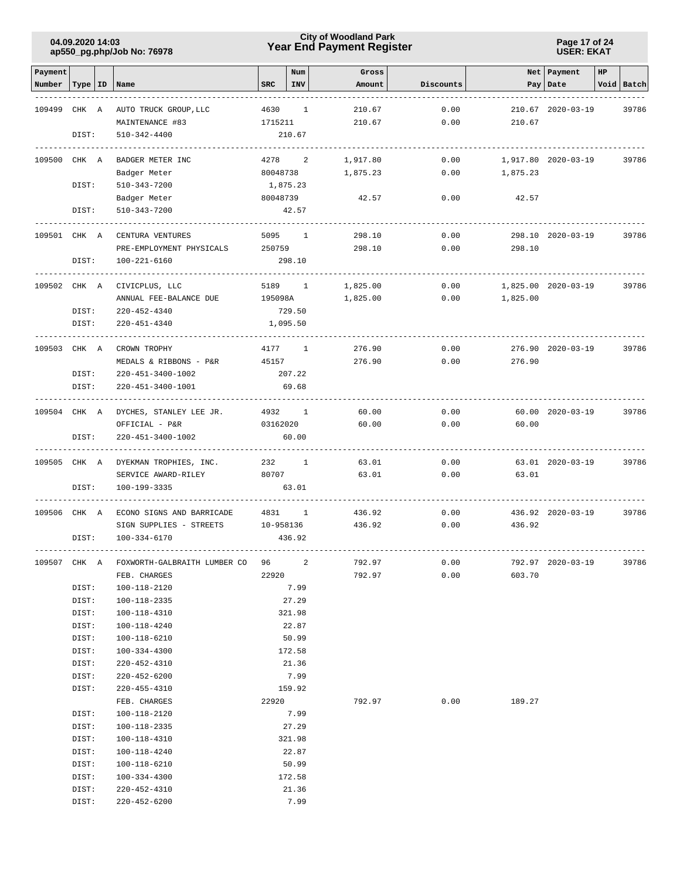### **Year End Payment Register City of Woodland Park 04.09.2020 14:03**

#### **Page 17 of 24 USER: EKAT**

| Payment      |                  |                                    |            | Num                     | Gross    |           |          | Net   Payment       | HP |            |
|--------------|------------------|------------------------------------|------------|-------------------------|----------|-----------|----------|---------------------|----|------------|
| Number       | Type   ID   Name |                                    | <b>SRC</b> | <b>INV</b>              | Amount   | Discounts | Pay      | Date                |    | Void Batch |
| 109499       | CHK A            | AUTO TRUCK GROUP, LLC              | 4630       | $\mathbf{1}$            | 210.67   | 0.00      |          | 210.67 2020-03-19   |    | 39786      |
|              |                  | MAINTENANCE #83                    | 1715211    |                         | 210.67   | 0.00      | 210.67   |                     |    |            |
|              | DIST:            | $510 - 342 - 4400$                 |            | 210.67                  |          |           |          |                     |    |            |
| 109500 CHK A |                  | BADGER METER INC                   |            | 4278 2                  | 1,917.80 | 0.00      |          | 1,917.80 2020-03-19 |    | 39786      |
|              |                  | Badger Meter                       | 80048738   |                         | 1,875.23 | 0.00      | 1,875.23 |                     |    |            |
|              | DIST:            | 510-343-7200                       | 1,875.23   |                         |          |           |          |                     |    |            |
|              |                  | Badger Meter                       | 80048739   |                         | 42.57    | 0.00      | 42.57    |                     |    |            |
|              | DIST:            | 510-343-7200                       |            | 42.57                   |          |           |          |                     |    |            |
| 109501 CHK A |                  | CENTURA VENTURES                   | 5095       | $\mathbf{1}$            | 298.10   | 0.00      |          | 298.10 2020-03-19   |    | 39786      |
|              |                  | PRE-EMPLOYMENT PHYSICALS           | 250759     |                         | 298.10   | 0.00      | 298.10   |                     |    |            |
|              | DIST:            | 100-221-6160                       |            | 298.10                  |          |           |          |                     |    |            |
| 109502 CHK A |                  | CIVICPLUS, LLC                     |            | 5189 1                  | 1,825.00 | 0.00      |          | 1,825.00 2020-03-19 |    | 39786      |
|              |                  | ANNUAL FEE-BALANCE DUE             | 195098A    |                         | 1,825.00 | 0.00      | 1,825.00 |                     |    |            |
|              | DIST:            | $220 - 452 - 4340$                 |            | 729.50                  |          |           |          |                     |    |            |
|              | DIST:            | 220-451-4340                       |            | 1,095.50                |          |           |          |                     |    |            |
| 109503 CHK A |                  | CROWN TROPHY                       | 4177       | $\mathbf{1}$            | 276.90   | 0.00      |          | 276.90 2020-03-19   |    | 39786      |
|              |                  | MEDALS & RIBBONS - P&R             | 45157      |                         | 276.90   | 0.00      | 276.90   |                     |    |            |
|              | DIST:            | 220-451-3400-1002                  |            | 207.22                  |          |           |          |                     |    |            |
|              | DIST:            | 220-451-3400-1001                  |            | 69.68                   |          |           |          |                     |    |            |
| 109504 CHK A |                  | DYCHES, STANLEY LEE JR.            |            | 4932 1                  | 60.00    | 0.00      |          | 60.00 2020-03-19    |    | 39786      |
|              |                  | OFFICIAL - P&R                     | 03162020   |                         | 60.00    | 0.00      | 60.00    |                     |    |            |
|              | DIST:            | 220-451-3400-1002                  |            | 60.00                   |          |           |          |                     |    |            |
| 109505 CHK A |                  | DYEKMAN TROPHIES, INC.             |            | 232 1                   | 63.01    | 0.00      |          | 63.01 2020-03-19    |    | 39786      |
|              |                  | SERVICE AWARD-RILEY                | 80707      |                         | 63.01    | 0.00      | 63.01    |                     |    |            |
|              | DIST:            | 100-199-3335                       |            | 63.01                   |          |           |          |                     |    |            |
| 109506 CHK A |                  | ECONO SIGNS AND BARRICADE          |            | 4831 1                  | 436.92   | 0.00      |          | 436.92 2020-03-19   |    | 39786      |
|              |                  | SIGN SUPPLIES - STREETS            | 10-958136  |                         | 436.92   | 0.00      | 436.92   |                     |    |            |
|              | DIST:            | 100-334-6170                       |            | 436.92                  |          |           |          |                     |    |            |
| 109507 CHK A |                  | FOXWORTH-GALBRAITH LUMBER CO       | 96         | $\overline{\mathbf{c}}$ | 792.97   | 0.00      |          | 792.97 2020-03-19   |    | 39786      |
|              |                  | FEB. CHARGES                       | 22920      |                         | 792.97   | 0.00      | 603.70   |                     |    |            |
|              | DIST:            | 100-118-2120                       |            | 7.99                    |          |           |          |                     |    |            |
|              | DIST:            | 100-118-2335                       |            | 27.29                   |          |           |          |                     |    |            |
|              | DIST:            | 100-118-4310                       |            | 321.98                  |          |           |          |                     |    |            |
|              | DIST:            | 100-118-4240                       |            | 22.87                   |          |           |          |                     |    |            |
|              | DIST:            | 100-118-6210                       |            | 50.99                   |          |           |          |                     |    |            |
|              | DIST:<br>DIST:   | 100-334-4300                       |            | 172.58                  |          |           |          |                     |    |            |
|              | DIST:            | 220-452-4310<br>$220 - 452 - 6200$ |            | 21.36<br>7.99           |          |           |          |                     |    |            |
|              | DIST:            | 220-455-4310                       |            | 159.92                  |          |           |          |                     |    |            |
|              |                  | FEB. CHARGES                       | 22920      |                         | 792.97   | 0.00      | 189.27   |                     |    |            |
|              | DIST:            | 100-118-2120                       |            | 7.99                    |          |           |          |                     |    |            |
|              | DIST:            | 100-118-2335                       |            | 27.29                   |          |           |          |                     |    |            |
|              | DIST:            | 100-118-4310                       |            | 321.98                  |          |           |          |                     |    |            |
|              | DIST:            | 100-118-4240                       |            | 22.87                   |          |           |          |                     |    |            |
|              | DIST:            | 100-118-6210                       |            | 50.99                   |          |           |          |                     |    |            |
|              | DIST:            | 100-334-4300                       |            | 172.58                  |          |           |          |                     |    |            |
|              | DIST:            | 220-452-4310                       |            | 21.36                   |          |           |          |                     |    |            |
|              | DIST:            | 220-452-6200                       |            | 7.99                    |          |           |          |                     |    |            |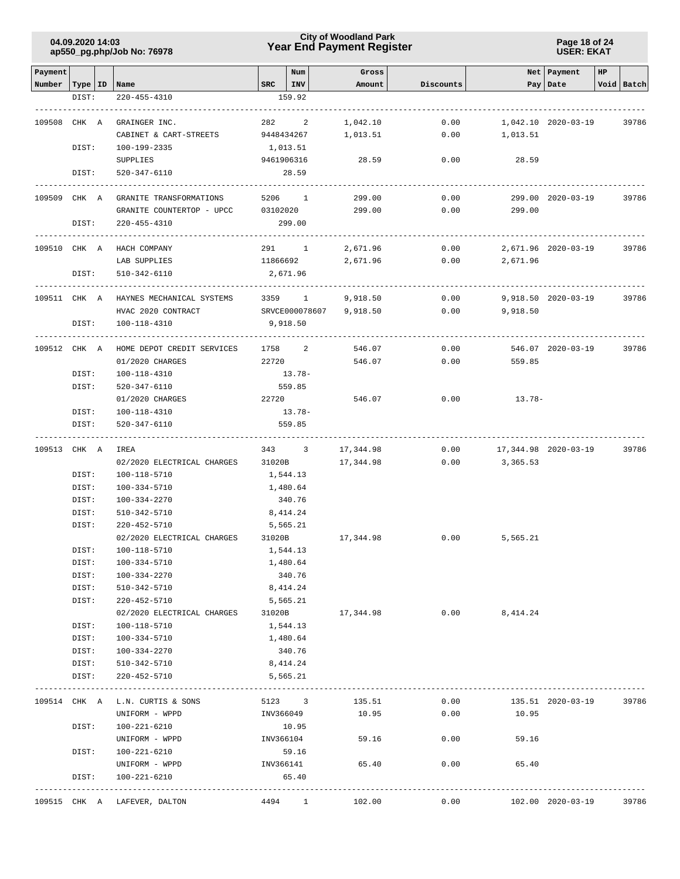**Page 18 of 24 USER: EKAT**

| Payment                   |       |                                    |                               | Num             | Gross                      |              |                                  | Net Payment         | HP |            |
|---------------------------|-------|------------------------------------|-------------------------------|-----------------|----------------------------|--------------|----------------------------------|---------------------|----|------------|
| Number   Type   ID   Name |       |                                    | $SRC$   $INV$                 |                 | Amount                     | Discounts    |                                  | Pay   Date          |    | Void Batch |
|                           | DIST: | $220 - 455 - 4310$                 |                               | 159.92          |                            |              |                                  |                     |    |            |
|                           |       |                                    |                               |                 |                            |              |                                  |                     |    |            |
| 109508 CHK A              |       | GRAINGER INC.                      |                               | 282 2           | 1,042.10                   | 0.00         |                                  | 1,042.10 2020-03-19 |    | 39786      |
|                           |       | CABINET & CART-STREETS             |                               | 9448434267      | 1,013.51                   | 0.00         | 1,013.51                         |                     |    |            |
|                           | DIST: | 100-199-2335                       | 1,013.51                      |                 |                            |              |                                  |                     |    |            |
|                           |       | SUPPLIES                           |                               | 9461906316      | 28.59                      | 0.00         | 28.59                            |                     |    |            |
|                           | DIST: | 520-347-6110                       |                               | 28.59           |                            |              |                                  |                     |    |            |
| 109509 CHK A              |       | GRANITE TRANSFORMATIONS            |                               | 5206 1          | 299.00                     | 0.00         |                                  | 299.00 2020-03-19   |    | 39786      |
|                           |       | GRANITE COUNTERTOP - UPCC 03102020 |                               |                 | 299.00                     | 0.00         | 299.00                           |                     |    |            |
|                           | DIST: | 220-455-4310                       |                               | 299.00          |                            |              |                                  |                     |    |            |
| 109510 CHK A              |       | -------------<br>HACH COMPANY      |                               | 291 1           | 2,671.96                   | 0.00         |                                  | 2,671.96 2020-03-19 |    | 39786      |
|                           |       | LAB SUPPLIES                       | 11866692                      |                 | 2,671.96                   | 0.00         | 2,671.96                         |                     |    |            |
|                           | DIST: | 510-342-6110                       |                               | 2,671.96        |                            |              |                                  |                     |    |            |
|                           |       |                                    |                               |                 |                            |              |                                  |                     |    |            |
| 109511 CHK A              |       | HAYNES MECHANICAL SYSTEMS          | 3359                          | $\mathbf{1}$    | 9,918.50                   | 0.00         |                                  | 9,918.50 2020-03-19 |    | 39786      |
|                           |       | HVAC 2020 CONTRACT                 |                               |                 | SRVCE000078607<br>9,918.50 | 0.00         | 9,918.50                         |                     |    |            |
|                           | DIST: | 100-118-4310                       | 9,918.50<br>$- - - - - - - -$ |                 |                            |              |                                  |                     |    |            |
| 109512 CHK A              |       | HOME DEPOT CREDIT SERVICES         | 1758                          | $\overline{a}$  | 546.07                     | 0.00         |                                  | 546.07 2020-03-19   |    | 39786      |
|                           |       | 01/2020 CHARGES                    | 22720                         |                 | 546.07                     | 0.00         | 559.85                           |                     |    |            |
|                           | DIST: | 100-118-4310                       |                               | 13.78-          |                            |              |                                  |                     |    |            |
|                           | DIST: | 520-347-6110                       |                               | 559.85          |                            |              |                                  |                     |    |            |
|                           |       | 01/2020 CHARGES                    | 22720                         |                 | 546.07                     | 0.00         | 13.78-                           |                     |    |            |
|                           | DIST: | 100-118-4310                       |                               | $13.78-$        |                            |              |                                  |                     |    |            |
|                           | DIST: | 520-347-6110                       |                               | 559.85          |                            |              |                                  |                     |    |            |
|                           |       |                                    |                               |                 |                            |              |                                  |                     |    |            |
| 109513 CHK A              |       | IREA<br>02/2020 ELECTRICAL CHARGES |                               | 343 3<br>31020B | 17,344.98<br>17,344.98     | 0.00<br>0.00 | 17,344.98 2020-03-19<br>3,365.53 |                     |    | 39786      |
|                           | DIST: | 100-118-5710                       | 1,544.13                      |                 |                            |              |                                  |                     |    |            |
|                           | DIST: | 100-334-5710                       |                               | 1,480.64        |                            |              |                                  |                     |    |            |
|                           | DIST: | 100-334-2270                       |                               | 340.76          |                            |              |                                  |                     |    |            |
|                           | DIST: | 510-342-5710                       |                               | 8,414.24        |                            |              |                                  |                     |    |            |
|                           | DIST: | 220-452-5710                       |                               | 5,565.21        |                            |              |                                  |                     |    |            |
|                           |       | 02/2020 ELECTRICAL CHARGES         | 31020B                        |                 | 17,344.98                  |              | $0.00$ 5,565.21                  |                     |    |            |
|                           | DIST: | 100-118-5710                       |                               | 1,544.13        |                            |              |                                  |                     |    |            |
|                           | DIST: | 100-334-5710                       |                               | 1,480.64        |                            |              |                                  |                     |    |            |
|                           | DIST: | 100-334-2270                       |                               | 340.76          |                            |              |                                  |                     |    |            |
|                           | DIST: | 510-342-5710                       |                               | 8,414.24        |                            |              |                                  |                     |    |            |
|                           | DIST: | 220-452-5710                       |                               | 5,565.21        |                            |              |                                  |                     |    |            |
|                           |       | 02/2020 ELECTRICAL CHARGES         | 31020B                        |                 | 17,344.98                  | 0.00         | 8,414.24                         |                     |    |            |
|                           | DIST: | 100-118-5710                       |                               | 1,544.13        |                            |              |                                  |                     |    |            |
|                           | DIST: | 100-334-5710                       |                               | 1,480.64        |                            |              |                                  |                     |    |            |
|                           | DIST: | 100-334-2270                       |                               | 340.76          |                            |              |                                  |                     |    |            |
|                           | DIST: | 510-342-5710                       |                               | 8,414.24        |                            |              |                                  |                     |    |            |
|                           | DIST: | 220-452-5710                       |                               | 5,565.21        |                            |              |                                  |                     |    |            |
|                           |       | 109514 CHK A L.N. CURTIS & SONS    |                               | 5123 3          | 135.51                     | 0.00         |                                  | 135.51 2020-03-19   |    | 39786      |
|                           |       | UNIFORM - WPPD                     |                               | INV366049       | 10.95                      | 0.00         | 10.95                            |                     |    |            |
|                           | DIST: | 100-221-6210                       |                               | 10.95           |                            |              |                                  |                     |    |            |
|                           |       | UNIFORM - WPPD                     |                               | INV366104       | 59.16                      | 0.00         | 59.16                            |                     |    |            |
|                           | DIST: | 100-221-6210                       |                               | 59.16           |                            |              |                                  |                     |    |            |
|                           |       | UNIFORM - WPPD                     |                               | INV366141       | 65.40                      | 0.00         | 65.40                            |                     |    |            |
|                           | DIST: | 100-221-6210                       |                               | 65.40           |                            |              |                                  |                     |    |            |
|                           |       | 109515 CHK A LAFEVER, DALTON       |                               | 4494 1          | 102.00                     | 0.00         |                                  | 102.00 2020-03-19   |    | 39786      |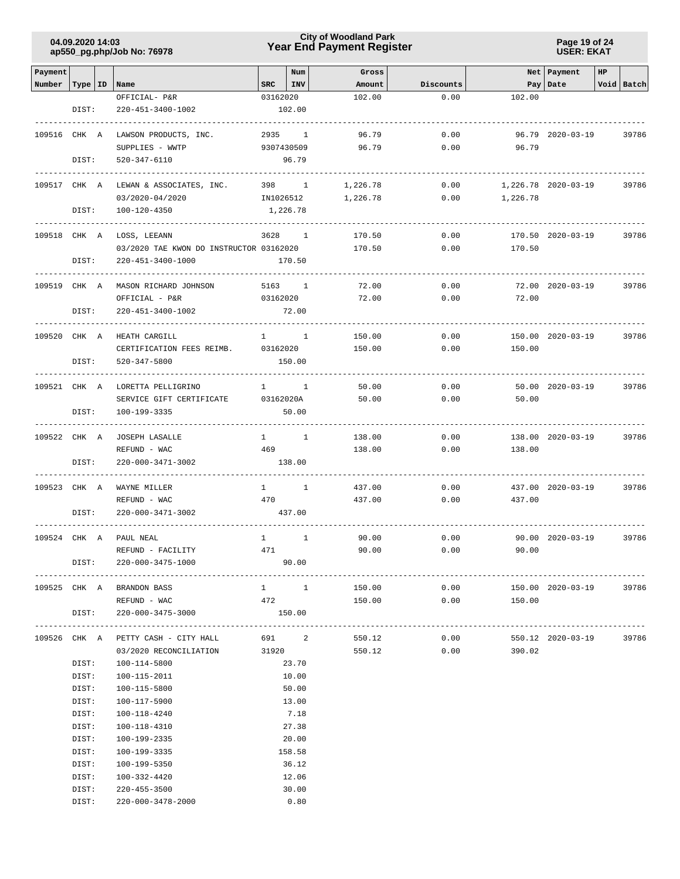### **Year End Payment Register City of Woodland Park 04.09.2020 14:03**

**Page 19 of 24 USER: EKAT**

| Payment      |       |                                         |                        | Num            | Gross           |           |                | Net Payment         | HP |            |
|--------------|-------|-----------------------------------------|------------------------|----------------|-----------------|-----------|----------------|---------------------|----|------------|
| Number       |       | Type   ID   Name                        | SRC                    | INV            | Amount          | Discounts |                | Pay   Date          |    | Void Batch |
|              |       | OFFICIAL- P&R                           | 03162020               |                | 102.00          | 0.00      | 102.00         |                     |    |            |
|              | DIST: | 220-451-3400-1002                       |                        | 102.00         |                 |           |                |                     |    |            |
|              |       |                                         |                        |                |                 |           |                |                     |    |            |
| 109516 CHK A |       | LAWSON PRODUCTS, INC.                   |                        | 2935 1         | 96.79           | 0.00      |                | 96.79 2020-03-19    |    | 39786      |
|              |       | SUPPLIES - WWTP                         |                        | 9307430509     | 96.79           | 0.00      | 96.79          |                     |    |            |
|              | DIST: | 520-347-6110                            |                        | 96.79          |                 |           |                |                     |    |            |
|              |       |                                         |                        |                |                 |           |                |                     |    |            |
| 109517 CHK A |       | LEWAN & ASSOCIATES, INC.                |                        | 398 1          | 1,226.78        | 0.00      |                | 1,226.78 2020-03-19 |    | 39786      |
|              |       | 03/2020-04/2020                         | IN1026512              |                | 1,226.78        | 0.00      | 1,226.78       |                     |    |            |
|              | DIST: | 100-120-4350                            | 1,226.78               |                |                 |           |                |                     |    |            |
|              |       |                                         |                        |                |                 |           |                |                     |    |            |
| 109518 CHK A |       | LOSS, LEEANN                            | 3628                   | $\overline{1}$ | 170.50          | 0.00      |                | 170.50 2020-03-19   |    | 39786      |
|              |       | 03/2020 TAE KWON DO INSTRUCTOR 03162020 |                        |                | 170.50          | 0.00      | 170.50         |                     |    |            |
|              | DIST: | 220-451-3400-1000                       |                        | 170.50         |                 |           |                |                     |    |            |
|              |       |                                         |                        |                |                 |           |                |                     |    |            |
| 109519 CHK A |       | MASON RICHARD JOHNSON                   |                        | 5163 1         | 72.00           | 0.00      |                | 72.00 2020-03-19    |    | 39786      |
|              |       | OFFICIAL - P&R                          | 03162020               |                | 72.00           | 0.00      | 72.00          |                     |    |            |
|              | DIST: | 220-451-3400-1002                       |                        | 72.00          |                 |           |                |                     |    |            |
|              |       |                                         |                        |                |                 |           |                |                     |    |            |
| 109520 CHK A |       | HEATH CARGILL                           |                        | $1 \quad 1$    | 150.00          | 0.00      |                | 150.00 2020-03-19   |    | 39786      |
|              |       | CERTIFICATION FEES REIMB.               | 03162020               |                | 150.00          | 0.00      | 150.00         |                     |    |            |
|              | DIST: | $520 - 347 - 5800$                      |                        | 150.00         |                 |           |                |                     |    |            |
|              |       |                                         |                        |                |                 |           |                |                     |    |            |
| 109521 CHK A |       | LORETTA PELLIGRINO                      |                        | $1 \quad 1$    | 50.00           | 0.00      |                | 50.00 2020-03-19    |    | 39786      |
|              |       | SERVICE GIFT CERTIFICATE                | 03162020A              |                | 50.00           | 0.00      | 50.00          |                     |    |            |
|              | DIST: | 100-199-3335                            |                        | 50.00          |                 |           |                |                     |    |            |
|              |       |                                         |                        |                |                 |           |                |                     |    |            |
| 109522 CHK A |       | <b>JOSEPH LASALLE</b>                   |                        | $1 \quad 1$    | 138.00          | 0.00      |                | 138.00 2020-03-19   |    | 39786      |
|              |       | REFUND - WAC                            | 469                    |                | 138.00          | 0.00      | 138.00         |                     |    |            |
|              | DIST: | 220-000-3471-3002                       |                        | 138.00         |                 |           |                |                     |    |            |
|              |       |                                         |                        |                |                 |           |                |                     |    |            |
| 109523 CHK A |       | WAYNE MILLER                            | $1 \quad \blacksquare$ | $\mathbf{1}$   | 437.00          | 0.00      |                | 437.00 2020-03-19   |    | 39786      |
|              |       | REFUND - WAC                            | 470                    |                | 437.00          | 0.00      | 437.00         |                     |    |            |
|              | DIST: | 220-000-3471-3002                       |                        | 437.00         |                 |           |                |                     |    |            |
|              |       |                                         |                        |                |                 |           |                |                     |    |            |
| 109524 CHK A |       | PAUL NEAL                               | $\mathbf{1}$           | $\mathbf{1}$   | 90.00           | 0.00      |                | 90.00 2020-03-19    |    | 39786      |
|              |       | REFUND - FACILITY                       | 471                    |                | 90.00           | 0.00      | 90.00          |                     |    |            |
|              | DIST: | $220 - 000 - 3475 - 1000$               |                        | 90.00          |                 |           |                |                     |    |            |
|              |       |                                         |                        |                |                 |           |                |                     |    |            |
|              |       | 109525 CHK A BRANDON BASS               |                        | $1 \quad 1$    | 150.00          | 0.00      |                | 150.00 2020-03-19   |    | 39786      |
|              |       | REFUND - WAC                            | 472                    |                | 150.00          | 0.00      | 150.00         |                     |    |            |
|              | DIST: | 220-000-3475-3000                       |                        | 150.00         |                 |           |                |                     |    |            |
|              |       |                                         |                        |                |                 |           |                |                     |    |            |
|              |       | 109526 CHK A PETTY CASH - CITY HALL     |                        |                | 691 2<br>550.12 | 0.00      |                | 550.12 2020-03-19   |    | 39786      |
|              |       | 03/2020 RECONCILIATION 31920            |                        |                |                 | 550.12    | 0.00<br>390.02 |                     |    |            |
|              | DIST: | 100-114-5800                            |                        | 23.70          |                 |           |                |                     |    |            |
|              | DIST: | 100-115-2011                            |                        | 10.00          |                 |           |                |                     |    |            |
|              | DIST: | 100-115-5800                            |                        | 50.00          |                 |           |                |                     |    |            |
|              | DIST: | 100-117-5900                            |                        | 13.00          |                 |           |                |                     |    |            |
|              | DIST: | 100-118-4240                            |                        | 7.18           |                 |           |                |                     |    |            |
|              | DIST: | 100-118-4310                            |                        | 27.38          |                 |           |                |                     |    |            |
|              | DIST: | 100-199-2335                            |                        | 20.00          |                 |           |                |                     |    |            |
|              | DIST: | 100-199-3335                            |                        | 158.58         |                 |           |                |                     |    |            |
|              |       |                                         |                        |                |                 |           |                |                     |    |            |
|              | DIST: | 100-199-5350                            |                        | 36.12          |                 |           |                |                     |    |            |
|              | DIST: | 100-332-4420                            |                        | 12.06          |                 |           |                |                     |    |            |
|              | DIST: | $220 - 455 - 3500$                      |                        | 30.00          |                 |           |                |                     |    |            |
|              | DIST: | 220-000-3478-2000                       |                        | 0.80           |                 |           |                |                     |    |            |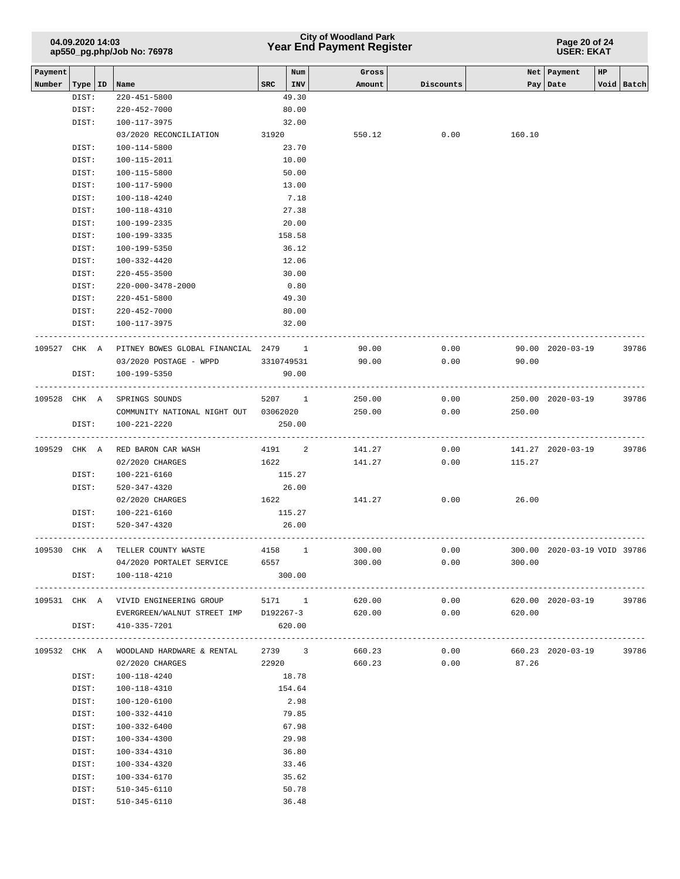## **Year End Payment Register City of Woodland Park 04.09.2020 14:03**

**Page 20 of 24 USER: EKAT**

| Payment      |       |                                                    |       | Num        | Gross  |           |        | Net   Payment<br>HP          |            |
|--------------|-------|----------------------------------------------------|-------|------------|--------|-----------|--------|------------------------------|------------|
| Number       |       | Type   ID   Name                                   | $SRC$ | INV        | Amount | Discounts | Pay    | Date                         | Void Batch |
|              | DIST: | 220-451-5800                                       |       | 49.30      |        |           |        |                              |            |
|              | DIST: | 220-452-7000                                       |       | 80.00      |        |           |        |                              |            |
|              | DIST: | 100-117-3975                                       |       | 32.00      |        |           |        |                              |            |
|              |       | 03/2020 RECONCILIATION                             | 31920 |            | 550.12 | 0.00      | 160.10 |                              |            |
|              | DIST: | 100-114-5800                                       |       | 23.70      |        |           |        |                              |            |
|              | DIST: | 100-115-2011                                       |       | 10.00      |        |           |        |                              |            |
|              | DIST: | 100-115-5800                                       |       | 50.00      |        |           |        |                              |            |
|              | DIST: | 100-117-5900                                       |       | 13.00      |        |           |        |                              |            |
|              | DIST: | 100-118-4240                                       |       | 7.18       |        |           |        |                              |            |
|              | DIST: | 100-118-4310                                       |       | 27.38      |        |           |        |                              |            |
|              | DIST: | 100-199-2335                                       |       | 20.00      |        |           |        |                              |            |
|              | DIST: | 100-199-3335                                       |       | 158.58     |        |           |        |                              |            |
|              | DIST: | 100-199-5350                                       |       | 36.12      |        |           |        |                              |            |
|              | DIST: | 100-332-4420                                       |       | 12.06      |        |           |        |                              |            |
|              | DIST: | $220 - 455 - 3500$                                 |       | 30.00      |        |           |        |                              |            |
|              | DIST: | 220-000-3478-2000                                  |       | 0.80       |        |           |        |                              |            |
|              | DIST: | $220 - 451 - 5800$                                 |       | 49.30      |        |           |        |                              |            |
|              | DIST: | 220-452-7000                                       |       | 80.00      |        |           |        |                              |            |
|              | DIST: | 100-117-3975                                       |       | 32.00      |        |           |        |                              |            |
| 109527 CHK A |       | PITNEY BOWES GLOBAL FINANCIAL 2479 1               |       |            | 90.00  | 0.00      |        | 90.00 2020-03-19             | 39786      |
|              |       | 03/2020 POSTAGE - WPPD                             |       | 3310749531 | 90.00  | 0.00      | 90.00  |                              |            |
|              | DIST: | 100-199-5350                                       |       | 90.00      |        |           |        |                              |            |
|              |       |                                                    |       |            |        |           |        |                              |            |
| 109528 CHK A |       | SPRINGS SOUNDS                                     |       | 5207 1     | 250.00 | 0.00      |        | 250.00 2020-03-19            | 39786      |
|              |       | COMMUNITY NATIONAL NIGHT OUT 03062020              |       |            | 250.00 | 0.00      | 250.00 |                              |            |
|              | DIST: | 100-221-2220                                       |       | 250.00     |        |           |        |                              |            |
|              |       |                                                    |       |            |        |           |        |                              |            |
|              |       | 109529 CHK A RED BARON CAR WASH                    |       | 4191 2     | 141.27 | 0.00      |        | 141.27 2020-03-19            | 39786      |
|              |       | 02/2020 CHARGES                                    |       | 1622       | 141.27 | 0.00      | 115.27 |                              |            |
|              | DIST: | 100-221-6160                                       |       | 115.27     |        |           |        |                              |            |
|              | DIST: | 520-347-4320                                       |       | 26.00      |        |           |        |                              |            |
|              |       | 02/2020 CHARGES                                    |       | 1622 200   | 141.27 | 0.00      | 26.00  |                              |            |
|              | DIST: | 100-221-6160                                       |       | 115.27     |        |           |        |                              |            |
|              | DIST: | 520-347-4320                                       |       | 26.00      |        |           |        |                              |            |
|              |       |                                                    |       |            |        |           |        |                              |            |
| 109530 CHK A |       | TELLER COUNTY WASTE                                |       | 4158 1     | 300.00 | 0.00      |        | 300.00 2020-03-19 VOID 39786 |            |
|              |       | 04/2020 PORTALET SERVICE                           | 6557  |            | 300.00 | 0.00      | 300.00 |                              |            |
|              |       | DIST: 100-118-4210                                 |       | 300.00     |        |           |        |                              |            |
|              |       |                                                    |       |            |        |           |        |                              |            |
|              |       | 109531 CHK A VIVID ENGINEERING GROUP 5171 1 620.00 |       |            |        | 0.00      |        | 620.00 2020-03-19            | 39786      |
|              |       | EVERGREEN/WALNUT STREET IMP D192267-3 620.00       |       |            |        | 0.00      | 620.00 |                              |            |
|              |       | DIST: 410-335-7201                                 |       | 620.00     |        |           |        |                              |            |
|              |       |                                                    |       |            |        |           |        |                              |            |
|              |       | 109532 CHK A WOODLAND HARDWARE & RENTAL            |       | 2739 3     | 660.23 | 0.00      |        | 660.23 2020-03-19            | 39786      |
|              |       | 02/2020 CHARGES                                    | 22920 |            | 660.23 | 0.00      | 87.26  |                              |            |
|              | DIST: | 100-118-4240                                       |       | 18.78      |        |           |        |                              |            |
|              | DIST: | 100-118-4310                                       |       | 154.64     |        |           |        |                              |            |
|              | DIST: | 100-120-6100                                       |       | 2.98       |        |           |        |                              |            |
|              | DIST: | 100-332-4410                                       |       | 79.85      |        |           |        |                              |            |
|              | DIST: | 100-332-6400                                       |       | 67.98      |        |           |        |                              |            |
|              | DIST: | 100-334-4300                                       |       | 29.98      |        |           |        |                              |            |
|              | DIST: | 100-334-4310                                       |       | 36.80      |        |           |        |                              |            |
|              | DIST: | 100-334-4320                                       |       | 33.46      |        |           |        |                              |            |
|              | DIST: | 100-334-6170                                       |       | 35.62      |        |           |        |                              |            |
|              | DIST: | 510-345-6110                                       |       | 50.78      |        |           |        |                              |            |
|              | DIST: | 510-345-6110                                       |       | 36.48      |        |           |        |                              |            |
|              |       |                                                    |       |            |        |           |        |                              |            |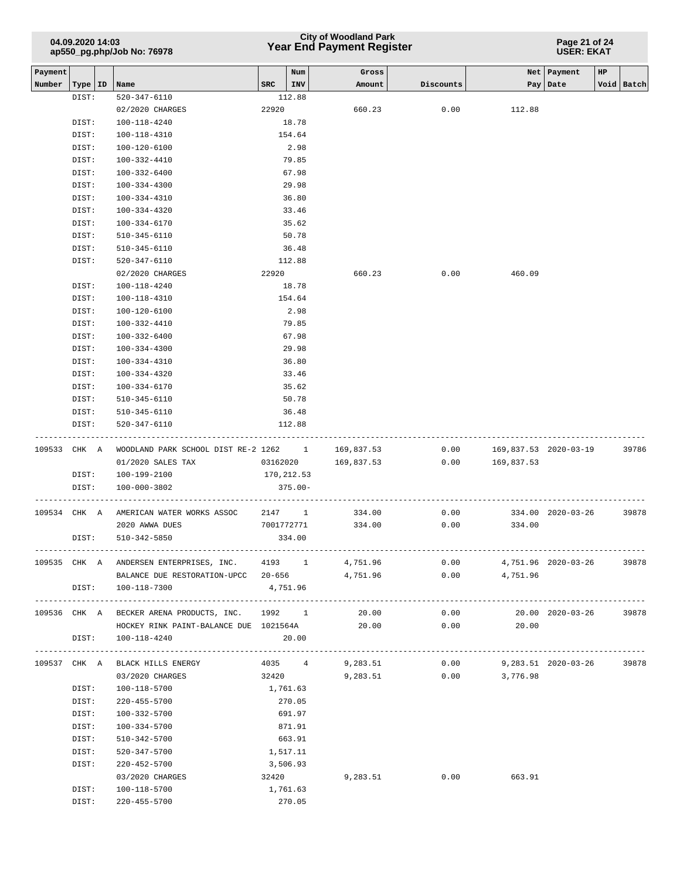## **Year End Payment Register City of Woodland Park 04.09.2020 14:03**

**Page 21 of 24 USER: EKAT**

| Payment      |           |                 |                                                         |            | Num     | Gross           |                        |                            | Net   Payment     | HP             |            |
|--------------|-----------|-----------------|---------------------------------------------------------|------------|---------|-----------------|------------------------|----------------------------|-------------------|----------------|------------|
| Number       | Type   ID |                 | Name                                                    | SRC        | INV     | Amount          | Discounts              |                            | Pay   Date        |                | Void Batch |
|              | DIST:     |                 | 520-347-6110                                            |            | 112.88  |                 |                        |                            |                   |                |            |
|              |           | 02/2020 CHARGES |                                                         | 22920      |         | 660.23          | 0.00                   | 112.88                     |                   |                |            |
|              | DIST:     |                 | 100-118-4240                                            |            | 18.78   |                 |                        |                            |                   |                |            |
|              | DIST:     |                 | 100-118-4310                                            |            | 154.64  |                 |                        |                            |                   |                |            |
|              | DIST:     |                 | 100-120-6100                                            |            | 2.98    |                 |                        |                            |                   |                |            |
|              | DIST:     |                 | 100-332-4410                                            |            | 79.85   |                 |                        |                            |                   |                |            |
|              | DIST:     |                 | 100-332-6400                                            |            | 67.98   |                 |                        |                            |                   |                |            |
|              | DIST:     |                 | 100-334-4300                                            |            | 29.98   |                 |                        |                            |                   |                |            |
|              | DIST:     |                 | 100-334-4310                                            |            | 36.80   |                 |                        |                            |                   |                |            |
|              | DIST:     |                 | 100-334-4320                                            |            | 33.46   |                 |                        |                            |                   |                |            |
|              | DIST:     |                 | 100-334-6170                                            |            | 35.62   |                 |                        |                            |                   |                |            |
|              | DIST:     |                 | 510-345-6110                                            |            | 50.78   |                 |                        |                            |                   |                |            |
|              | DIST:     |                 | 510-345-6110                                            |            | 36.48   |                 |                        |                            |                   |                |            |
|              | DIST:     |                 | 520-347-6110                                            |            | 112.88  |                 |                        |                            |                   |                |            |
|              |           |                 | 02/2020 CHARGES                                         | 22920      |         | 660.23          | 0.00                   | 460.09                     |                   |                |            |
|              | DIST:     |                 | 100-118-4240                                            |            | 18.78   |                 |                        |                            |                   |                |            |
|              | DIST:     |                 | 100-118-4310                                            |            | 154.64  |                 |                        |                            |                   |                |            |
|              | DIST:     |                 | 100-120-6100                                            |            | 2.98    |                 |                        |                            |                   |                |            |
|              | DIST:     |                 | 100-332-4410                                            |            | 79.85   |                 |                        |                            |                   |                |            |
|              | DIST:     |                 | 100-332-6400                                            |            | 67.98   |                 |                        |                            |                   |                |            |
|              | DIST:     |                 | 100-334-4300                                            |            | 29.98   |                 |                        |                            |                   |                |            |
|              | DIST:     |                 | 100-334-4310                                            |            | 36.80   |                 |                        |                            |                   |                |            |
|              | DIST:     |                 | 100-334-4320                                            |            | 33.46   |                 |                        |                            |                   |                |            |
|              | DIST:     |                 | 100-334-6170                                            |            | 35.62   |                 |                        |                            |                   |                |            |
|              | DIST:     |                 | $510 - 345 - 6110$                                      |            | 50.78   |                 |                        |                            |                   |                |            |
|              | DIST:     |                 | $510 - 345 - 6110$                                      |            | 36.48   |                 |                        |                            |                   |                |            |
|              | DIST:     |                 | 520-347-6110                                            |            | 112.88  |                 |                        |                            |                   |                |            |
|              |           |                 |                                                         |            |         |                 |                        |                            |                   |                |            |
| 109533 CHK A |           |                 | WOODLAND PARK SCHOOL DIST RE-2 1262 1 169,837.53        |            |         |                 | 0.00                   | 169,837.53 2020-03-19      |                   |                | 39786      |
|              |           |                 | 01/2020 SALES TAX                                       | 03162020   |         | 169,837.53      | 0.00                   | 169,837.53                 |                   |                |            |
|              | DIST:     |                 | 100-199-2100                                            | 170,212.53 |         |                 |                        |                            |                   |                |            |
|              | DIST:     |                 | 100-000-3802                                            |            | 375.00- |                 |                        |                            |                   |                |            |
| 109534 CHK A |           |                 | AMERICAN WATER WORKS ASSOC                              | 2147 1     |         | 334.00          | 0.00                   |                            | 334.00 2020-03-26 |                | 39878      |
|              |           |                 | 2020 AWWA DUES                                          | 7001772771 |         | 334.00          | 0.00                   | 334.00                     |                   |                |            |
|              | DIST:     |                 | 510-342-5850                                            |            | 334.00  |                 |                        |                            |                   |                |            |
|              |           |                 |                                                         |            |         |                 |                        |                            |                   |                |            |
|              |           |                 | 109535 CHK A ANDERSEN ENTERPRISES, INC. 4193 1 4,751.96 |            |         |                 | 0.00                   | 4,751.96 2020-03-26        |                   |                | 39878      |
|              |           |                 | BALANCE DUE RESTORATION-UPCC 20-656                     |            |         | 4,751.96        | 0.00                   | 4,751.96                   |                   |                |            |
|              | DIST:     |                 | 100-118-7300                                            | 4,751.96   |         |                 |                        |                            |                   |                |            |
|              |           |                 |                                                         |            |         |                 |                        |                            |                   |                |            |
|              |           |                 | 109536 CHK A BECKER ARENA PRODUCTS, INC. 1992 1         |            |         | 20.00           | 0.00                   |                            | 20.00 2020-03-26  |                | 39878      |
|              |           |                 | HOCKEY RINK PAINT-BALANCE DUE 1021564A                  |            |         | 20.00           | 0.00                   | 20.00                      |                   |                |            |
|              | DIST:     |                 | 100-118-4240                                            |            | 20.00   |                 |                        |                            |                   | -------------- |            |
|              |           |                 | 109537 CHK A BLACK HILLS ENERGY                         |            |         | 4035 4 9,283.51 |                        | $0.00$ 9,283.51 2020-03-26 |                   |                | 39878      |
|              |           |                 | 03/2020 CHARGES                                         | 32420      |         |                 | 9,283.51 0.00 3,776.98 |                            |                   |                |            |
|              | DIST:     |                 | 100-118-5700                                            | 1,761.63   |         |                 |                        |                            |                   |                |            |
|              | DIST:     |                 | 220-455-5700                                            |            | 270.05  |                 |                        |                            |                   |                |            |
|              | DIST:     |                 | 100-332-5700                                            |            | 691.97  |                 |                        |                            |                   |                |            |
|              | DIST:     |                 | 100-334-5700                                            |            | 871.91  |                 |                        |                            |                   |                |            |
|              | DIST:     |                 | 510-342-5700                                            |            | 663.91  |                 |                        |                            |                   |                |            |
|              | DIST:     |                 | 520-347-5700                                            | 1,517.11   |         |                 |                        |                            |                   |                |            |
|              | DIST:     |                 | 220-452-5700                                            | 3,506.93   |         |                 |                        |                            |                   |                |            |
|              |           |                 | 03/2020 CHARGES                                         | 32420      |         | 9,283.51        | 0.00                   | 663.91                     |                   |                |            |
|              | DIST:     |                 | 100-118-5700                                            | 1,761.63   |         |                 |                        |                            |                   |                |            |
|              | DIST:     |                 | 220-455-5700                                            |            | 270.05  |                 |                        |                            |                   |                |            |
|              |           |                 |                                                         |            |         |                 |                        |                            |                   |                |            |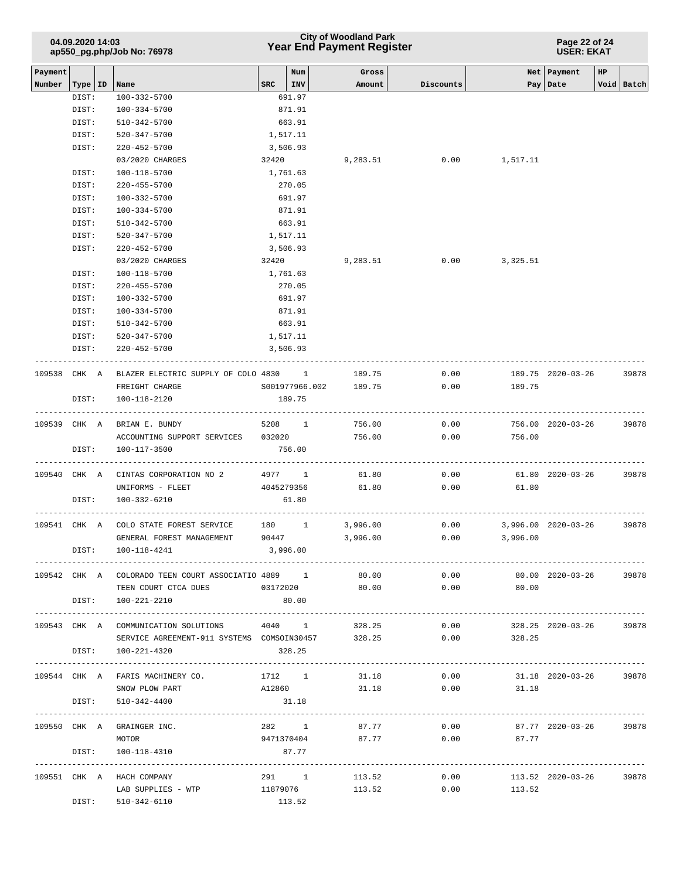| 04.09.2020 14:03<br>ap550_pg.php/Job No: 76978 |           |                            |                                                                                           |            |                   | <b>City of Woodland Park</b><br><b>Year End Payment Register</b> |           | Page 22 of 24<br><b>USER: EKAT</b> |                         |                  |  |  |
|------------------------------------------------|-----------|----------------------------|-------------------------------------------------------------------------------------------|------------|-------------------|------------------------------------------------------------------|-----------|------------------------------------|-------------------------|------------------|--|--|
| Payment<br>Number                              | Type   ID | Name                       |                                                                                           | <b>SRC</b> | Num<br><b>INV</b> | Gross<br>Amount                                                  | Discounts | Net                                | Payment<br>Pay   Date   | HP<br>Void Batch |  |  |
|                                                | DIST:     | 100-332-5700               |                                                                                           |            | 691.97            |                                                                  |           |                                    |                         |                  |  |  |
|                                                | DIST:     | 100-334-5700               |                                                                                           |            | 871.91            |                                                                  |           |                                    |                         |                  |  |  |
|                                                | DIST:     |                            | 510-342-5700                                                                              |            | 663.91            |                                                                  |           |                                    |                         |                  |  |  |
|                                                | DIST:     |                            | 520-347-5700                                                                              | 1,517.11   |                   |                                                                  |           |                                    |                         |                  |  |  |
|                                                | DIST:     |                            | $220 - 452 - 5700$                                                                        | 3,506.93   |                   |                                                                  |           |                                    |                         |                  |  |  |
|                                                |           |                            | 03/2020 CHARGES                                                                           | 32420      |                   | 9,283.51                                                         | 0.00      | 1,517.11                           |                         |                  |  |  |
|                                                | DIST:     | 100-118-5700               |                                                                                           |            | 1,761.63          |                                                                  |           |                                    |                         |                  |  |  |
|                                                | DIST:     |                            | 220-455-5700                                                                              |            | 270.05            |                                                                  |           |                                    |                         |                  |  |  |
|                                                | DIST:     | 100-332-5700               |                                                                                           |            | 691.97            |                                                                  |           |                                    |                         |                  |  |  |
|                                                | DIST:     | 100-334-5700               |                                                                                           |            | 871.91            |                                                                  |           |                                    |                         |                  |  |  |
|                                                | DIST:     |                            | 510-342-5700                                                                              |            | 663.91            |                                                                  |           |                                    |                         |                  |  |  |
|                                                | DIST:     |                            | 520-347-5700                                                                              | 1,517.11   |                   |                                                                  |           |                                    |                         |                  |  |  |
|                                                | DIST:     |                            | $220 - 452 - 5700$                                                                        |            | 3,506.93          |                                                                  |           |                                    |                         |                  |  |  |
|                                                |           |                            | 03/2020 CHARGES                                                                           | 32420      |                   | 9,283.51                                                         | 0.00      | 3,325.51                           |                         |                  |  |  |
|                                                | DIST:     | 100-118-5700               |                                                                                           | 1,761.63   |                   |                                                                  |           |                                    |                         |                  |  |  |
|                                                | DIST:     |                            | 220-455-5700                                                                              |            | 270.05            |                                                                  |           |                                    |                         |                  |  |  |
|                                                | DIST:     | 100-332-5700               |                                                                                           |            | 691.97            |                                                                  |           |                                    |                         |                  |  |  |
|                                                | DIST:     | 100-334-5700               |                                                                                           |            | 871.91            |                                                                  |           |                                    |                         |                  |  |  |
|                                                | DIST:     | 510-342-5700               |                                                                                           |            | 663.91            |                                                                  |           |                                    |                         |                  |  |  |
|                                                | DIST:     |                            | 520-347-5700                                                                              | 1,517.11   |                   |                                                                  |           |                                    |                         |                  |  |  |
|                                                | DIST:     |                            | $220 - 452 - 5700$                                                                        |            | 3,506.93          |                                                                  |           |                                    |                         |                  |  |  |
| 109538 CHK A                                   |           |                            | BLAZER ELECTRIC SUPPLY OF COLO 4830 1                                                     |            |                   | 189.75                                                           | 0.00      |                                    | 189.75 2020-03-26       | 39878            |  |  |
|                                                |           |                            | FREIGHT CHARGE                                                                            |            |                   | S001977966.002 189.75                                            | 0.00      | 189.75                             |                         |                  |  |  |
|                                                | DIST:     |                            | 100-118-2120                                                                              |            | 189.75            |                                                                  |           |                                    |                         |                  |  |  |
| 109539 CHK A                                   |           |                            | BRIAN E. BUNDY                                                                            | 5208 1     |                   | 756.00                                                           | 0.00      |                                    | 756.00 2020-03-26       | 39878            |  |  |
|                                                |           |                            | ACCOUNTING SUPPORT SERVICES 032020                                                        |            |                   | 756.00                                                           | 0.00      | 756.00                             |                         |                  |  |  |
|                                                | DIST:     | 100-117-3500               |                                                                                           |            | 756.00            |                                                                  |           |                                    |                         |                  |  |  |
| 109540 CHK A                                   |           |                            | CINTAS CORPORATION NO 2                                                                   | 4977 1     |                   | 61.80                                                            | 0.00      |                                    | 61.80 2020-03-26        | 39878            |  |  |
|                                                |           |                            | UNIFORMS - FLEET                                                                          | 4045279356 |                   | 61.80                                                            | 0.00      | 61.80                              |                         |                  |  |  |
|                                                | DIST:     | 100-332-6210               |                                                                                           |            | 61.80             |                                                                  |           |                                    |                         |                  |  |  |
| 109541 CHK A                                   |           |                            | COLO STATE FOREST SERVICE 180 1 3,996.00                                                  |            |                   |                                                                  | 0.00      |                                    | 3,996.00 2020-03-26     | 39878            |  |  |
|                                                |           |                            | GENERAL FOREST MANAGEMENT                                                                 | 90447      |                   | 3,996.00                                                         | 0.00      | 3,996.00                           |                         |                  |  |  |
|                                                |           | DIST: 100-118-4241         |                                                                                           | 3,996.00   |                   |                                                                  |           |                                    |                         |                  |  |  |
|                                                |           |                            | 109542 CHK A COLORADO TEEN COURT ASSOCIATIO 4889 1 80.00 0.00 0.00 80.00 2020-03-26 39878 |            |                   |                                                                  |           |                                    |                         |                  |  |  |
|                                                |           |                            | TEEN COURT CTCA DUES                                                                      |            |                   |                                                                  |           | $0.3172020$ $80.00$ $0.00$ $80.00$ |                         |                  |  |  |
|                                                | DIST:     |                            | 100-221-2210                                                                              |            | 80.00             |                                                                  |           |                                    |                         |                  |  |  |
|                                                |           |                            | 109543 CHK A COMMUNICATION SOLUTIONS 4040 1                                               |            |                   | 328.25                                                           | 0.00      |                                    | 328.25 2020-03-26 39878 |                  |  |  |
|                                                |           |                            | SERVICE AGREEMENT-911 SYSTEMS COMSOIN30457                                                |            |                   | 328.25                                                           | 0.00      | 328.25                             |                         |                  |  |  |
|                                                |           | DIST: 100-221-4320         |                                                                                           | 328.25     |                   |                                                                  |           |                                    |                         |                  |  |  |
|                                                |           |                            |                                                                                           |            |                   |                                                                  |           |                                    |                         |                  |  |  |
|                                                |           |                            | 109544 CHK A FARIS MACHINERY CO. 1712 1                                                   |            |                   |                                                                  | 31.18     | $0.00$ 31.18 2020-03-26 39878      |                         |                  |  |  |
|                                                |           |                            | SNOW PLOW PART                                                                            |            |                   | A12860 31.18                                                     |           | $0.00$ 31.18                       |                         |                  |  |  |
|                                                |           | DIST: 510-342-4400         |                                                                                           | 31.18      |                   |                                                                  |           |                                    |                         |                  |  |  |
|                                                |           | 109550 CHK A GRAINGER INC. |                                                                                           |            | 282 1             | 87.77                                                            | 0.00      |                                    | 87.77 2020-03-26 39878  |                  |  |  |
|                                                |           | MOTOR                      |                                                                                           |            | 9471370404        | 87.77                                                            | 0.00      | 87.77                              |                         |                  |  |  |
|                                                |           | DIST: 100-118-4310         |                                                                                           |            | 87.77             |                                                                  |           |                                    |                         |                  |  |  |
|                                                |           | 109551 CHK A HACH COMPANY  |                                                                                           |            |                   | 291 1 113.52                                                     |           | $0.00$ 113.52 2020-03-26 39878     |                         |                  |  |  |
|                                                |           |                            |                                                                                           |            |                   |                                                                  |           | $0.00$ 113.52                      |                         |                  |  |  |
|                                                |           | DIST: 510-342-6110         |                                                                                           | 113.52     |                   |                                                                  |           |                                    |                         |                  |  |  |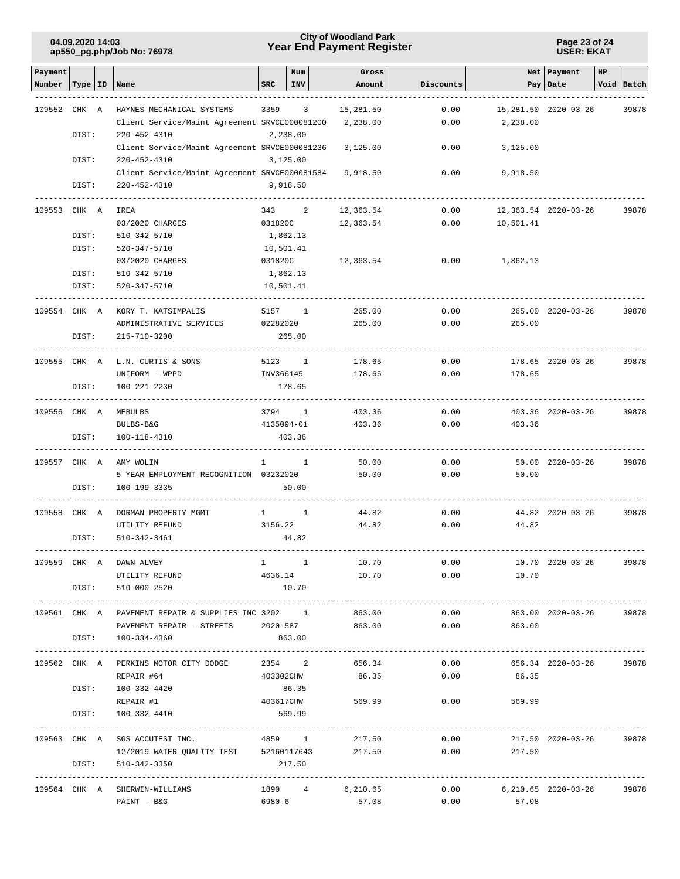#### **Page 23 of 24 USER: EKAT**

| Payment      |           |                                                     |              | Num                          | Gross           |           |                            | Net Payment           | HP |            |
|--------------|-----------|-----------------------------------------------------|--------------|------------------------------|-----------------|-----------|----------------------------|-----------------------|----|------------|
| Number       | Type   ID | Name                                                | <b>SRC</b>   | <b>INV</b>                   | Amount          | Discounts |                            | Pay   Date            |    | Void Batch |
|              |           |                                                     |              |                              |                 |           |                            |                       |    |            |
| 109552 CHK A |           | HAYNES MECHANICAL SYSTEMS                           | 3359         | 3                            | 15,281.50       | 0.00      |                            | 15, 281.50 2020-03-26 |    | 39878      |
|              |           | Client Service/Maint Agreement SRVCE000081200       |              |                              | 2,238.00        | 0.00      | 2,238.00                   |                       |    |            |
|              | DIST:     | $220 - 452 - 4310$                                  |              | 2,238.00                     |                 |           |                            |                       |    |            |
|              |           | Client Service/Maint Agreement SRVCE000081236       |              |                              | 3,125.00        | 0.00      | 3,125.00                   |                       |    |            |
|              | DIST:     | $220 - 452 - 4310$                                  |              | 3,125.00                     |                 |           |                            |                       |    |            |
|              |           | Client Service/Maint Agreement SRVCE000081584       |              |                              | 9,918.50        | 0.00      | 9,918.50                   |                       |    |            |
|              | DIST:     | $220 - 452 - 4310$                                  |              | 9,918.50                     |                 |           |                            |                       |    |            |
|              |           |                                                     |              |                              |                 |           |                            |                       |    |            |
| 109553 CHK A |           | IREA                                                | 343          | 2                            | 12,363.54       | 0.00      |                            | 12,363.54 2020-03-26  |    | 39878      |
|              |           | 03/2020 CHARGES                                     | 031820C      |                              | 12,363.54       | 0.00      | 10,501.41                  |                       |    |            |
|              | DIST:     | 510-342-5710                                        |              | 1,862.13                     |                 |           |                            |                       |    |            |
|              | DIST:     | 520-347-5710                                        |              | 10,501.41                    |                 |           |                            |                       |    |            |
|              |           | 03/2020 CHARGES                                     | 031820C      |                              | 12,363.54       | 0.00      | 1,862.13                   |                       |    |            |
|              | DIST:     | 510-342-5710                                        |              | 1,862.13                     |                 |           |                            |                       |    |            |
|              | DIST:     | 520-347-5710                                        |              | 10,501.41                    |                 |           |                            |                       |    |            |
|              |           |                                                     |              |                              |                 |           |                            |                       |    |            |
| 109554 CHK A |           | KORY T. KATSIMPALIS                                 | 5157         | <sup>1</sup>                 | 265.00          | 0.00      |                            | 265.00 2020-03-26     |    | 39878      |
|              |           | ADMINISTRATIVE SERVICES                             | 02282020     |                              | 265.00          | 0.00      | 265.00                     |                       |    |            |
|              | DIST:     | 215-710-3200                                        |              | 265.00                       |                 |           |                            |                       |    |            |
|              |           |                                                     |              |                              |                 |           |                            |                       |    |            |
| 109555 CHK A |           | L.N. CURTIS & SONS                                  |              | 5123 1                       | 178.65          | 0.00      |                            | 178.65 2020-03-26     |    | 39878      |
|              |           | UNIFORM - WPPD                                      | INV366145    |                              | 178.65          | 0.00      | 178.65                     |                       |    |            |
|              | DIST:     | 100-221-2230                                        |              | 178.65                       |                 |           |                            |                       |    |            |
| 109556 CHK A |           | MEBULBS                                             | 3794         |                              | 403.36          | 0.00      |                            |                       |    |            |
|              |           | BULBS-B&G                                           |              | $\overline{1}$<br>4135094-01 | 403.36          | 0.00      | 403.36                     | 403.36 2020-03-26     |    | 39878      |
|              | DIST:     | 100-118-4310                                        |              | 403.36                       |                 |           |                            |                       |    |            |
|              |           |                                                     |              |                              |                 |           |                            |                       |    |            |
| 109557 CHK A |           | AMY WOLIN                                           | $\mathbf{1}$ | $\mathbf{1}$                 | 50.00           | 0.00      |                            | 50.00 2020-03-26      |    | 39878      |
|              |           | 5 YEAR EMPLOYMENT RECOGNITION 03232020              |              |                              | 50.00           | 0.00      | 50.00                      |                       |    |            |
|              | DIST:     | 100-199-3335                                        |              | 50.00                        |                 |           |                            |                       |    |            |
|              |           |                                                     |              |                              |                 |           |                            |                       |    |            |
| 109558 CHK A |           | DORMAN PROPERTY MGMT                                | $1 -$        | $\sim$ 1                     | 44.82           | 0.00      |                            | 44.82 2020-03-26      |    | 39878      |
|              |           | UTILITY REFUND                                      | 3156.22      |                              | 44.82           | 0.00      | 44.82                      |                       |    |            |
|              | DIST:     | $510 - 342 - 3461$                                  |              | 44.82                        |                 |           |                            |                       |    |            |
|              |           |                                                     |              |                              |                 |           |                            |                       |    |            |
|              |           | 109559 CHK A DAWN ALVEY                             | $1 \quad 1$  |                              | 10.70           |           | $0.00$ 10.70 2020-03-26    |                       |    | 39878      |
|              |           | UTILITY REFUND                                      | 4636.14      |                              | 10.70           |           | 0.00<br>10.70              |                       |    |            |
|              |           | DIST: 510-000-2520                                  |              | 10.70                        |                 |           |                            |                       |    |            |
|              |           |                                                     |              |                              |                 |           |                            |                       |    |            |
|              |           | 109561 CHK A PAVEMENT REPAIR & SUPPLIES INC 3202 1  |              |                              | 863.00          | 0.00      |                            | 863.00 2020-03-26     |    | 39878      |
|              |           | PAVEMENT REPAIR - STREETS 2020-587                  |              |                              | 863.00          | 0.00      | 863.00                     |                       |    |            |
|              |           | DIST: 100-334-4360                                  |              | 863.00                       |                 |           |                            |                       |    |            |
|              |           |                                                     |              |                              |                 |           |                            |                       |    |            |
|              |           | 109562 CHK A PERKINS MOTOR CITY DODGE 2354 2 656.34 |              |                              |                 |           | $0.00$ 656.34 2020-03-26   |                       |    | 39878      |
|              |           | REPAIR #64                                          | 403302CHW    |                              |                 | 86.35     | $0.00$ 86.35               |                       |    |            |
|              |           | DIST: 100-332-4420<br>REPAIR #1                     | 403617CHW    | 86.35                        | 569.99          |           | $0.00$ 569.99              |                       |    |            |
|              | DIST:     | 100-332-4410                                        |              | 569.99                       |                 |           |                            |                       |    |            |
|              |           |                                                     |              |                              |                 |           |                            |                       |    |            |
|              |           | 109563 CHK A SGS ACCUTEST INC.                      |              |                              | 4859 1 217.50   | 0.00      |                            | 217.50 2020-03-26     |    | 39878      |
|              |           | 12/2019 WATER QUALITY TEST 52160117643 217.50       |              |                              |                 |           | $0.00$ 217.50              |                       |    |            |
|              | DIST:     | 510-342-3350                                        |              | 217.50                       |                 |           |                            |                       |    |            |
|              |           |                                                     |              |                              |                 |           |                            |                       |    |            |
|              |           | 109564 CHK A SHERWIN-WILLIAMS                       |              |                              | 1890 4 6,210.65 |           | $0.00$ 6,210.65 2020-03-26 |                       |    | 39878      |
|              |           | PAINT - B&G                                         | 6980-6       |                              | 57.08           | 0.00      | 57.08                      |                       |    |            |